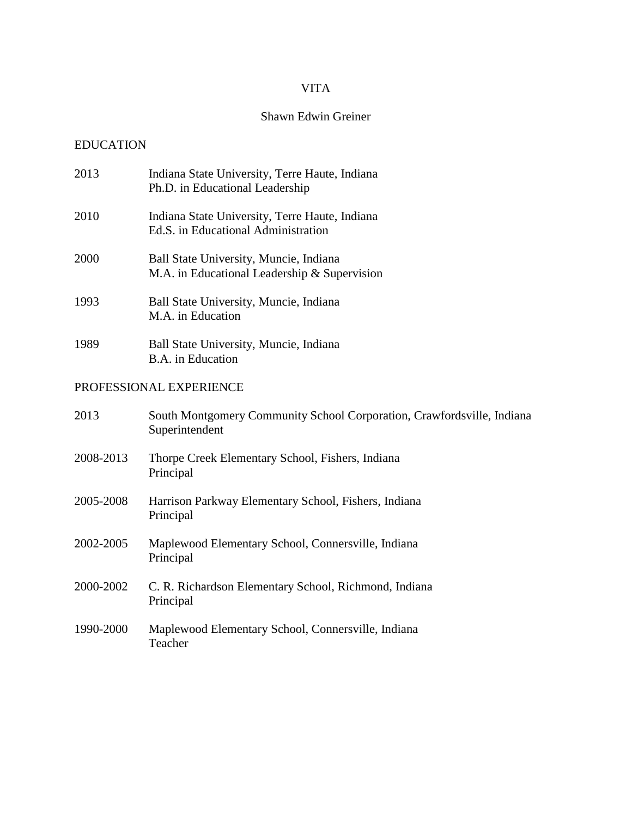# VITA

# Shawn Edwin Greiner

## EDUCATION

| 2013      | Indiana State University, Terre Haute, Indiana<br>Ph.D. in Educational Leadership        |
|-----------|------------------------------------------------------------------------------------------|
| 2010      | Indiana State University, Terre Haute, Indiana<br>Ed.S. in Educational Administration    |
| 2000      | Ball State University, Muncie, Indiana<br>M.A. in Educational Leadership & Supervision   |
| 1993      | Ball State University, Muncie, Indiana<br>M.A. in Education                              |
| 1989      | Ball State University, Muncie, Indiana<br><b>B.A.</b> in Education                       |
|           | PROFESSIONAL EXPERIENCE                                                                  |
| 2013      | South Montgomery Community School Corporation, Crawfordsville, Indiana<br>Superintendent |
| 2008-2013 | Thorpe Creek Elementary School, Fishers, Indiana<br>Principal                            |
| 2005-2008 | Harrison Parkway Elementary School, Fishers, Indiana<br>Principal                        |
| 2002-2005 | Maplewood Elementary School, Connersville, Indiana<br>Principal                          |
| 2000-2002 | C. R. Richardson Elementary School, Richmond, Indiana<br>Principal                       |
| 1990-2000 | Maplewood Elementary School, Connersville, Indiana<br>Teacher                            |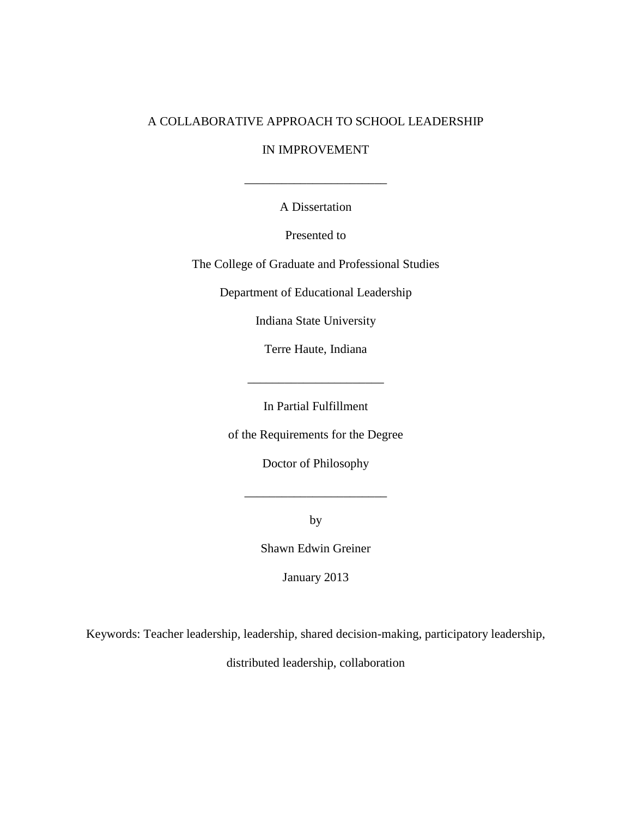## A COLLABORATIVE APPROACH TO SCHOOL LEADERSHIP

## IN IMPROVEMENT

A Dissertation

\_\_\_\_\_\_\_\_\_\_\_\_\_\_\_\_\_\_\_\_\_\_\_

Presented to

The College of Graduate and Professional Studies

Department of Educational Leadership

Indiana State University

Terre Haute, Indiana

\_\_\_\_\_\_\_\_\_\_\_\_\_\_\_\_\_\_\_\_\_\_

In Partial Fulfillment

of the Requirements for the Degree

Doctor of Philosophy

by

\_\_\_\_\_\_\_\_\_\_\_\_\_\_\_\_\_\_\_\_\_\_\_

Shawn Edwin Greiner

January 2013

Keywords: Teacher leadership, leadership, shared decision-making, participatory leadership,

distributed leadership, collaboration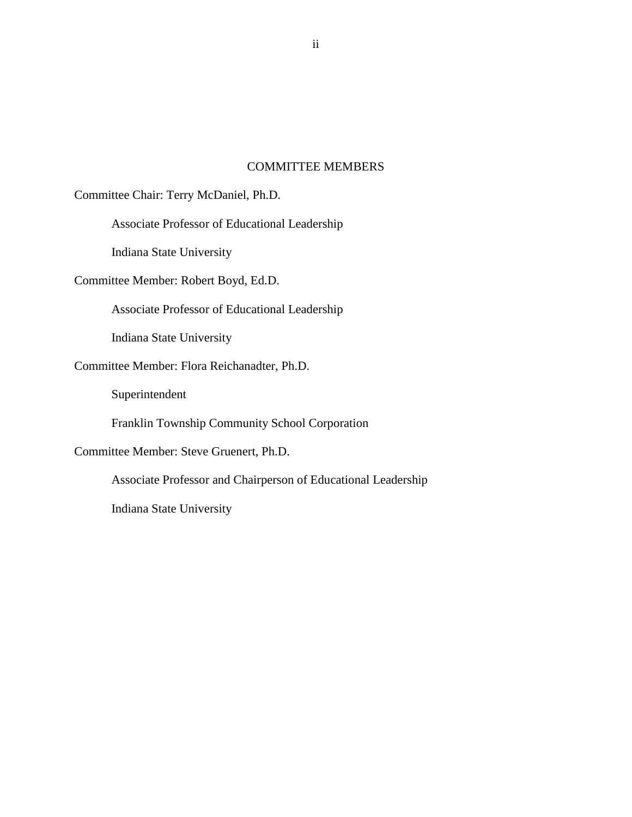## COMMITTEE MEMBERS

Committee Chair: Terry McDaniel, Ph.D.

Associate Professor of Educational Leadership

Indiana State University

Committee Member: Robert Boyd, Ed.D.

Associate Professor of Educational Leadership

Indiana State University

Committee Member: Flora Reichanadter, Ph.D.

Superintendent

Franklin Township Community School Corporation

Committee Member: Steve Gruenert, Ph.D.

Associate Professor and Chairperson of Educational Leadership

Indiana State University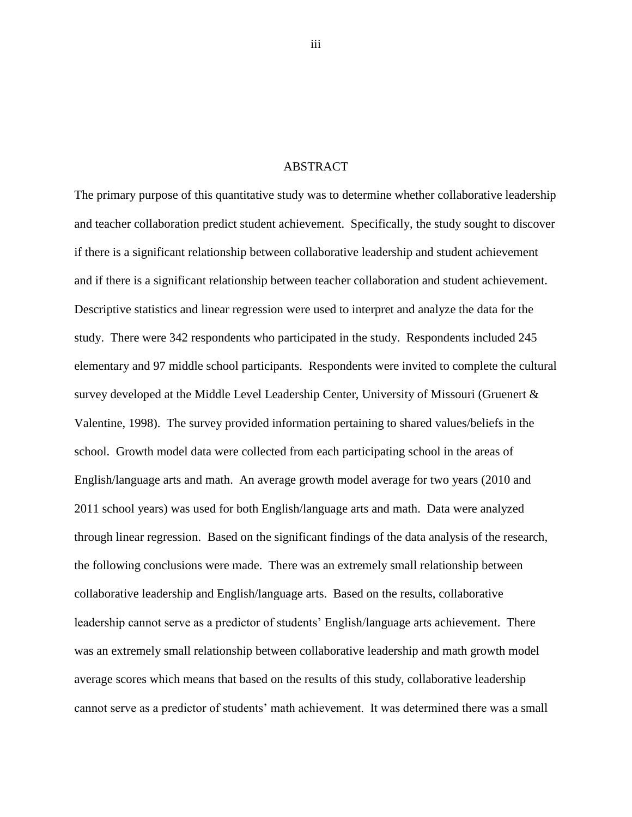#### ABSTRACT

The primary purpose of this quantitative study was to determine whether collaborative leadership and teacher collaboration predict student achievement. Specifically, the study sought to discover if there is a significant relationship between collaborative leadership and student achievement and if there is a significant relationship between teacher collaboration and student achievement. Descriptive statistics and linear regression were used to interpret and analyze the data for the study. There were 342 respondents who participated in the study. Respondents included 245 elementary and 97 middle school participants. Respondents were invited to complete the cultural survey developed at the Middle Level Leadership Center, University of Missouri (Gruenert & Valentine, 1998). The survey provided information pertaining to shared values/beliefs in the school. Growth model data were collected from each participating school in the areas of English/language arts and math. An average growth model average for two years (2010 and 2011 school years) was used for both English/language arts and math. Data were analyzed through linear regression. Based on the significant findings of the data analysis of the research, the following conclusions were made. There was an extremely small relationship between collaborative leadership and English/language arts. Based on the results, collaborative leadership cannot serve as a predictor of students' English/language arts achievement. There was an extremely small relationship between collaborative leadership and math growth model average scores which means that based on the results of this study, collaborative leadership cannot serve as a predictor of students' math achievement. It was determined there was a small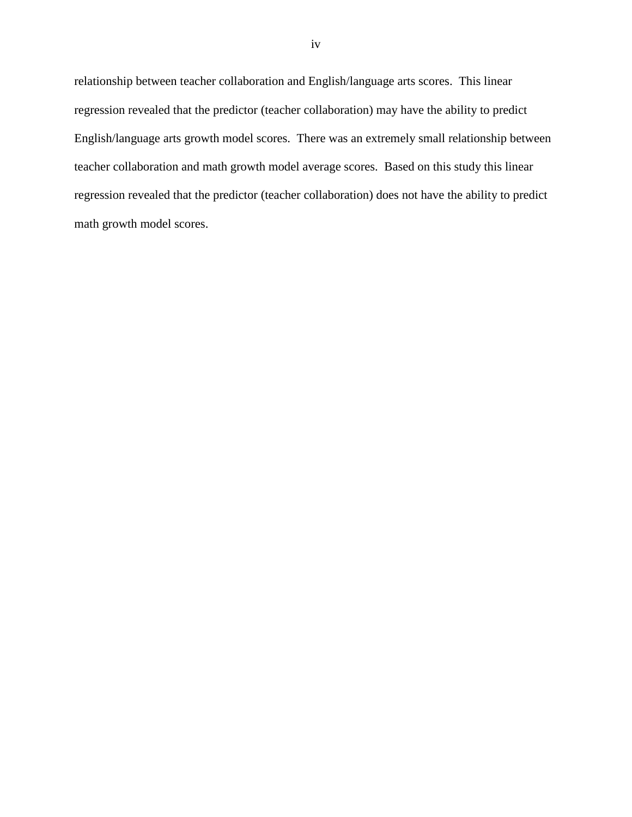relationship between teacher collaboration and English/language arts scores. This linear regression revealed that the predictor (teacher collaboration) may have the ability to predict English/language arts growth model scores. There was an extremely small relationship between teacher collaboration and math growth model average scores. Based on this study this linear regression revealed that the predictor (teacher collaboration) does not have the ability to predict math growth model scores.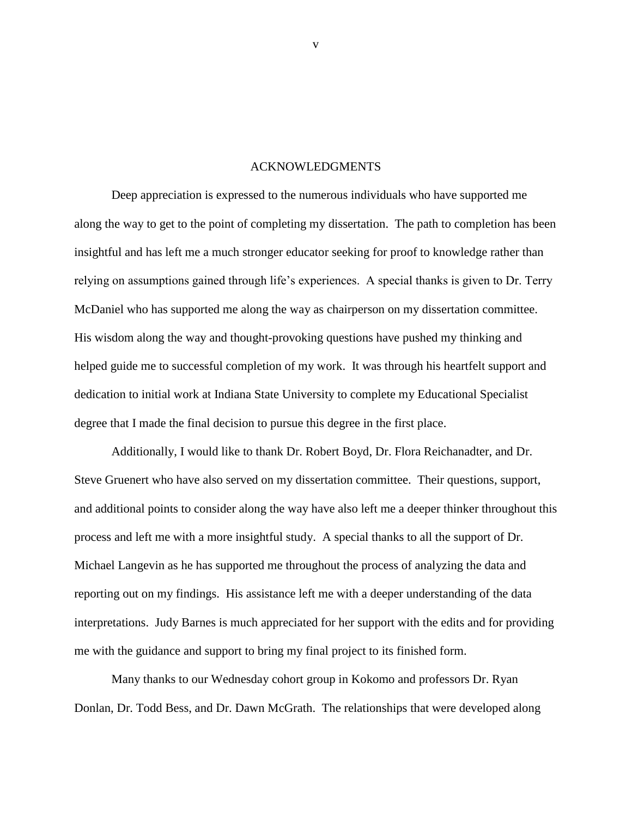#### ACKNOWLEDGMENTS

Deep appreciation is expressed to the numerous individuals who have supported me along the way to get to the point of completing my dissertation. The path to completion has been insightful and has left me a much stronger educator seeking for proof to knowledge rather than relying on assumptions gained through life's experiences. A special thanks is given to Dr. Terry McDaniel who has supported me along the way as chairperson on my dissertation committee. His wisdom along the way and thought-provoking questions have pushed my thinking and helped guide me to successful completion of my work. It was through his heartfelt support and dedication to initial work at Indiana State University to complete my Educational Specialist degree that I made the final decision to pursue this degree in the first place.

Additionally, I would like to thank Dr. Robert Boyd, Dr. Flora Reichanadter, and Dr. Steve Gruenert who have also served on my dissertation committee. Their questions, support, and additional points to consider along the way have also left me a deeper thinker throughout this process and left me with a more insightful study. A special thanks to all the support of Dr. Michael Langevin as he has supported me throughout the process of analyzing the data and reporting out on my findings. His assistance left me with a deeper understanding of the data interpretations. Judy Barnes is much appreciated for her support with the edits and for providing me with the guidance and support to bring my final project to its finished form.

Many thanks to our Wednesday cohort group in Kokomo and professors Dr. Ryan Donlan, Dr. Todd Bess, and Dr. Dawn McGrath. The relationships that were developed along

v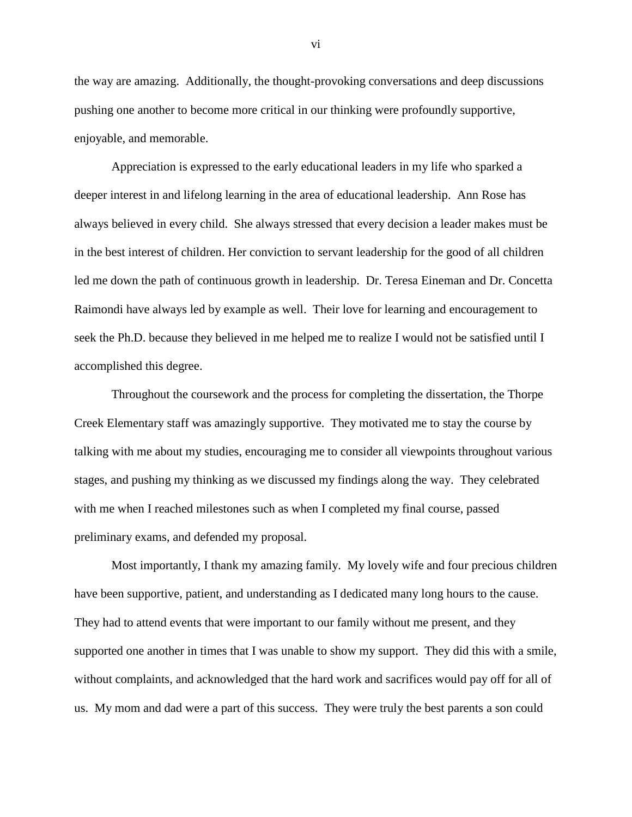the way are amazing. Additionally, the thought-provoking conversations and deep discussions pushing one another to become more critical in our thinking were profoundly supportive, enjoyable, and memorable.

Appreciation is expressed to the early educational leaders in my life who sparked a deeper interest in and lifelong learning in the area of educational leadership. Ann Rose has always believed in every child. She always stressed that every decision a leader makes must be in the best interest of children. Her conviction to servant leadership for the good of all children led me down the path of continuous growth in leadership. Dr. Teresa Eineman and Dr. Concetta Raimondi have always led by example as well. Their love for learning and encouragement to seek the Ph.D. because they believed in me helped me to realize I would not be satisfied until I accomplished this degree.

Throughout the coursework and the process for completing the dissertation, the Thorpe Creek Elementary staff was amazingly supportive. They motivated me to stay the course by talking with me about my studies, encouraging me to consider all viewpoints throughout various stages, and pushing my thinking as we discussed my findings along the way. They celebrated with me when I reached milestones such as when I completed my final course, passed preliminary exams, and defended my proposal.

Most importantly, I thank my amazing family. My lovely wife and four precious children have been supportive, patient, and understanding as I dedicated many long hours to the cause. They had to attend events that were important to our family without me present, and they supported one another in times that I was unable to show my support. They did this with a smile, without complaints, and acknowledged that the hard work and sacrifices would pay off for all of us. My mom and dad were a part of this success. They were truly the best parents a son could

vi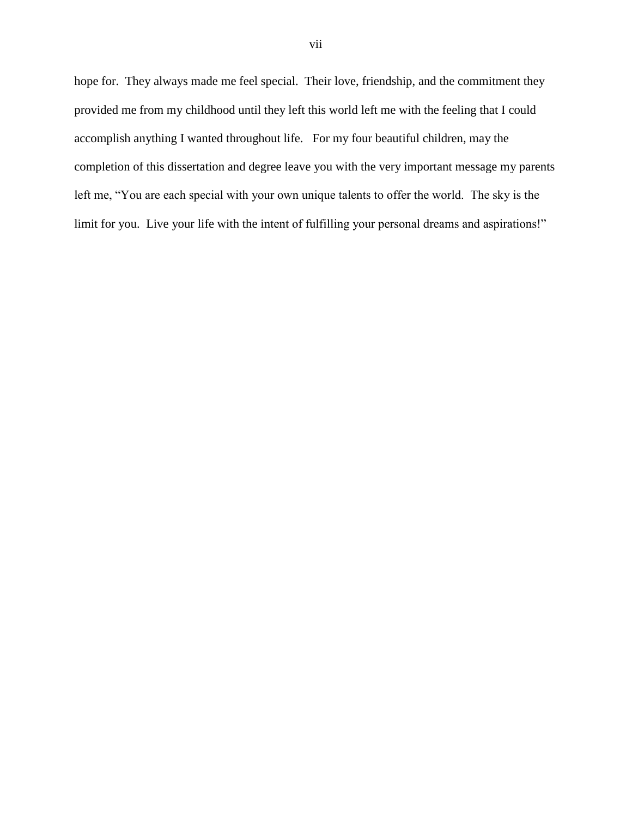hope for. They always made me feel special. Their love, friendship, and the commitment they provided me from my childhood until they left this world left me with the feeling that I could accomplish anything I wanted throughout life. For my four beautiful children, may the completion of this dissertation and degree leave you with the very important message my parents left me, "You are each special with your own unique talents to offer the world. The sky is the limit for you. Live your life with the intent of fulfilling your personal dreams and aspirations!"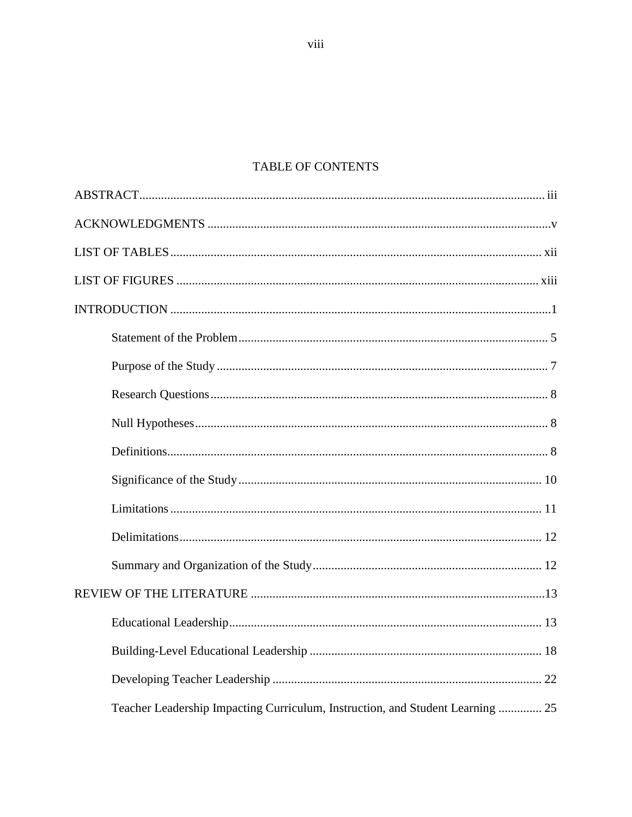# TABLE OF CONTENTS

| Teacher Leadership Impacting Curriculum, Instruction, and Student Learning  25 |
|--------------------------------------------------------------------------------|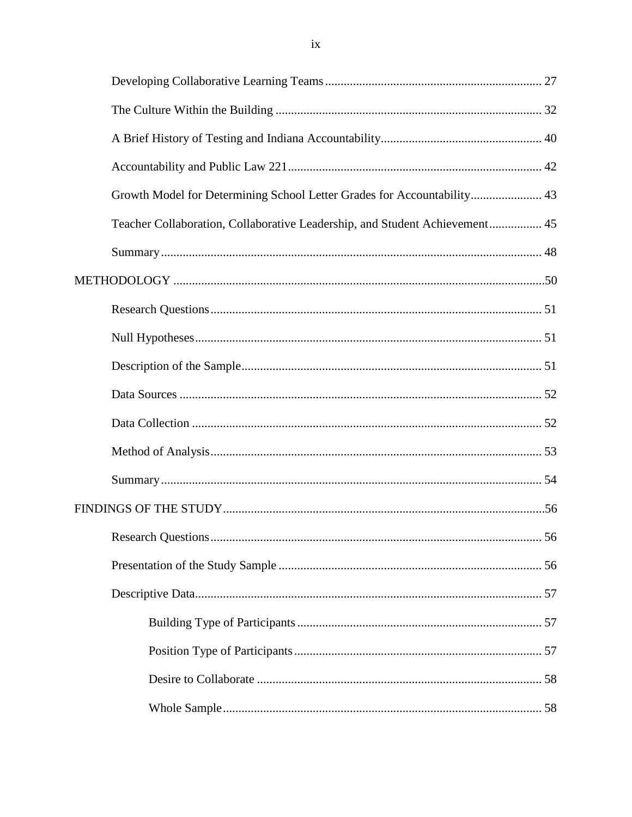| Growth Model for Determining School Letter Grades for Accountability 43     |  |
|-----------------------------------------------------------------------------|--|
| Teacher Collaboration, Collaborative Leadership, and Student Achievement 45 |  |
|                                                                             |  |
|                                                                             |  |
|                                                                             |  |
|                                                                             |  |
|                                                                             |  |
|                                                                             |  |
|                                                                             |  |
|                                                                             |  |
|                                                                             |  |
|                                                                             |  |
|                                                                             |  |
|                                                                             |  |
|                                                                             |  |
|                                                                             |  |
|                                                                             |  |
|                                                                             |  |
|                                                                             |  |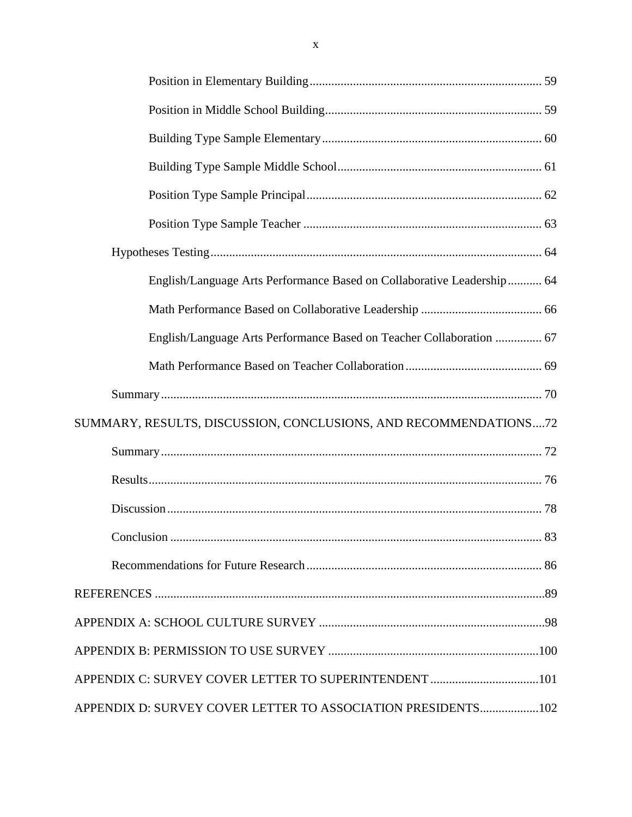| English/Language Arts Performance Based on Collaborative Leadership 64 |  |
|------------------------------------------------------------------------|--|
|                                                                        |  |
| English/Language Arts Performance Based on Teacher Collaboration  67   |  |
|                                                                        |  |
|                                                                        |  |
| SUMMARY, RESULTS, DISCUSSION, CONCLUSIONS, AND RECOMMENDATIONS72       |  |
|                                                                        |  |
|                                                                        |  |
|                                                                        |  |
|                                                                        |  |
|                                                                        |  |
|                                                                        |  |
|                                                                        |  |
|                                                                        |  |
|                                                                        |  |
| APPENDIX D: SURVEY COVER LETTER TO ASSOCIATION PRESIDENTS102           |  |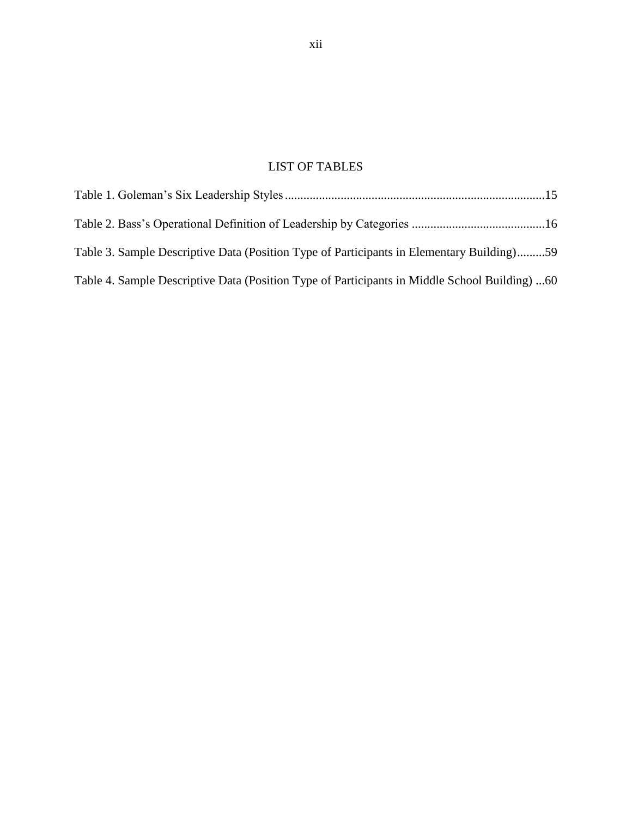# LIST OF TABLES

| Table 3. Sample Descriptive Data (Position Type of Participants in Elementary Building)59     |  |
|-----------------------------------------------------------------------------------------------|--|
| Table 4. Sample Descriptive Data (Position Type of Participants in Middle School Building) 60 |  |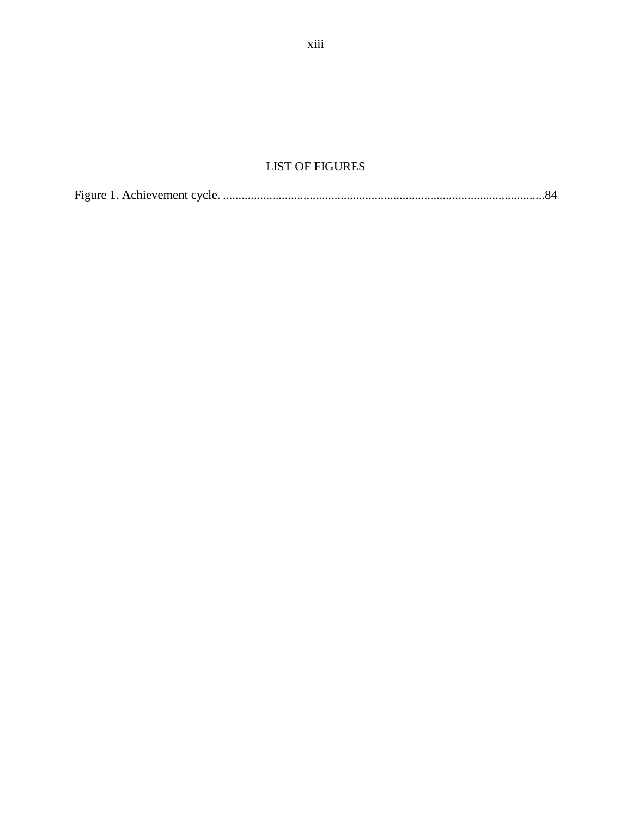# **LIST OF FIGURES**

|--|--|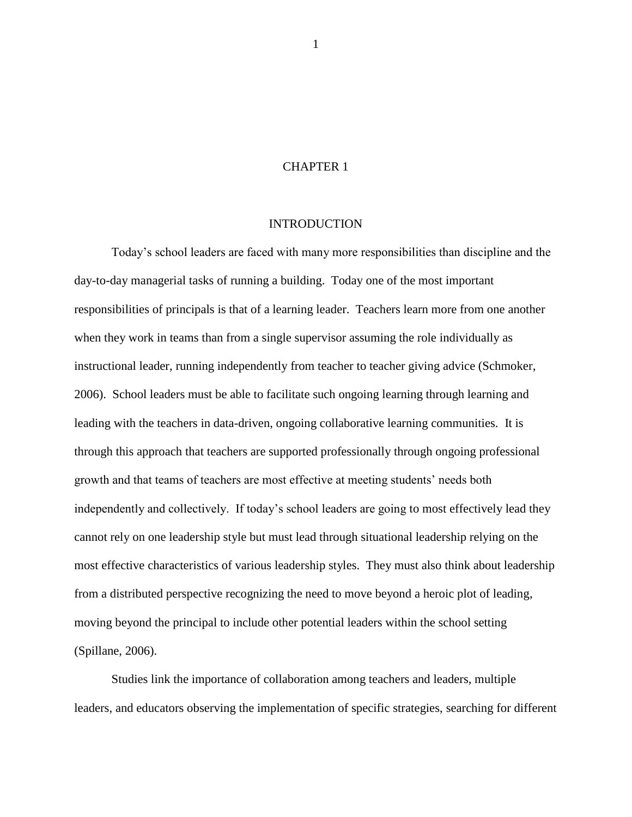## CHAPTER 1

#### INTRODUCTION

Today's school leaders are faced with many more responsibilities than discipline and the day-to-day managerial tasks of running a building. Today one of the most important responsibilities of principals is that of a learning leader. Teachers learn more from one another when they work in teams than from a single supervisor assuming the role individually as instructional leader, running independently from teacher to teacher giving advice (Schmoker, 2006). School leaders must be able to facilitate such ongoing learning through learning and leading with the teachers in data-driven, ongoing collaborative learning communities. It is through this approach that teachers are supported professionally through ongoing professional growth and that teams of teachers are most effective at meeting students' needs both independently and collectively. If today's school leaders are going to most effectively lead they cannot rely on one leadership style but must lead through situational leadership relying on the most effective characteristics of various leadership styles. They must also think about leadership from a distributed perspective recognizing the need to move beyond a heroic plot of leading, moving beyond the principal to include other potential leaders within the school setting (Spillane, 2006).

Studies link the importance of collaboration among teachers and leaders, multiple leaders, and educators observing the implementation of specific strategies, searching for different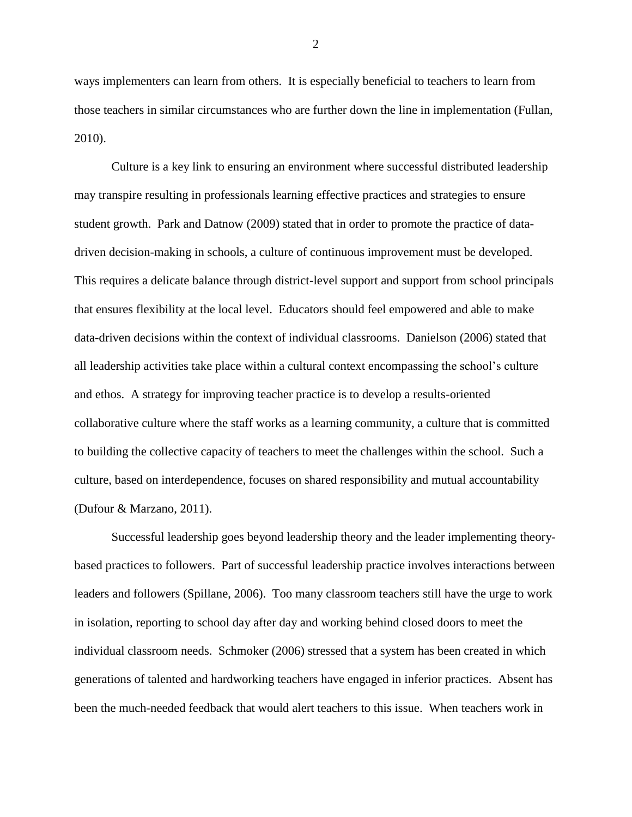ways implementers can learn from others. It is especially beneficial to teachers to learn from those teachers in similar circumstances who are further down the line in implementation (Fullan, 2010).

Culture is a key link to ensuring an environment where successful distributed leadership may transpire resulting in professionals learning effective practices and strategies to ensure student growth. Park and Datnow (2009) stated that in order to promote the practice of datadriven decision-making in schools, a culture of continuous improvement must be developed. This requires a delicate balance through district-level support and support from school principals that ensures flexibility at the local level. Educators should feel empowered and able to make data-driven decisions within the context of individual classrooms. Danielson (2006) stated that all leadership activities take place within a cultural context encompassing the school's culture and ethos. A strategy for improving teacher practice is to develop a results-oriented collaborative culture where the staff works as a learning community, a culture that is committed to building the collective capacity of teachers to meet the challenges within the school. Such a culture, based on interdependence, focuses on shared responsibility and mutual accountability (Dufour & Marzano, 2011).

Successful leadership goes beyond leadership theory and the leader implementing theorybased practices to followers. Part of successful leadership practice involves interactions between leaders and followers (Spillane, 2006). Too many classroom teachers still have the urge to work in isolation, reporting to school day after day and working behind closed doors to meet the individual classroom needs. Schmoker (2006) stressed that a system has been created in which generations of talented and hardworking teachers have engaged in inferior practices. Absent has been the much-needed feedback that would alert teachers to this issue. When teachers work in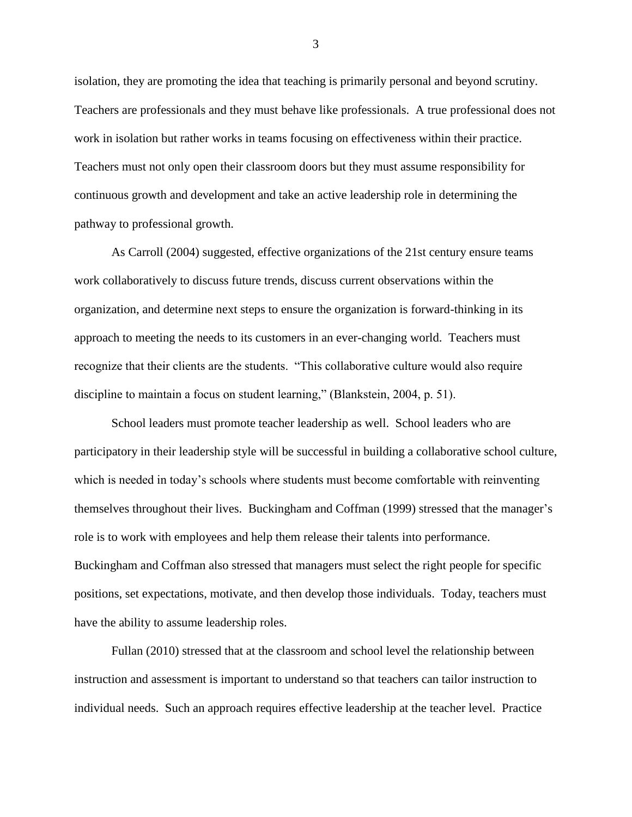isolation, they are promoting the idea that teaching is primarily personal and beyond scrutiny. Teachers are professionals and they must behave like professionals. A true professional does not work in isolation but rather works in teams focusing on effectiveness within their practice. Teachers must not only open their classroom doors but they must assume responsibility for continuous growth and development and take an active leadership role in determining the pathway to professional growth.

As Carroll (2004) suggested, effective organizations of the 21st century ensure teams work collaboratively to discuss future trends, discuss current observations within the organization, and determine next steps to ensure the organization is forward-thinking in its approach to meeting the needs to its customers in an ever-changing world. Teachers must recognize that their clients are the students. "This collaborative culture would also require discipline to maintain a focus on student learning," (Blankstein, 2004, p. 51).

School leaders must promote teacher leadership as well. School leaders who are participatory in their leadership style will be successful in building a collaborative school culture, which is needed in today's schools where students must become comfortable with reinventing themselves throughout their lives. Buckingham and Coffman (1999) stressed that the manager's role is to work with employees and help them release their talents into performance. Buckingham and Coffman also stressed that managers must select the right people for specific positions, set expectations, motivate, and then develop those individuals. Today, teachers must have the ability to assume leadership roles.

Fullan (2010) stressed that at the classroom and school level the relationship between instruction and assessment is important to understand so that teachers can tailor instruction to individual needs. Such an approach requires effective leadership at the teacher level. Practice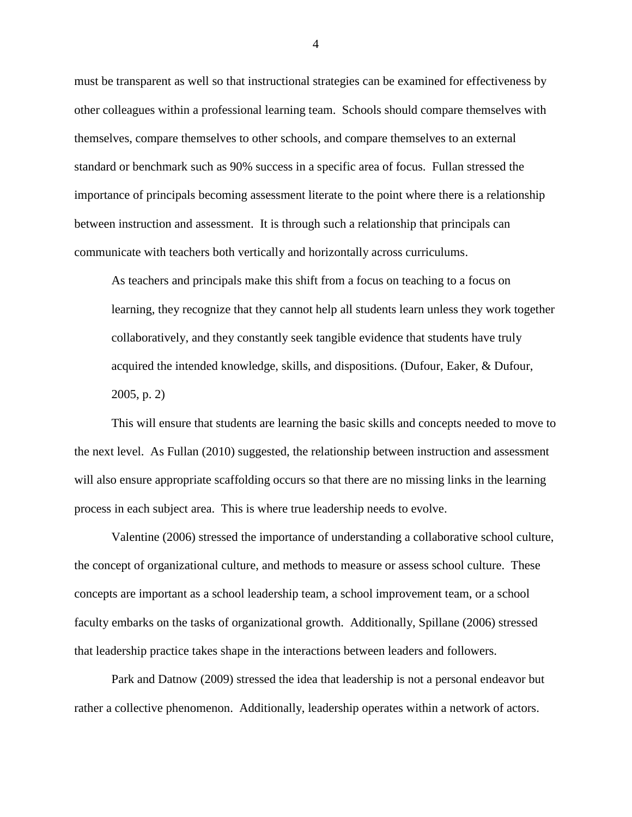must be transparent as well so that instructional strategies can be examined for effectiveness by other colleagues within a professional learning team. Schools should compare themselves with themselves, compare themselves to other schools, and compare themselves to an external standard or benchmark such as 90% success in a specific area of focus. Fullan stressed the importance of principals becoming assessment literate to the point where there is a relationship between instruction and assessment. It is through such a relationship that principals can communicate with teachers both vertically and horizontally across curriculums.

As teachers and principals make this shift from a focus on teaching to a focus on learning, they recognize that they cannot help all students learn unless they work together collaboratively, and they constantly seek tangible evidence that students have truly acquired the intended knowledge, skills, and dispositions. (Dufour, Eaker, & Dufour, 2005, p. 2)

This will ensure that students are learning the basic skills and concepts needed to move to the next level. As Fullan (2010) suggested, the relationship between instruction and assessment will also ensure appropriate scaffolding occurs so that there are no missing links in the learning process in each subject area. This is where true leadership needs to evolve.

Valentine (2006) stressed the importance of understanding a collaborative school culture, the concept of organizational culture, and methods to measure or assess school culture. These concepts are important as a school leadership team, a school improvement team, or a school faculty embarks on the tasks of organizational growth. Additionally, Spillane (2006) stressed that leadership practice takes shape in the interactions between leaders and followers.

Park and Datnow (2009) stressed the idea that leadership is not a personal endeavor but rather a collective phenomenon. Additionally, leadership operates within a network of actors.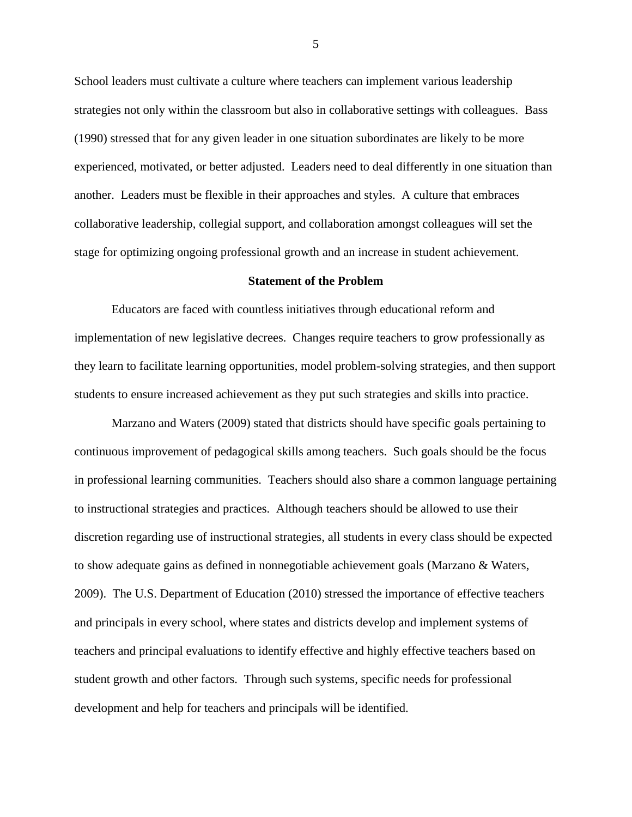School leaders must cultivate a culture where teachers can implement various leadership strategies not only within the classroom but also in collaborative settings with colleagues. Bass (1990) stressed that for any given leader in one situation subordinates are likely to be more experienced, motivated, or better adjusted. Leaders need to deal differently in one situation than another. Leaders must be flexible in their approaches and styles. A culture that embraces collaborative leadership, collegial support, and collaboration amongst colleagues will set the stage for optimizing ongoing professional growth and an increase in student achievement.

#### **Statement of the Problem**

Educators are faced with countless initiatives through educational reform and implementation of new legislative decrees. Changes require teachers to grow professionally as they learn to facilitate learning opportunities, model problem-solving strategies, and then support students to ensure increased achievement as they put such strategies and skills into practice.

Marzano and Waters (2009) stated that districts should have specific goals pertaining to continuous improvement of pedagogical skills among teachers. Such goals should be the focus in professional learning communities. Teachers should also share a common language pertaining to instructional strategies and practices. Although teachers should be allowed to use their discretion regarding use of instructional strategies, all students in every class should be expected to show adequate gains as defined in nonnegotiable achievement goals (Marzano & Waters, 2009). The U.S. Department of Education (2010) stressed the importance of effective teachers and principals in every school, where states and districts develop and implement systems of teachers and principal evaluations to identify effective and highly effective teachers based on student growth and other factors. Through such systems, specific needs for professional development and help for teachers and principals will be identified.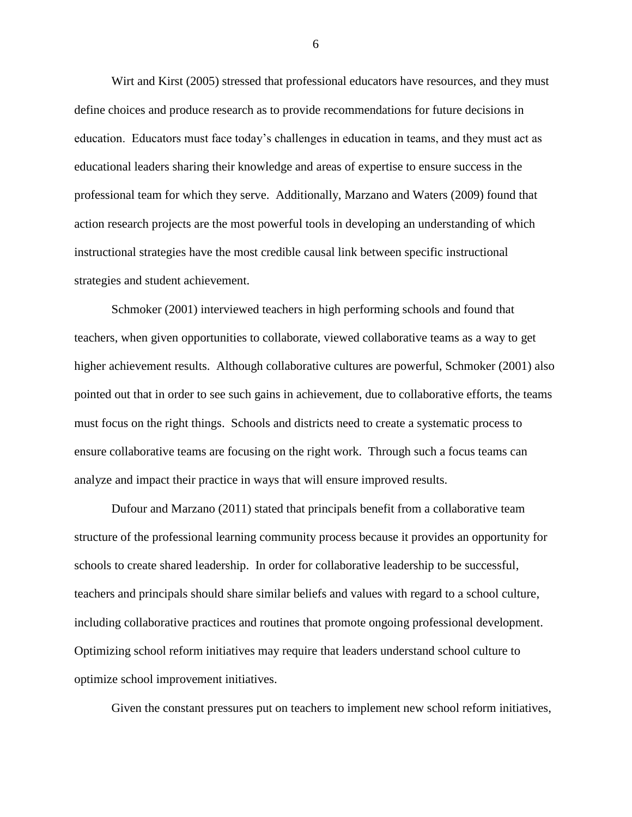Wirt and Kirst (2005) stressed that professional educators have resources, and they must define choices and produce research as to provide recommendations for future decisions in education. Educators must face today's challenges in education in teams, and they must act as educational leaders sharing their knowledge and areas of expertise to ensure success in the professional team for which they serve. Additionally, Marzano and Waters (2009) found that action research projects are the most powerful tools in developing an understanding of which instructional strategies have the most credible causal link between specific instructional strategies and student achievement.

Schmoker (2001) interviewed teachers in high performing schools and found that teachers, when given opportunities to collaborate, viewed collaborative teams as a way to get higher achievement results. Although collaborative cultures are powerful, Schmoker (2001) also pointed out that in order to see such gains in achievement, due to collaborative efforts, the teams must focus on the right things. Schools and districts need to create a systematic process to ensure collaborative teams are focusing on the right work. Through such a focus teams can analyze and impact their practice in ways that will ensure improved results.

Dufour and Marzano (2011) stated that principals benefit from a collaborative team structure of the professional learning community process because it provides an opportunity for schools to create shared leadership. In order for collaborative leadership to be successful, teachers and principals should share similar beliefs and values with regard to a school culture, including collaborative practices and routines that promote ongoing professional development. Optimizing school reform initiatives may require that leaders understand school culture to optimize school improvement initiatives.

Given the constant pressures put on teachers to implement new school reform initiatives,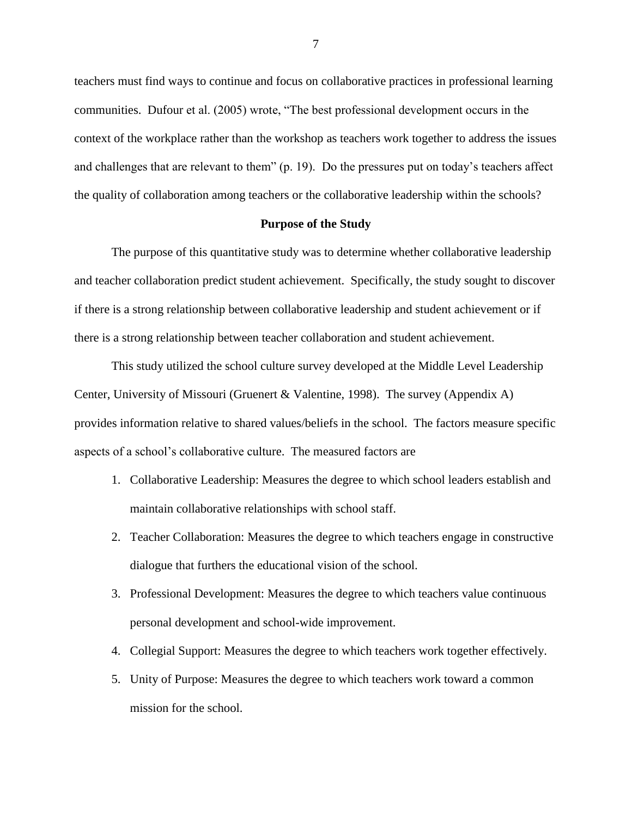teachers must find ways to continue and focus on collaborative practices in professional learning communities. Dufour et al. (2005) wrote, "The best professional development occurs in the context of the workplace rather than the workshop as teachers work together to address the issues and challenges that are relevant to them" (p. 19). Do the pressures put on today's teachers affect the quality of collaboration among teachers or the collaborative leadership within the schools?

### **Purpose of the Study**

The purpose of this quantitative study was to determine whether collaborative leadership and teacher collaboration predict student achievement. Specifically, the study sought to discover if there is a strong relationship between collaborative leadership and student achievement or if there is a strong relationship between teacher collaboration and student achievement.

This study utilized the school culture survey developed at the Middle Level Leadership Center, University of Missouri (Gruenert & Valentine, 1998). The survey (Appendix A) provides information relative to shared values/beliefs in the school. The factors measure specific aspects of a school's collaborative culture. The measured factors are

- 1. Collaborative Leadership: Measures the degree to which school leaders establish and maintain collaborative relationships with school staff.
- 2. Teacher Collaboration: Measures the degree to which teachers engage in constructive dialogue that furthers the educational vision of the school.
- 3. Professional Development: Measures the degree to which teachers value continuous personal development and school-wide improvement.
- 4. Collegial Support: Measures the degree to which teachers work together effectively.
- 5. Unity of Purpose: Measures the degree to which teachers work toward a common mission for the school.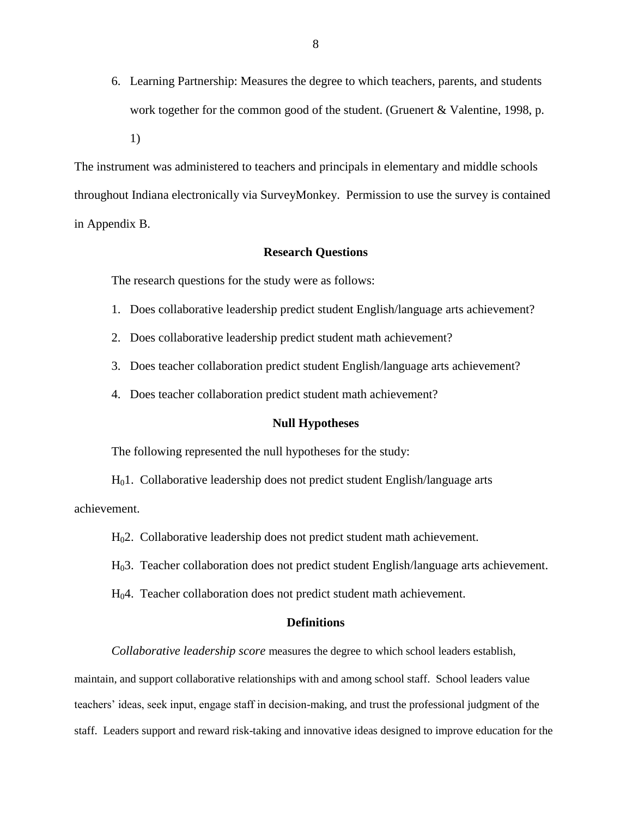6. Learning Partnership: Measures the degree to which teachers, parents, and students work together for the common good of the student. (Gruenert & Valentine, 1998, p. 1)

The instrument was administered to teachers and principals in elementary and middle schools throughout Indiana electronically via SurveyMonkey. Permission to use the survey is contained in Appendix B.

### **Research Questions**

The research questions for the study were as follows:

- 1. Does collaborative leadership predict student English/language arts achievement?
- 2. Does collaborative leadership predict student math achievement?
- 3. Does teacher collaboration predict student English/language arts achievement?
- 4. Does teacher collaboration predict student math achievement?

### **Null Hypotheses**

The following represented the null hypotheses for the study:

H01. Collaborative leadership does not predict student English/language arts achievement.

H02. Collaborative leadership does not predict student math achievement.

H03. Teacher collaboration does not predict student English/language arts achievement.

H04. Teacher collaboration does not predict student math achievement.

#### **Definitions**

*Collaborative leadership score* measures the degree to which school leaders establish,

maintain, and support collaborative relationships with and among school staff. School leaders value teachers' ideas, seek input, engage staff in decision-making, and trust the professional judgment of the staff. Leaders support and reward risk-taking and innovative ideas designed to improve education for the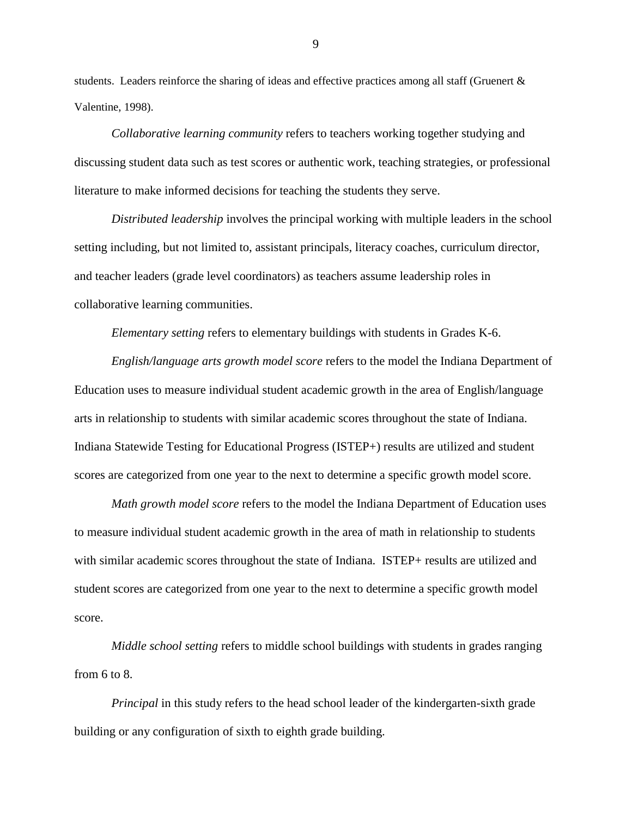students. Leaders reinforce the sharing of ideas and effective practices among all staff (Gruenert  $\&$ Valentine, 1998).

*Collaborative learning community* refers to teachers working together studying and discussing student data such as test scores or authentic work, teaching strategies, or professional literature to make informed decisions for teaching the students they serve.

*Distributed leadership* involves the principal working with multiple leaders in the school setting including, but not limited to, assistant principals, literacy coaches, curriculum director, and teacher leaders (grade level coordinators) as teachers assume leadership roles in collaborative learning communities.

*Elementary setting* refers to elementary buildings with students in Grades K-6.

*English/language arts growth model score* refers to the model the Indiana Department of Education uses to measure individual student academic growth in the area of English/language arts in relationship to students with similar academic scores throughout the state of Indiana. Indiana Statewide Testing for Educational Progress (ISTEP+) results are utilized and student scores are categorized from one year to the next to determine a specific growth model score.

*Math growth model score* refers to the model the Indiana Department of Education uses to measure individual student academic growth in the area of math in relationship to students with similar academic scores throughout the state of Indiana. ISTEP+ results are utilized and student scores are categorized from one year to the next to determine a specific growth model score.

*Middle school setting* refers to middle school buildings with students in grades ranging from 6 to 8.

*Principal* in this study refers to the head school leader of the kindergarten-sixth grade building or any configuration of sixth to eighth grade building.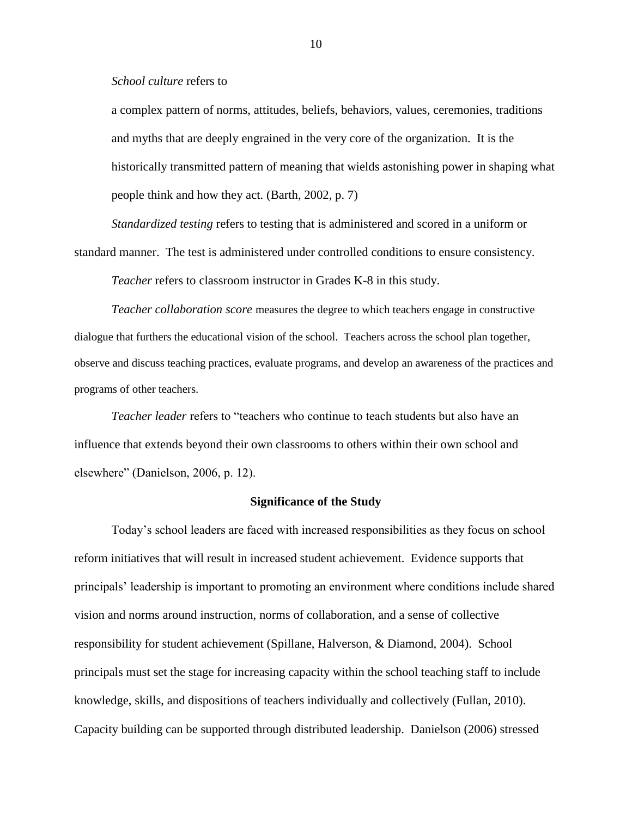#### *School culture* refers to

a complex pattern of norms, attitudes, beliefs, behaviors, values, ceremonies, traditions and myths that are deeply engrained in the very core of the organization. It is the historically transmitted pattern of meaning that wields astonishing power in shaping what people think and how they act. (Barth, 2002, p. 7)

*Standardized testing* refers to testing that is administered and scored in a uniform or standard manner. The test is administered under controlled conditions to ensure consistency.

*Teacher* refers to classroom instructor in Grades K-8 in this study.

*Teacher collaboration score* measures the degree to which teachers engage in constructive dialogue that furthers the educational vision of the school. Teachers across the school plan together, observe and discuss teaching practices, evaluate programs, and develop an awareness of the practices and programs of other teachers.

*Teacher leader* refers to "teachers who continue to teach students but also have an influence that extends beyond their own classrooms to others within their own school and elsewhere" (Danielson, 2006, p. 12).

## **Significance of the Study**

Today's school leaders are faced with increased responsibilities as they focus on school reform initiatives that will result in increased student achievement. Evidence supports that principals' leadership is important to promoting an environment where conditions include shared vision and norms around instruction, norms of collaboration, and a sense of collective responsibility for student achievement (Spillane, Halverson, & Diamond, 2004). School principals must set the stage for increasing capacity within the school teaching staff to include knowledge, skills, and dispositions of teachers individually and collectively (Fullan, 2010). Capacity building can be supported through distributed leadership. Danielson (2006) stressed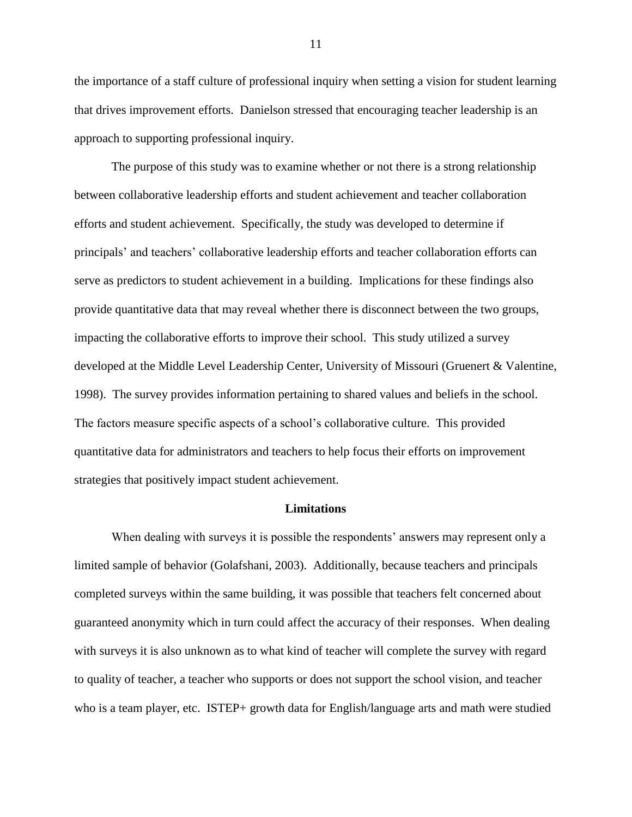the importance of a staff culture of professional inquiry when setting a vision for student learning that drives improvement efforts. Danielson stressed that encouraging teacher leadership is an approach to supporting professional inquiry.

The purpose of this study was to examine whether or not there is a strong relationship between collaborative leadership efforts and student achievement and teacher collaboration efforts and student achievement. Specifically, the study was developed to determine if principals' and teachers' collaborative leadership efforts and teacher collaboration efforts can serve as predictors to student achievement in a building. Implications for these findings also provide quantitative data that may reveal whether there is disconnect between the two groups, impacting the collaborative efforts to improve their school. This study utilized a survey developed at the Middle Level Leadership Center, University of Missouri (Gruenert & Valentine, 1998). The survey provides information pertaining to shared values and beliefs in the school. The factors measure specific aspects of a school's collaborative culture. This provided quantitative data for administrators and teachers to help focus their efforts on improvement strategies that positively impact student achievement.

#### **Limitations**

When dealing with surveys it is possible the respondents' answers may represent only a limited sample of behavior (Golafshani, 2003). Additionally, because teachers and principals completed surveys within the same building, it was possible that teachers felt concerned about guaranteed anonymity which in turn could affect the accuracy of their responses. When dealing with surveys it is also unknown as to what kind of teacher will complete the survey with regard to quality of teacher, a teacher who supports or does not support the school vision, and teacher who is a team player, etc. ISTEP+ growth data for English/language arts and math were studied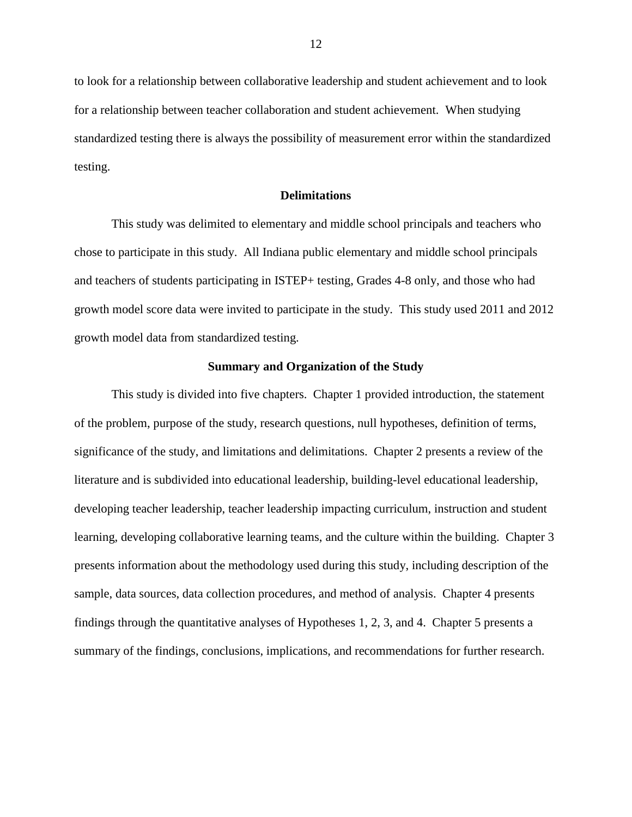to look for a relationship between collaborative leadership and student achievement and to look for a relationship between teacher collaboration and student achievement. When studying standardized testing there is always the possibility of measurement error within the standardized testing.

### **Delimitations**

This study was delimited to elementary and middle school principals and teachers who chose to participate in this study. All Indiana public elementary and middle school principals and teachers of students participating in ISTEP+ testing, Grades 4-8 only, and those who had growth model score data were invited to participate in the study. This study used 2011 and 2012 growth model data from standardized testing.

### **Summary and Organization of the Study**

This study is divided into five chapters. Chapter 1 provided introduction, the statement of the problem, purpose of the study, research questions, null hypotheses, definition of terms, significance of the study, and limitations and delimitations. Chapter 2 presents a review of the literature and is subdivided into educational leadership, building-level educational leadership, developing teacher leadership, teacher leadership impacting curriculum, instruction and student learning, developing collaborative learning teams, and the culture within the building. Chapter 3 presents information about the methodology used during this study, including description of the sample, data sources, data collection procedures, and method of analysis. Chapter 4 presents findings through the quantitative analyses of Hypotheses 1, 2, 3, and 4. Chapter 5 presents a summary of the findings, conclusions, implications, and recommendations for further research.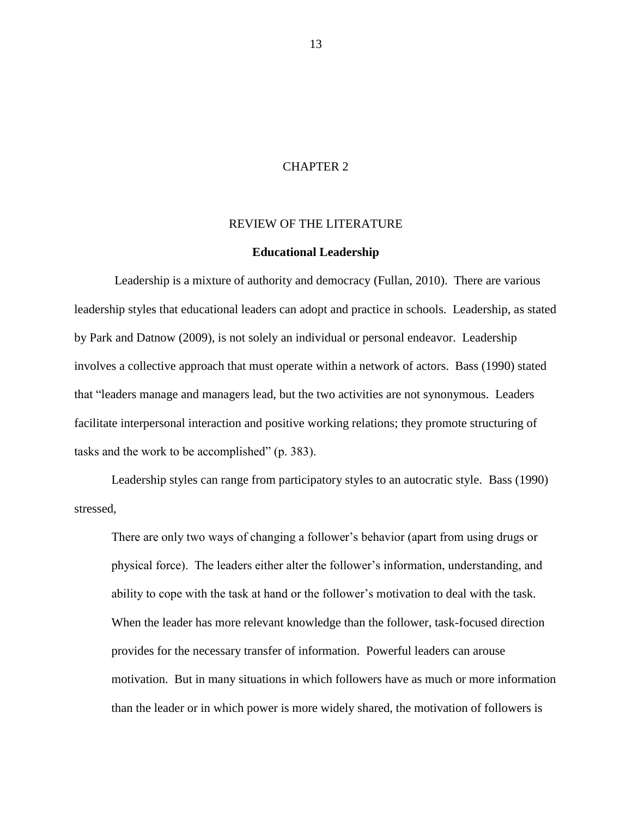## CHAPTER 2

## REVIEW OF THE LITERATURE

### **Educational Leadership**

Leadership is a mixture of authority and democracy (Fullan, 2010). There are various leadership styles that educational leaders can adopt and practice in schools. Leadership, as stated by Park and Datnow (2009), is not solely an individual or personal endeavor. Leadership involves a collective approach that must operate within a network of actors. Bass (1990) stated that "leaders manage and managers lead, but the two activities are not synonymous. Leaders facilitate interpersonal interaction and positive working relations; they promote structuring of tasks and the work to be accomplished" (p. 383).

Leadership styles can range from participatory styles to an autocratic style. Bass (1990) stressed,

There are only two ways of changing a follower's behavior (apart from using drugs or physical force). The leaders either alter the follower's information, understanding, and ability to cope with the task at hand or the follower's motivation to deal with the task. When the leader has more relevant knowledge than the follower, task-focused direction provides for the necessary transfer of information. Powerful leaders can arouse motivation. But in many situations in which followers have as much or more information than the leader or in which power is more widely shared, the motivation of followers is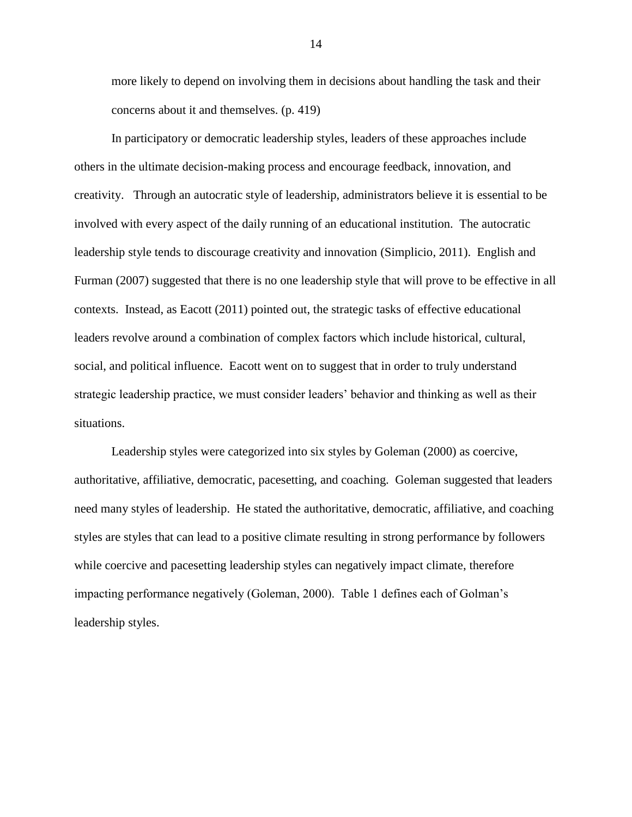more likely to depend on involving them in decisions about handling the task and their concerns about it and themselves. (p. 419)

In participatory or democratic leadership styles, leaders of these approaches include others in the ultimate decision-making process and encourage feedback, innovation, and creativity. Through an autocratic style of leadership, administrators believe it is essential to be involved with every aspect of the daily running of an educational institution. The autocratic leadership style tends to discourage creativity and innovation (Simplicio, 2011). English and Furman (2007) suggested that there is no one leadership style that will prove to be effective in all contexts. Instead, as Eacott (2011) pointed out, the strategic tasks of effective educational leaders revolve around a combination of complex factors which include historical, cultural, social, and political influence. Eacott went on to suggest that in order to truly understand strategic leadership practice, we must consider leaders' behavior and thinking as well as their situations.

Leadership styles were categorized into six styles by Goleman (2000) as coercive, authoritative, affiliative, democratic, pacesetting, and coaching. Goleman suggested that leaders need many styles of leadership. He stated the authoritative, democratic, affiliative, and coaching styles are styles that can lead to a positive climate resulting in strong performance by followers while coercive and pacesetting leadership styles can negatively impact climate, therefore impacting performance negatively (Goleman, 2000). Table 1 defines each of Golman's leadership styles.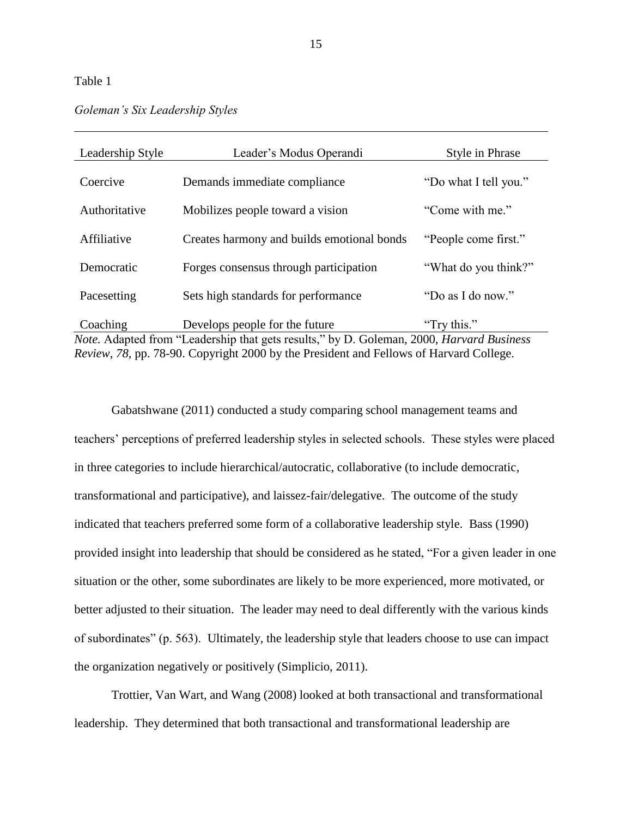## <span id="page-28-0"></span>Table 1

## *Goleman's Six Leadership Styles*

| Leadership Style                                                                       | Leader's Modus Operandi                                                                  | Style in Phrase       |
|----------------------------------------------------------------------------------------|------------------------------------------------------------------------------------------|-----------------------|
| Coercive                                                                               | Demands immediate compliance                                                             | "Do what I tell you." |
|                                                                                        |                                                                                          |                       |
| Authoritative                                                                          | Mobilizes people toward a vision                                                         | "Come with me."       |
| Affiliative                                                                            | Creates harmony and builds emotional bonds                                               | "People come first."  |
| Democratic                                                                             | Forges consensus through participation                                                   | "What do you think?"  |
| Pacesetting                                                                            | Sets high standards for performance                                                      | "Do as I do now."     |
| Coaching                                                                               | Develops people for the future                                                           | "Try this."           |
|                                                                                        | Note. Adapted from "Leadership that gets results," by D. Goleman, 2000, Harvard Business |                       |
| Review, 78, pp. 78-90. Copyright 2000 by the President and Fellows of Harvard College. |                                                                                          |                       |

Gabatshwane (2011) conducted a study comparing school management teams and teachers' perceptions of preferred leadership styles in selected schools. These styles were placed in three categories to include hierarchical/autocratic, collaborative (to include democratic, transformational and participative), and laissez-fair/delegative. The outcome of the study indicated that teachers preferred some form of a collaborative leadership style. Bass (1990) provided insight into leadership that should be considered as he stated, "For a given leader in one situation or the other, some subordinates are likely to be more experienced, more motivated, or better adjusted to their situation. The leader may need to deal differently with the various kinds of subordinates" (p. 563). Ultimately, the leadership style that leaders choose to use can impact the organization negatively or positively (Simplicio, 2011).

Trottier, Van Wart, and Wang (2008) looked at both transactional and transformational leadership. They determined that both transactional and transformational leadership are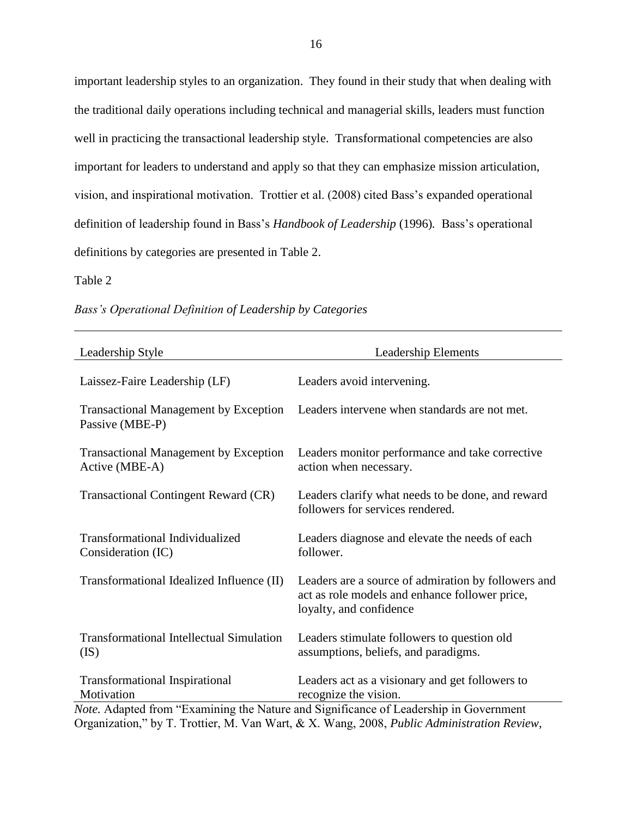important leadership styles to an organization. They found in their study that when dealing with the traditional daily operations including technical and managerial skills, leaders must function well in practicing the transactional leadership style. Transformational competencies are also important for leaders to understand and apply so that they can emphasize mission articulation, vision, and inspirational motivation. Trottier et al. (2008) cited Bass's expanded operational definition of leadership found in Bass's *Handbook of Leadership* (1996)*.* Bass's operational definitions by categories are presented in Table 2.

## <span id="page-29-0"></span>Table 2

| Bass's Operational Definition of Leadership by Categories |  |
|-----------------------------------------------------------|--|
|-----------------------------------------------------------|--|

| <b>Leadership Elements</b>                                                                                                                                        |
|-------------------------------------------------------------------------------------------------------------------------------------------------------------------|
| Leaders avoid intervening.                                                                                                                                        |
| Leaders intervene when standards are not met.                                                                                                                     |
| Leaders monitor performance and take corrective<br>action when necessary.                                                                                         |
| Leaders clarify what needs to be done, and reward<br>followers for services rendered.                                                                             |
| Leaders diagnose and elevate the needs of each<br>follower.                                                                                                       |
| Leaders are a source of admiration by followers and<br>act as role models and enhance follower price,<br>loyalty, and confidence                                  |
| Leaders stimulate followers to question old<br>assumptions, beliefs, and paradigms.                                                                               |
| Leaders act as a visionary and get followers to<br>recognize the vision.<br>Note. Adapted from "Examining the Nature and Significance of Leadership in Government |
|                                                                                                                                                                   |

Organization," by T. Trottier, M. Van Wart, & X. Wang, 2008, *Public Administration Review,*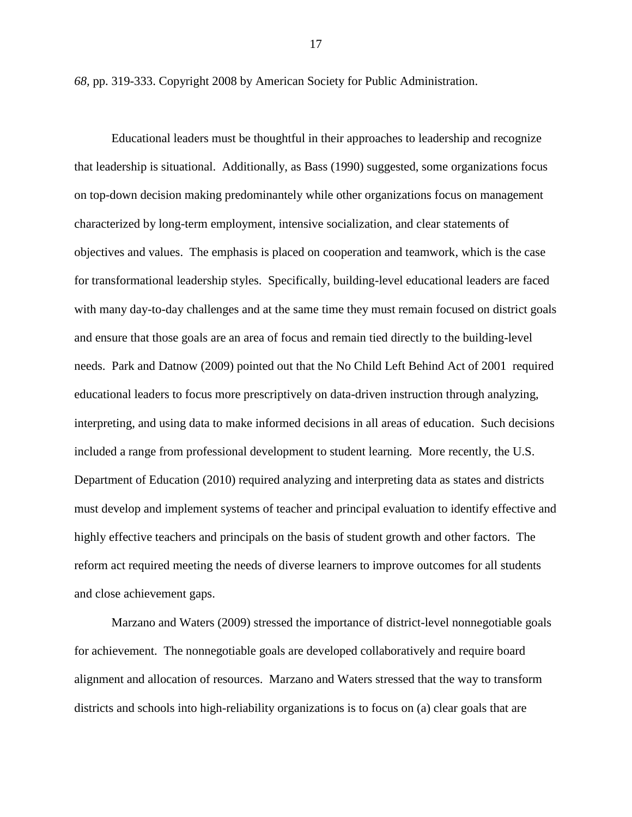*68,* pp. 319-333. Copyright 2008 by American Society for Public Administration.

Educational leaders must be thoughtful in their approaches to leadership and recognize that leadership is situational. Additionally, as Bass (1990) suggested, some organizations focus on top-down decision making predominantely while other organizations focus on management characterized by long-term employment, intensive socialization, and clear statements of objectives and values. The emphasis is placed on cooperation and teamwork, which is the case for transformational leadership styles. Specifically, building-level educational leaders are faced with many day-to-day challenges and at the same time they must remain focused on district goals and ensure that those goals are an area of focus and remain tied directly to the building-level needs. Park and Datnow (2009) pointed out that the No Child Left Behind Act of 2001 required educational leaders to focus more prescriptively on data-driven instruction through analyzing, interpreting, and using data to make informed decisions in all areas of education. Such decisions included a range from professional development to student learning. More recently, the U.S. Department of Education (2010) required analyzing and interpreting data as states and districts must develop and implement systems of teacher and principal evaluation to identify effective and highly effective teachers and principals on the basis of student growth and other factors. The reform act required meeting the needs of diverse learners to improve outcomes for all students and close achievement gaps.

Marzano and Waters (2009) stressed the importance of district-level nonnegotiable goals for achievement. The nonnegotiable goals are developed collaboratively and require board alignment and allocation of resources. Marzano and Waters stressed that the way to transform districts and schools into high-reliability organizations is to focus on (a) clear goals that are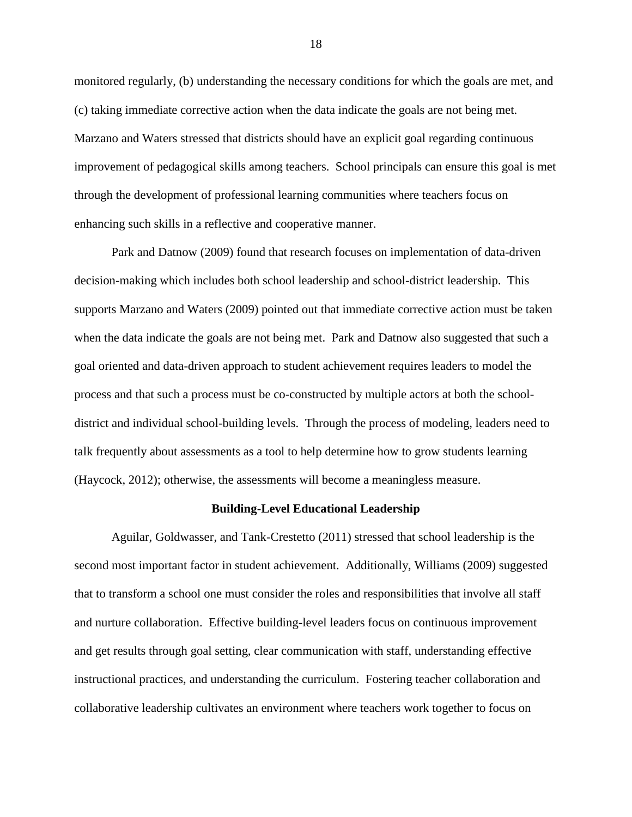monitored regularly, (b) understanding the necessary conditions for which the goals are met, and (c) taking immediate corrective action when the data indicate the goals are not being met. Marzano and Waters stressed that districts should have an explicit goal regarding continuous improvement of pedagogical skills among teachers. School principals can ensure this goal is met through the development of professional learning communities where teachers focus on enhancing such skills in a reflective and cooperative manner.

Park and Datnow (2009) found that research focuses on implementation of data-driven decision-making which includes both school leadership and school-district leadership. This supports Marzano and Waters (2009) pointed out that immediate corrective action must be taken when the data indicate the goals are not being met. Park and Datnow also suggested that such a goal oriented and data-driven approach to student achievement requires leaders to model the process and that such a process must be co-constructed by multiple actors at both the schooldistrict and individual school-building levels. Through the process of modeling, leaders need to talk frequently about assessments as a tool to help determine how to grow students learning (Haycock, 2012); otherwise, the assessments will become a meaningless measure.

#### **Building-Level Educational Leadership**

Aguilar, Goldwasser, and Tank-Crestetto (2011) stressed that school leadership is the second most important factor in student achievement. Additionally, Williams (2009) suggested that to transform a school one must consider the roles and responsibilities that involve all staff and nurture collaboration. Effective building-level leaders focus on continuous improvement and get results through goal setting, clear communication with staff, understanding effective instructional practices, and understanding the curriculum. Fostering teacher collaboration and collaborative leadership cultivates an environment where teachers work together to focus on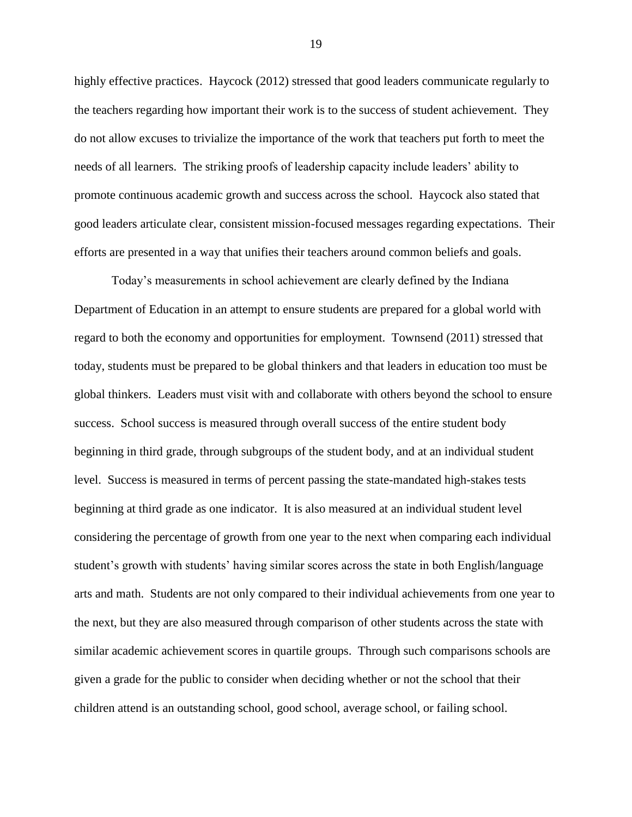highly effective practices. Haycock (2012) stressed that good leaders communicate regularly to the teachers regarding how important their work is to the success of student achievement. They do not allow excuses to trivialize the importance of the work that teachers put forth to meet the needs of all learners. The striking proofs of leadership capacity include leaders' ability to promote continuous academic growth and success across the school. Haycock also stated that good leaders articulate clear, consistent mission-focused messages regarding expectations. Their efforts are presented in a way that unifies their teachers around common beliefs and goals.

Today's measurements in school achievement are clearly defined by the Indiana Department of Education in an attempt to ensure students are prepared for a global world with regard to both the economy and opportunities for employment. Townsend (2011) stressed that today, students must be prepared to be global thinkers and that leaders in education too must be global thinkers. Leaders must visit with and collaborate with others beyond the school to ensure success. School success is measured through overall success of the entire student body beginning in third grade, through subgroups of the student body, and at an individual student level. Success is measured in terms of percent passing the state-mandated high-stakes tests beginning at third grade as one indicator. It is also measured at an individual student level considering the percentage of growth from one year to the next when comparing each individual student's growth with students' having similar scores across the state in both English/language arts and math. Students are not only compared to their individual achievements from one year to the next, but they are also measured through comparison of other students across the state with similar academic achievement scores in quartile groups. Through such comparisons schools are given a grade for the public to consider when deciding whether or not the school that their children attend is an outstanding school, good school, average school, or failing school.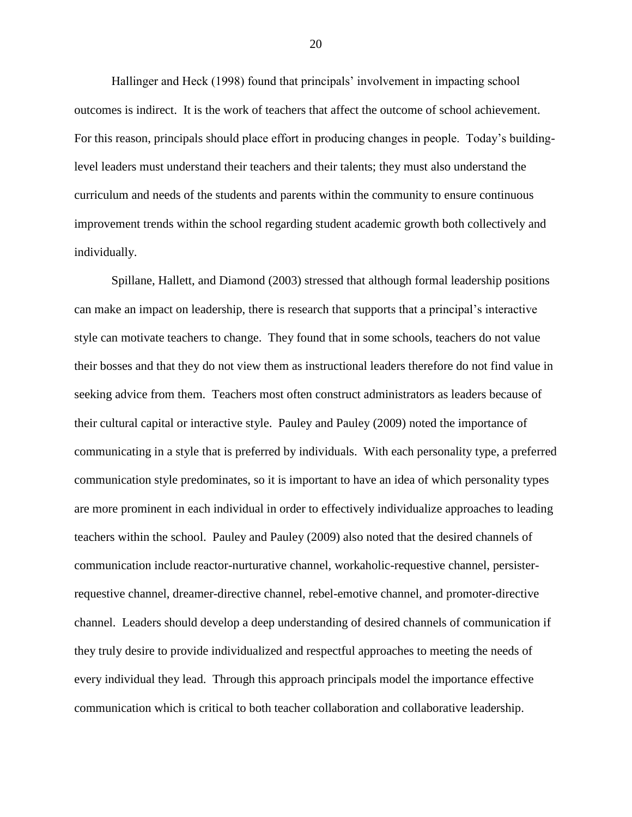Hallinger and Heck (1998) found that principals' involvement in impacting school outcomes is indirect. It is the work of teachers that affect the outcome of school achievement. For this reason, principals should place effort in producing changes in people. Today's buildinglevel leaders must understand their teachers and their talents; they must also understand the curriculum and needs of the students and parents within the community to ensure continuous improvement trends within the school regarding student academic growth both collectively and individually.

Spillane, Hallett, and Diamond (2003) stressed that although formal leadership positions can make an impact on leadership, there is research that supports that a principal's interactive style can motivate teachers to change. They found that in some schools, teachers do not value their bosses and that they do not view them as instructional leaders therefore do not find value in seeking advice from them. Teachers most often construct administrators as leaders because of their cultural capital or interactive style. Pauley and Pauley (2009) noted the importance of communicating in a style that is preferred by individuals. With each personality type, a preferred communication style predominates, so it is important to have an idea of which personality types are more prominent in each individual in order to effectively individualize approaches to leading teachers within the school. Pauley and Pauley (2009) also noted that the desired channels of communication include reactor-nurturative channel, workaholic-requestive channel, persisterrequestive channel, dreamer-directive channel, rebel-emotive channel, and promoter-directive channel. Leaders should develop a deep understanding of desired channels of communication if they truly desire to provide individualized and respectful approaches to meeting the needs of every individual they lead. Through this approach principals model the importance effective communication which is critical to both teacher collaboration and collaborative leadership.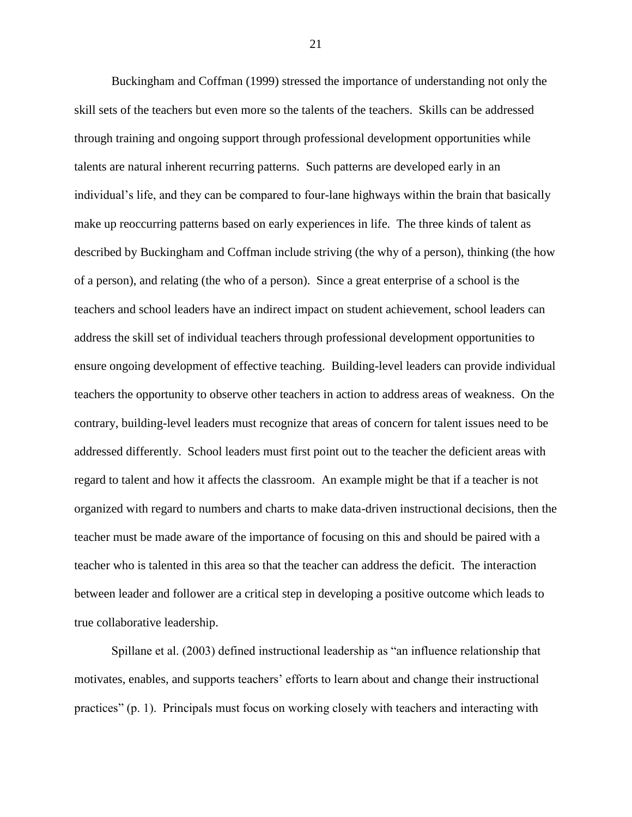Buckingham and Coffman (1999) stressed the importance of understanding not only the skill sets of the teachers but even more so the talents of the teachers. Skills can be addressed through training and ongoing support through professional development opportunities while talents are natural inherent recurring patterns. Such patterns are developed early in an individual's life, and they can be compared to four-lane highways within the brain that basically make up reoccurring patterns based on early experiences in life. The three kinds of talent as described by Buckingham and Coffman include striving (the why of a person), thinking (the how of a person), and relating (the who of a person). Since a great enterprise of a school is the teachers and school leaders have an indirect impact on student achievement, school leaders can address the skill set of individual teachers through professional development opportunities to ensure ongoing development of effective teaching. Building-level leaders can provide individual teachers the opportunity to observe other teachers in action to address areas of weakness. On the contrary, building-level leaders must recognize that areas of concern for talent issues need to be addressed differently. School leaders must first point out to the teacher the deficient areas with regard to talent and how it affects the classroom. An example might be that if a teacher is not organized with regard to numbers and charts to make data-driven instructional decisions, then the teacher must be made aware of the importance of focusing on this and should be paired with a teacher who is talented in this area so that the teacher can address the deficit. The interaction between leader and follower are a critical step in developing a positive outcome which leads to true collaborative leadership.

Spillane et al. (2003) defined instructional leadership as "an influence relationship that motivates, enables, and supports teachers' efforts to learn about and change their instructional practices" (p. 1). Principals must focus on working closely with teachers and interacting with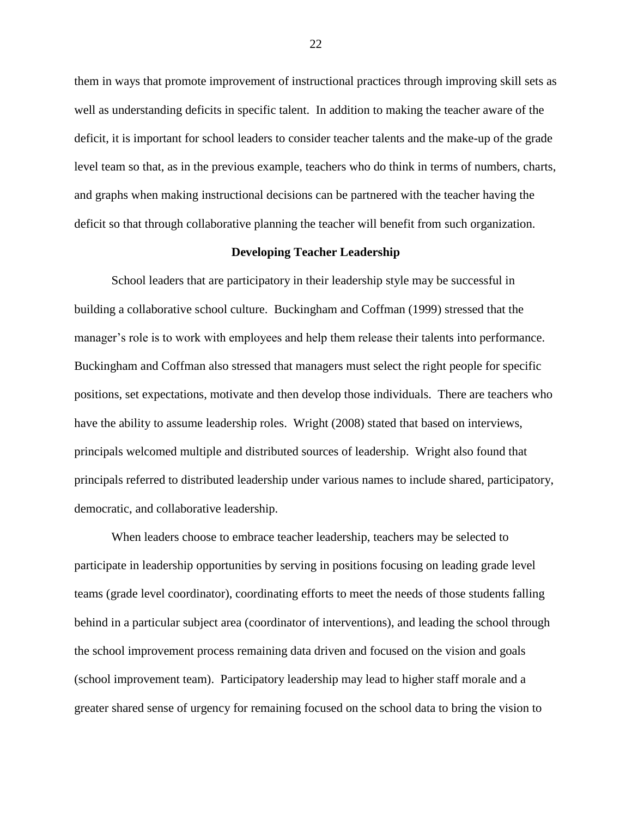them in ways that promote improvement of instructional practices through improving skill sets as well as understanding deficits in specific talent. In addition to making the teacher aware of the deficit, it is important for school leaders to consider teacher talents and the make-up of the grade level team so that, as in the previous example, teachers who do think in terms of numbers, charts, and graphs when making instructional decisions can be partnered with the teacher having the deficit so that through collaborative planning the teacher will benefit from such organization.

#### **Developing Teacher Leadership**

School leaders that are participatory in their leadership style may be successful in building a collaborative school culture. Buckingham and Coffman (1999) stressed that the manager's role is to work with employees and help them release their talents into performance. Buckingham and Coffman also stressed that managers must select the right people for specific positions, set expectations, motivate and then develop those individuals. There are teachers who have the ability to assume leadership roles. Wright (2008) stated that based on interviews, principals welcomed multiple and distributed sources of leadership. Wright also found that principals referred to distributed leadership under various names to include shared, participatory, democratic, and collaborative leadership.

When leaders choose to embrace teacher leadership, teachers may be selected to participate in leadership opportunities by serving in positions focusing on leading grade level teams (grade level coordinator), coordinating efforts to meet the needs of those students falling behind in a particular subject area (coordinator of interventions), and leading the school through the school improvement process remaining data driven and focused on the vision and goals (school improvement team). Participatory leadership may lead to higher staff morale and a greater shared sense of urgency for remaining focused on the school data to bring the vision to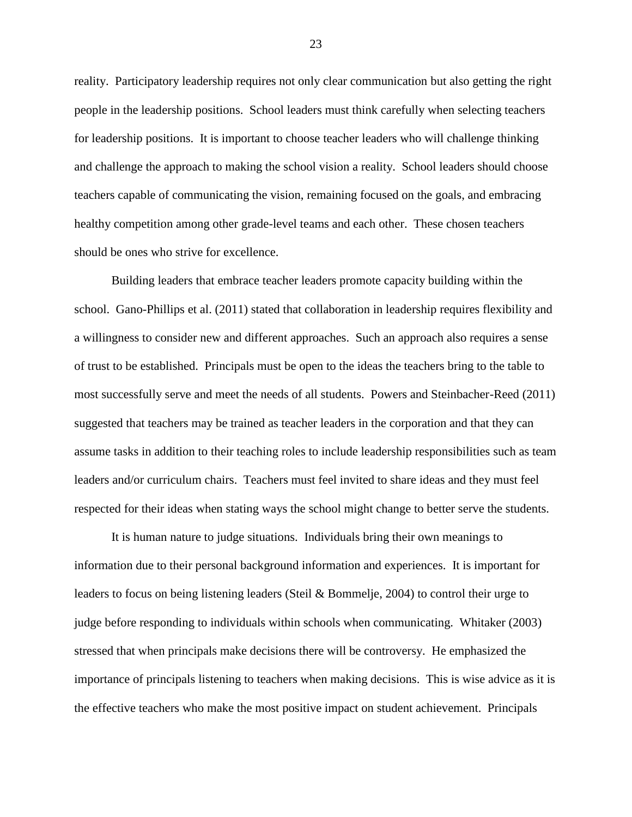reality. Participatory leadership requires not only clear communication but also getting the right people in the leadership positions. School leaders must think carefully when selecting teachers for leadership positions. It is important to choose teacher leaders who will challenge thinking and challenge the approach to making the school vision a reality. School leaders should choose teachers capable of communicating the vision, remaining focused on the goals, and embracing healthy competition among other grade-level teams and each other. These chosen teachers should be ones who strive for excellence.

Building leaders that embrace teacher leaders promote capacity building within the school. Gano-Phillips et al. (2011) stated that collaboration in leadership requires flexibility and a willingness to consider new and different approaches. Such an approach also requires a sense of trust to be established. Principals must be open to the ideas the teachers bring to the table to most successfully serve and meet the needs of all students. Powers and Steinbacher-Reed (2011) suggested that teachers may be trained as teacher leaders in the corporation and that they can assume tasks in addition to their teaching roles to include leadership responsibilities such as team leaders and/or curriculum chairs. Teachers must feel invited to share ideas and they must feel respected for their ideas when stating ways the school might change to better serve the students.

It is human nature to judge situations. Individuals bring their own meanings to information due to their personal background information and experiences. It is important for leaders to focus on being listening leaders (Steil & Bommelje, 2004) to control their urge to judge before responding to individuals within schools when communicating. Whitaker (2003) stressed that when principals make decisions there will be controversy. He emphasized the importance of principals listening to teachers when making decisions. This is wise advice as it is the effective teachers who make the most positive impact on student achievement. Principals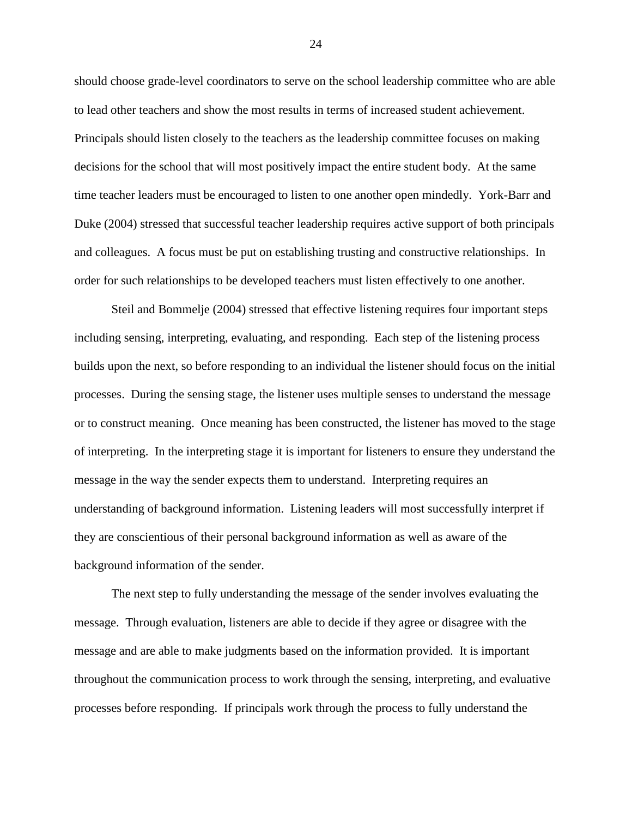should choose grade-level coordinators to serve on the school leadership committee who are able to lead other teachers and show the most results in terms of increased student achievement. Principals should listen closely to the teachers as the leadership committee focuses on making decisions for the school that will most positively impact the entire student body. At the same time teacher leaders must be encouraged to listen to one another open mindedly. York-Barr and Duke (2004) stressed that successful teacher leadership requires active support of both principals and colleagues. A focus must be put on establishing trusting and constructive relationships. In order for such relationships to be developed teachers must listen effectively to one another.

Steil and Bommelje (2004) stressed that effective listening requires four important steps including sensing, interpreting, evaluating, and responding. Each step of the listening process builds upon the next, so before responding to an individual the listener should focus on the initial processes. During the sensing stage, the listener uses multiple senses to understand the message or to construct meaning. Once meaning has been constructed, the listener has moved to the stage of interpreting. In the interpreting stage it is important for listeners to ensure they understand the message in the way the sender expects them to understand. Interpreting requires an understanding of background information. Listening leaders will most successfully interpret if they are conscientious of their personal background information as well as aware of the background information of the sender.

The next step to fully understanding the message of the sender involves evaluating the message. Through evaluation, listeners are able to decide if they agree or disagree with the message and are able to make judgments based on the information provided. It is important throughout the communication process to work through the sensing, interpreting, and evaluative processes before responding. If principals work through the process to fully understand the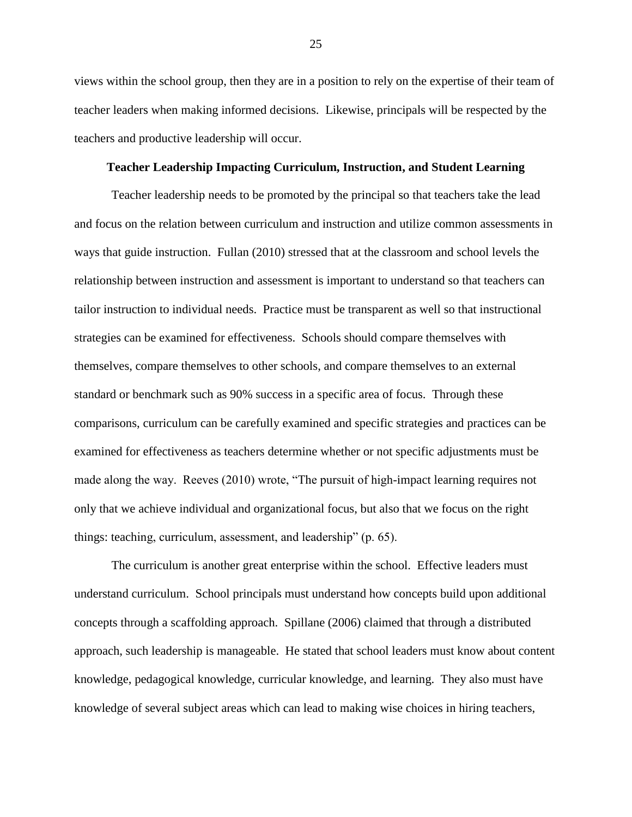views within the school group, then they are in a position to rely on the expertise of their team of teacher leaders when making informed decisions. Likewise, principals will be respected by the teachers and productive leadership will occur.

#### **Teacher Leadership Impacting Curriculum, Instruction, and Student Learning**

Teacher leadership needs to be promoted by the principal so that teachers take the lead and focus on the relation between curriculum and instruction and utilize common assessments in ways that guide instruction. Fullan (2010) stressed that at the classroom and school levels the relationship between instruction and assessment is important to understand so that teachers can tailor instruction to individual needs. Practice must be transparent as well so that instructional strategies can be examined for effectiveness. Schools should compare themselves with themselves, compare themselves to other schools, and compare themselves to an external standard or benchmark such as 90% success in a specific area of focus. Through these comparisons, curriculum can be carefully examined and specific strategies and practices can be examined for effectiveness as teachers determine whether or not specific adjustments must be made along the way. Reeves (2010) wrote, "The pursuit of high-impact learning requires not only that we achieve individual and organizational focus, but also that we focus on the right things: teaching, curriculum, assessment, and leadership" (p. 65).

The curriculum is another great enterprise within the school. Effective leaders must understand curriculum. School principals must understand how concepts build upon additional concepts through a scaffolding approach. Spillane (2006) claimed that through a distributed approach, such leadership is manageable. He stated that school leaders must know about content knowledge, pedagogical knowledge, curricular knowledge, and learning. They also must have knowledge of several subject areas which can lead to making wise choices in hiring teachers,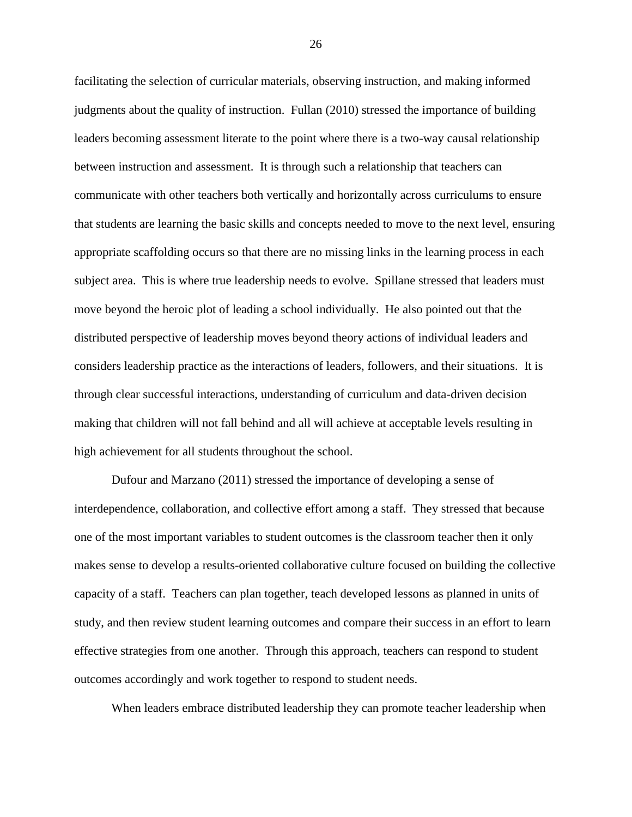facilitating the selection of curricular materials, observing instruction, and making informed judgments about the quality of instruction. Fullan (2010) stressed the importance of building leaders becoming assessment literate to the point where there is a two-way causal relationship between instruction and assessment. It is through such a relationship that teachers can communicate with other teachers both vertically and horizontally across curriculums to ensure that students are learning the basic skills and concepts needed to move to the next level, ensuring appropriate scaffolding occurs so that there are no missing links in the learning process in each subject area. This is where true leadership needs to evolve. Spillane stressed that leaders must move beyond the heroic plot of leading a school individually. He also pointed out that the distributed perspective of leadership moves beyond theory actions of individual leaders and considers leadership practice as the interactions of leaders, followers, and their situations. It is through clear successful interactions, understanding of curriculum and data-driven decision making that children will not fall behind and all will achieve at acceptable levels resulting in high achievement for all students throughout the school.

Dufour and Marzano (2011) stressed the importance of developing a sense of interdependence, collaboration, and collective effort among a staff. They stressed that because one of the most important variables to student outcomes is the classroom teacher then it only makes sense to develop a results-oriented collaborative culture focused on building the collective capacity of a staff. Teachers can plan together, teach developed lessons as planned in units of study, and then review student learning outcomes and compare their success in an effort to learn effective strategies from one another. Through this approach, teachers can respond to student outcomes accordingly and work together to respond to student needs.

When leaders embrace distributed leadership they can promote teacher leadership when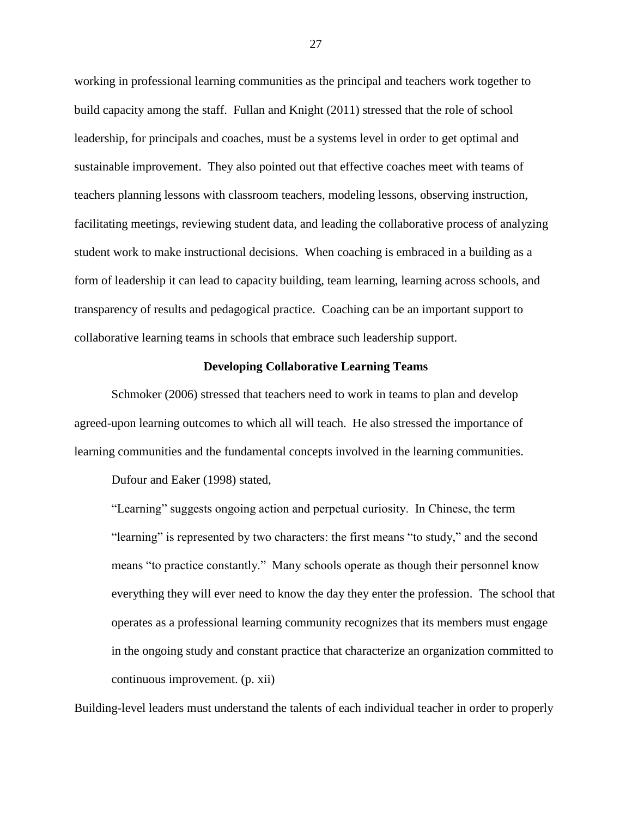working in professional learning communities as the principal and teachers work together to build capacity among the staff. Fullan and Knight (2011) stressed that the role of school leadership, for principals and coaches, must be a systems level in order to get optimal and sustainable improvement. They also pointed out that effective coaches meet with teams of teachers planning lessons with classroom teachers, modeling lessons, observing instruction, facilitating meetings, reviewing student data, and leading the collaborative process of analyzing student work to make instructional decisions. When coaching is embraced in a building as a form of leadership it can lead to capacity building, team learning, learning across schools, and transparency of results and pedagogical practice. Coaching can be an important support to collaborative learning teams in schools that embrace such leadership support.

# **Developing Collaborative Learning Teams**

Schmoker (2006) stressed that teachers need to work in teams to plan and develop agreed-upon learning outcomes to which all will teach. He also stressed the importance of learning communities and the fundamental concepts involved in the learning communities.

Dufour and Eaker (1998) stated,

"Learning" suggests ongoing action and perpetual curiosity. In Chinese, the term "learning" is represented by two characters: the first means "to study," and the second means "to practice constantly." Many schools operate as though their personnel know everything they will ever need to know the day they enter the profession. The school that operates as a professional learning community recognizes that its members must engage in the ongoing study and constant practice that characterize an organization committed to continuous improvement. (p. xii)

Building-level leaders must understand the talents of each individual teacher in order to properly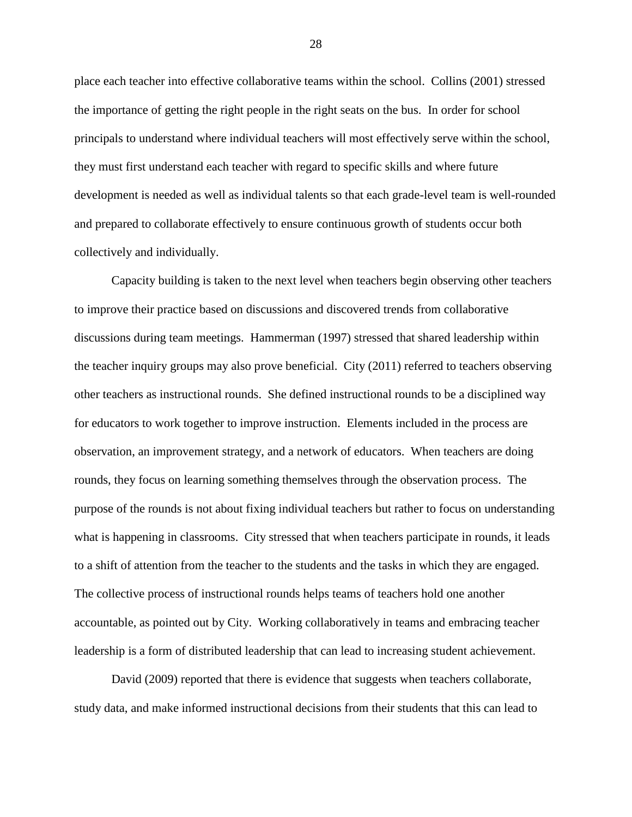place each teacher into effective collaborative teams within the school. Collins (2001) stressed the importance of getting the right people in the right seats on the bus. In order for school principals to understand where individual teachers will most effectively serve within the school, they must first understand each teacher with regard to specific skills and where future development is needed as well as individual talents so that each grade-level team is well-rounded and prepared to collaborate effectively to ensure continuous growth of students occur both collectively and individually.

Capacity building is taken to the next level when teachers begin observing other teachers to improve their practice based on discussions and discovered trends from collaborative discussions during team meetings. Hammerman (1997) stressed that shared leadership within the teacher inquiry groups may also prove beneficial. City (2011) referred to teachers observing other teachers as instructional rounds. She defined instructional rounds to be a disciplined way for educators to work together to improve instruction. Elements included in the process are observation, an improvement strategy, and a network of educators. When teachers are doing rounds, they focus on learning something themselves through the observation process. The purpose of the rounds is not about fixing individual teachers but rather to focus on understanding what is happening in classrooms. City stressed that when teachers participate in rounds, it leads to a shift of attention from the teacher to the students and the tasks in which they are engaged. The collective process of instructional rounds helps teams of teachers hold one another accountable, as pointed out by City. Working collaboratively in teams and embracing teacher leadership is a form of distributed leadership that can lead to increasing student achievement.

David (2009) reported that there is evidence that suggests when teachers collaborate, study data, and make informed instructional decisions from their students that this can lead to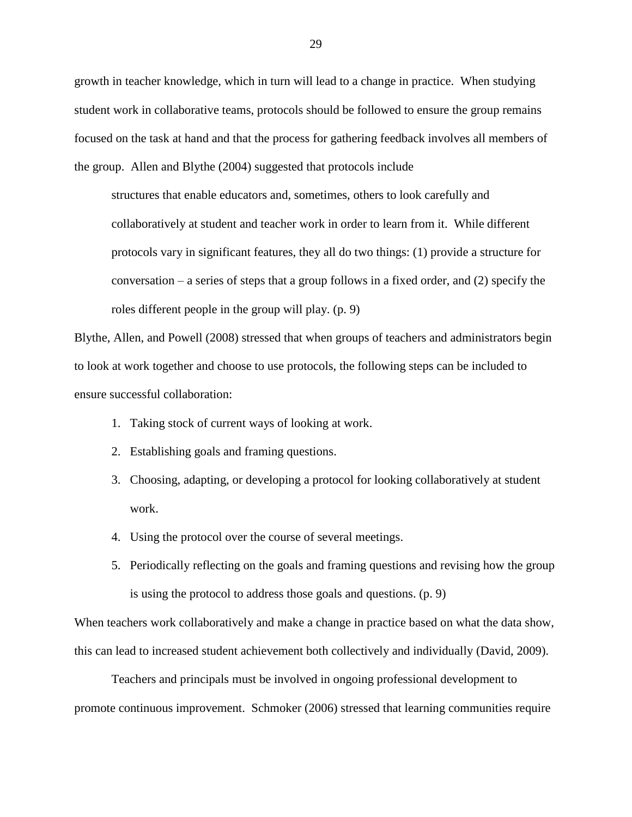growth in teacher knowledge, which in turn will lead to a change in practice. When studying student work in collaborative teams, protocols should be followed to ensure the group remains focused on the task at hand and that the process for gathering feedback involves all members of the group. Allen and Blythe (2004) suggested that protocols include

structures that enable educators and, sometimes, others to look carefully and collaboratively at student and teacher work in order to learn from it. While different protocols vary in significant features, they all do two things: (1) provide a structure for conversation – a series of steps that a group follows in a fixed order, and (2) specify the roles different people in the group will play. (p. 9)

Blythe, Allen, and Powell (2008) stressed that when groups of teachers and administrators begin to look at work together and choose to use protocols, the following steps can be included to ensure successful collaboration:

- 1. Taking stock of current ways of looking at work.
- 2. Establishing goals and framing questions.
- 3. Choosing, adapting, or developing a protocol for looking collaboratively at student work.
- 4. Using the protocol over the course of several meetings.
- 5. Periodically reflecting on the goals and framing questions and revising how the group is using the protocol to address those goals and questions. (p. 9)

When teachers work collaboratively and make a change in practice based on what the data show, this can lead to increased student achievement both collectively and individually (David, 2009).

Teachers and principals must be involved in ongoing professional development to promote continuous improvement. Schmoker (2006) stressed that learning communities require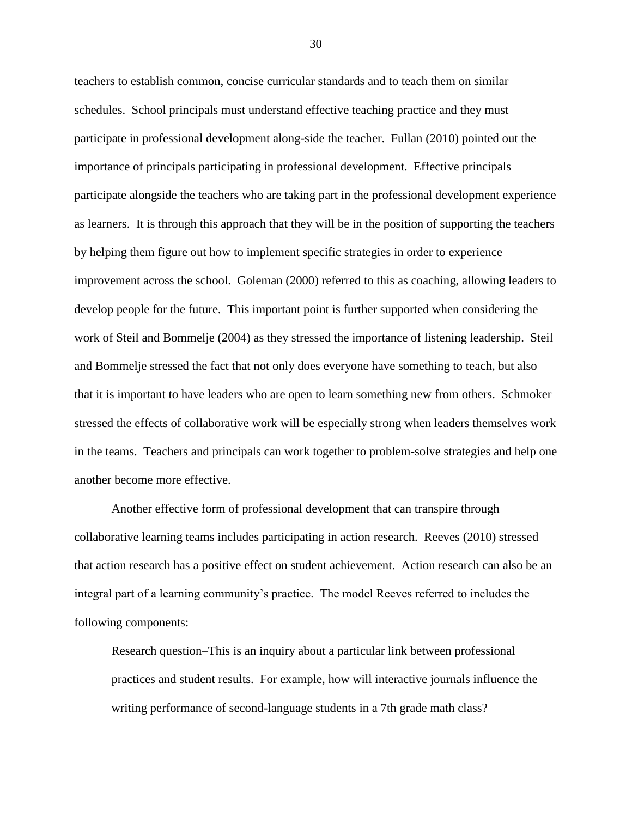teachers to establish common, concise curricular standards and to teach them on similar schedules. School principals must understand effective teaching practice and they must participate in professional development along-side the teacher. Fullan (2010) pointed out the importance of principals participating in professional development. Effective principals participate alongside the teachers who are taking part in the professional development experience as learners. It is through this approach that they will be in the position of supporting the teachers by helping them figure out how to implement specific strategies in order to experience improvement across the school. Goleman (2000) referred to this as coaching, allowing leaders to develop people for the future. This important point is further supported when considering the work of Steil and Bommelje (2004) as they stressed the importance of listening leadership. Steil and Bommelje stressed the fact that not only does everyone have something to teach, but also that it is important to have leaders who are open to learn something new from others. Schmoker stressed the effects of collaborative work will be especially strong when leaders themselves work in the teams. Teachers and principals can work together to problem-solve strategies and help one another become more effective.

Another effective form of professional development that can transpire through collaborative learning teams includes participating in action research. Reeves (2010) stressed that action research has a positive effect on student achievement. Action research can also be an integral part of a learning community's practice. The model Reeves referred to includes the following components:

Research question–This is an inquiry about a particular link between professional practices and student results. For example, how will interactive journals influence the writing performance of second-language students in a 7th grade math class?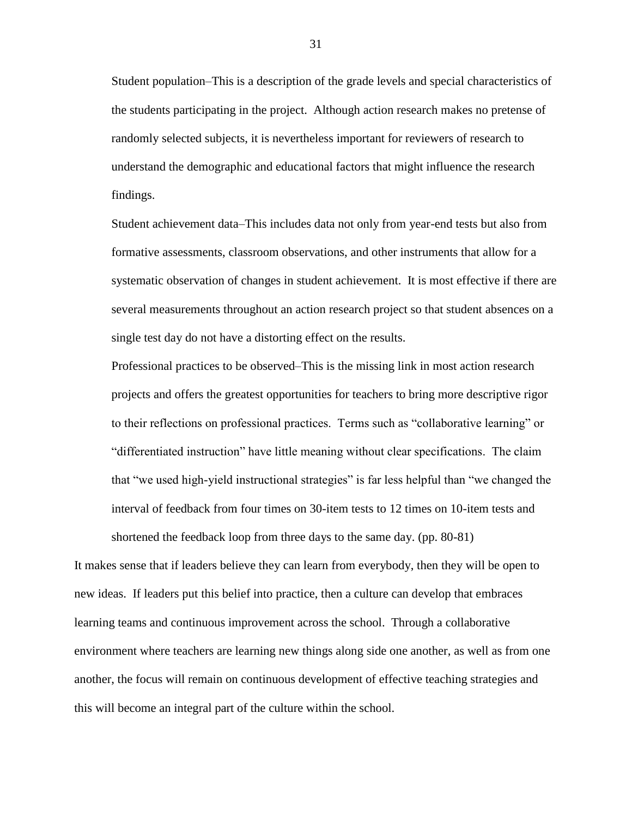Student population–This is a description of the grade levels and special characteristics of the students participating in the project. Although action research makes no pretense of randomly selected subjects, it is nevertheless important for reviewers of research to understand the demographic and educational factors that might influence the research findings.

Student achievement data–This includes data not only from year-end tests but also from formative assessments, classroom observations, and other instruments that allow for a systematic observation of changes in student achievement. It is most effective if there are several measurements throughout an action research project so that student absences on a single test day do not have a distorting effect on the results.

Professional practices to be observed–This is the missing link in most action research projects and offers the greatest opportunities for teachers to bring more descriptive rigor to their reflections on professional practices. Terms such as "collaborative learning" or "differentiated instruction" have little meaning without clear specifications. The claim that "we used high-yield instructional strategies" is far less helpful than "we changed the interval of feedback from four times on 30-item tests to 12 times on 10-item tests and shortened the feedback loop from three days to the same day. (pp. 80-81)

It makes sense that if leaders believe they can learn from everybody, then they will be open to new ideas. If leaders put this belief into practice, then a culture can develop that embraces learning teams and continuous improvement across the school. Through a collaborative environment where teachers are learning new things along side one another, as well as from one another, the focus will remain on continuous development of effective teaching strategies and this will become an integral part of the culture within the school.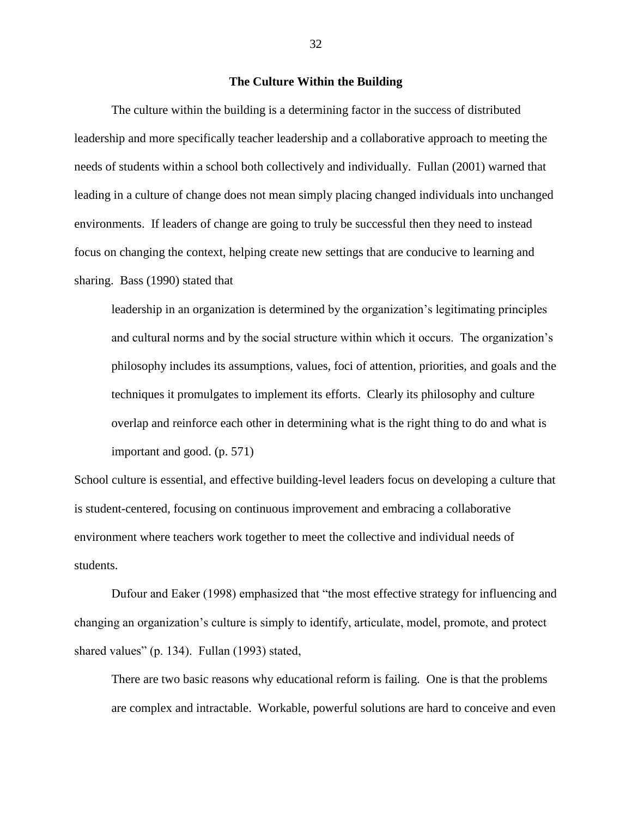## **The Culture Within the Building**

The culture within the building is a determining factor in the success of distributed leadership and more specifically teacher leadership and a collaborative approach to meeting the needs of students within a school both collectively and individually. Fullan (2001) warned that leading in a culture of change does not mean simply placing changed individuals into unchanged environments. If leaders of change are going to truly be successful then they need to instead focus on changing the context, helping create new settings that are conducive to learning and sharing. Bass (1990) stated that

leadership in an organization is determined by the organization's legitimating principles and cultural norms and by the social structure within which it occurs. The organization's philosophy includes its assumptions, values, foci of attention, priorities, and goals and the techniques it promulgates to implement its efforts. Clearly its philosophy and culture overlap and reinforce each other in determining what is the right thing to do and what is important and good. (p. 571)

School culture is essential, and effective building-level leaders focus on developing a culture that is student-centered, focusing on continuous improvement and embracing a collaborative environment where teachers work together to meet the collective and individual needs of students.

Dufour and Eaker (1998) emphasized that "the most effective strategy for influencing and changing an organization's culture is simply to identify, articulate, model, promote, and protect shared values" (p. 134). Fullan (1993) stated,

There are two basic reasons why educational reform is failing. One is that the problems are complex and intractable. Workable, powerful solutions are hard to conceive and even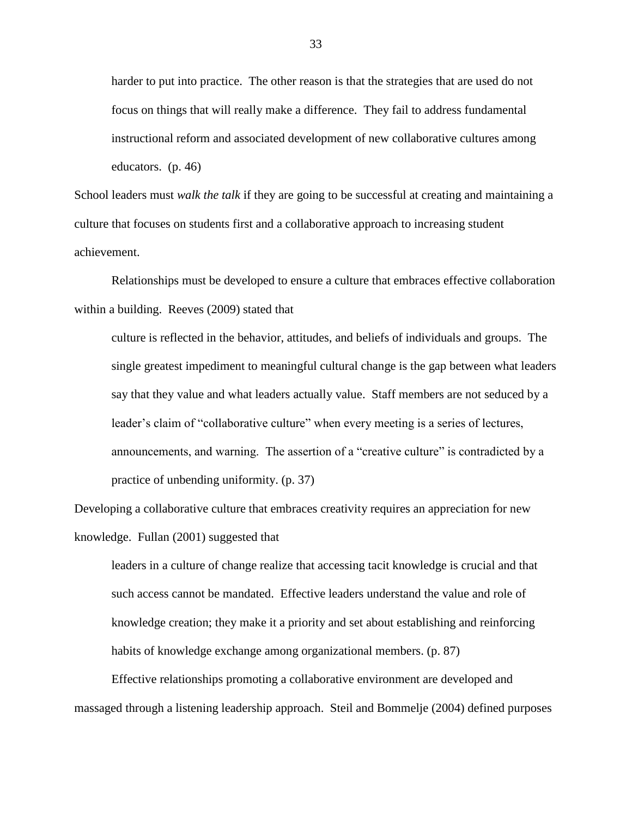harder to put into practice. The other reason is that the strategies that are used do not focus on things that will really make a difference. They fail to address fundamental instructional reform and associated development of new collaborative cultures among educators. (p. 46)

School leaders must *walk the talk* if they are going to be successful at creating and maintaining a culture that focuses on students first and a collaborative approach to increasing student achievement.

Relationships must be developed to ensure a culture that embraces effective collaboration within a building. Reeves (2009) stated that

culture is reflected in the behavior, attitudes, and beliefs of individuals and groups. The single greatest impediment to meaningful cultural change is the gap between what leaders say that they value and what leaders actually value. Staff members are not seduced by a leader's claim of "collaborative culture" when every meeting is a series of lectures, announcements, and warning. The assertion of a "creative culture" is contradicted by a practice of unbending uniformity. (p. 37)

Developing a collaborative culture that embraces creativity requires an appreciation for new knowledge. Fullan (2001) suggested that

leaders in a culture of change realize that accessing tacit knowledge is crucial and that such access cannot be mandated. Effective leaders understand the value and role of knowledge creation; they make it a priority and set about establishing and reinforcing habits of knowledge exchange among organizational members. (p. 87)

Effective relationships promoting a collaborative environment are developed and massaged through a listening leadership approach. Steil and Bommelje (2004) defined purposes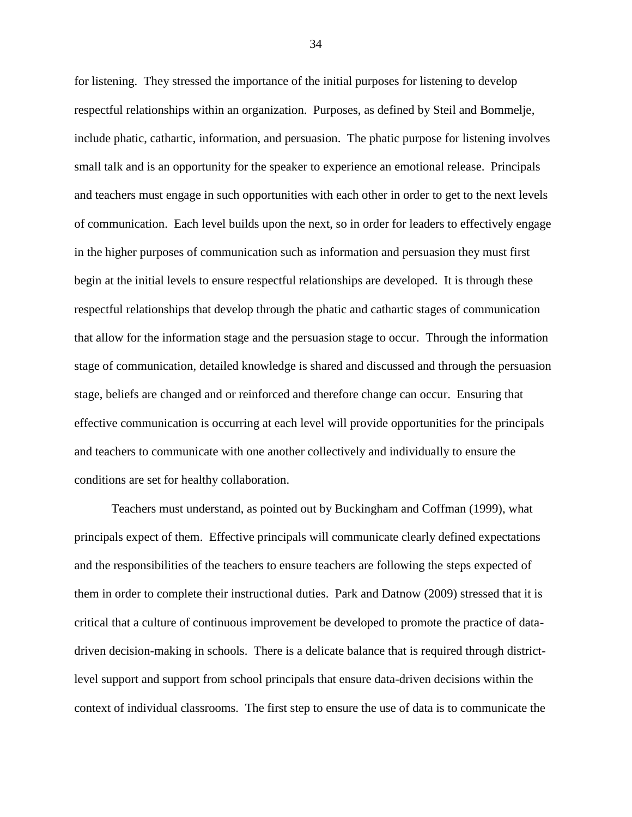for listening. They stressed the importance of the initial purposes for listening to develop respectful relationships within an organization. Purposes, as defined by Steil and Bommelje, include phatic, cathartic, information, and persuasion. The phatic purpose for listening involves small talk and is an opportunity for the speaker to experience an emotional release. Principals and teachers must engage in such opportunities with each other in order to get to the next levels of communication. Each level builds upon the next, so in order for leaders to effectively engage in the higher purposes of communication such as information and persuasion they must first begin at the initial levels to ensure respectful relationships are developed. It is through these respectful relationships that develop through the phatic and cathartic stages of communication that allow for the information stage and the persuasion stage to occur. Through the information stage of communication, detailed knowledge is shared and discussed and through the persuasion stage, beliefs are changed and or reinforced and therefore change can occur. Ensuring that effective communication is occurring at each level will provide opportunities for the principals and teachers to communicate with one another collectively and individually to ensure the conditions are set for healthy collaboration.

Teachers must understand, as pointed out by Buckingham and Coffman (1999), what principals expect of them. Effective principals will communicate clearly defined expectations and the responsibilities of the teachers to ensure teachers are following the steps expected of them in order to complete their instructional duties. Park and Datnow (2009) stressed that it is critical that a culture of continuous improvement be developed to promote the practice of datadriven decision-making in schools. There is a delicate balance that is required through districtlevel support and support from school principals that ensure data-driven decisions within the context of individual classrooms. The first step to ensure the use of data is to communicate the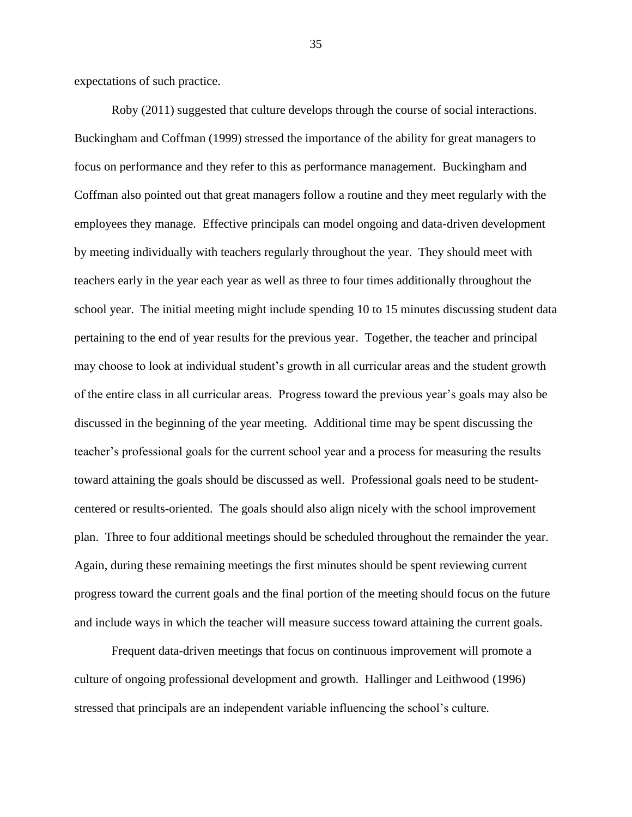expectations of such practice.

Roby (2011) suggested that culture develops through the course of social interactions. Buckingham and Coffman (1999) stressed the importance of the ability for great managers to focus on performance and they refer to this as performance management. Buckingham and Coffman also pointed out that great managers follow a routine and they meet regularly with the employees they manage. Effective principals can model ongoing and data-driven development by meeting individually with teachers regularly throughout the year. They should meet with teachers early in the year each year as well as three to four times additionally throughout the school year. The initial meeting might include spending 10 to 15 minutes discussing student data pertaining to the end of year results for the previous year. Together, the teacher and principal may choose to look at individual student's growth in all curricular areas and the student growth of the entire class in all curricular areas. Progress toward the previous year's goals may also be discussed in the beginning of the year meeting. Additional time may be spent discussing the teacher's professional goals for the current school year and a process for measuring the results toward attaining the goals should be discussed as well. Professional goals need to be studentcentered or results-oriented. The goals should also align nicely with the school improvement plan. Three to four additional meetings should be scheduled throughout the remainder the year. Again, during these remaining meetings the first minutes should be spent reviewing current progress toward the current goals and the final portion of the meeting should focus on the future and include ways in which the teacher will measure success toward attaining the current goals.

Frequent data-driven meetings that focus on continuous improvement will promote a culture of ongoing professional development and growth. Hallinger and Leithwood (1996) stressed that principals are an independent variable influencing the school's culture.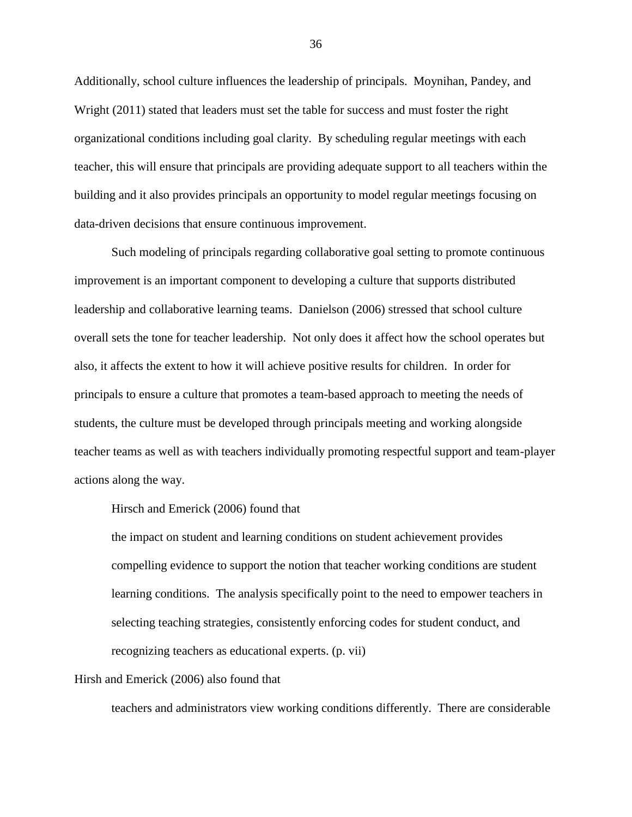Additionally, school culture influences the leadership of principals. Moynihan, Pandey, and Wright (2011) stated that leaders must set the table for success and must foster the right organizational conditions including goal clarity. By scheduling regular meetings with each teacher, this will ensure that principals are providing adequate support to all teachers within the building and it also provides principals an opportunity to model regular meetings focusing on data-driven decisions that ensure continuous improvement.

Such modeling of principals regarding collaborative goal setting to promote continuous improvement is an important component to developing a culture that supports distributed leadership and collaborative learning teams. Danielson (2006) stressed that school culture overall sets the tone for teacher leadership. Not only does it affect how the school operates but also, it affects the extent to how it will achieve positive results for children. In order for principals to ensure a culture that promotes a team-based approach to meeting the needs of students, the culture must be developed through principals meeting and working alongside teacher teams as well as with teachers individually promoting respectful support and team-player actions along the way.

#### Hirsch and Emerick (2006) found that

the impact on student and learning conditions on student achievement provides compelling evidence to support the notion that teacher working conditions are student learning conditions. The analysis specifically point to the need to empower teachers in selecting teaching strategies, consistently enforcing codes for student conduct, and recognizing teachers as educational experts. (p. vii)

Hirsh and Emerick (2006) also found that

teachers and administrators view working conditions differently. There are considerable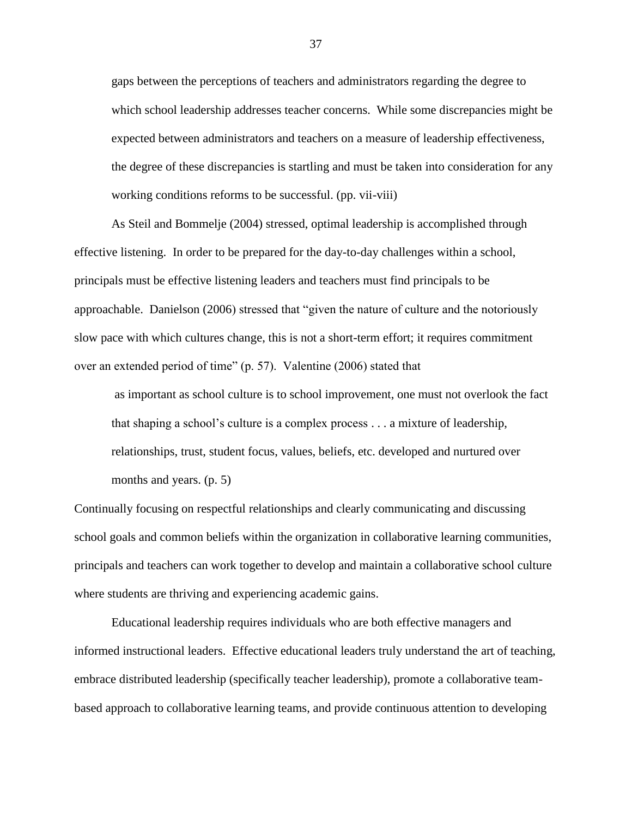gaps between the perceptions of teachers and administrators regarding the degree to which school leadership addresses teacher concerns. While some discrepancies might be expected between administrators and teachers on a measure of leadership effectiveness, the degree of these discrepancies is startling and must be taken into consideration for any working conditions reforms to be successful. (pp. vii-viii)

As Steil and Bommelje (2004) stressed, optimal leadership is accomplished through effective listening. In order to be prepared for the day-to-day challenges within a school, principals must be effective listening leaders and teachers must find principals to be approachable. Danielson (2006) stressed that "given the nature of culture and the notoriously slow pace with which cultures change, this is not a short-term effort; it requires commitment over an extended period of time" (p. 57). Valentine (2006) stated that

as important as school culture is to school improvement, one must not overlook the fact that shaping a school's culture is a complex process . . . a mixture of leadership, relationships, trust, student focus, values, beliefs, etc. developed and nurtured over months and years. (p. 5)

Continually focusing on respectful relationships and clearly communicating and discussing school goals and common beliefs within the organization in collaborative learning communities, principals and teachers can work together to develop and maintain a collaborative school culture where students are thriving and experiencing academic gains.

Educational leadership requires individuals who are both effective managers and informed instructional leaders. Effective educational leaders truly understand the art of teaching, embrace distributed leadership (specifically teacher leadership), promote a collaborative teambased approach to collaborative learning teams, and provide continuous attention to developing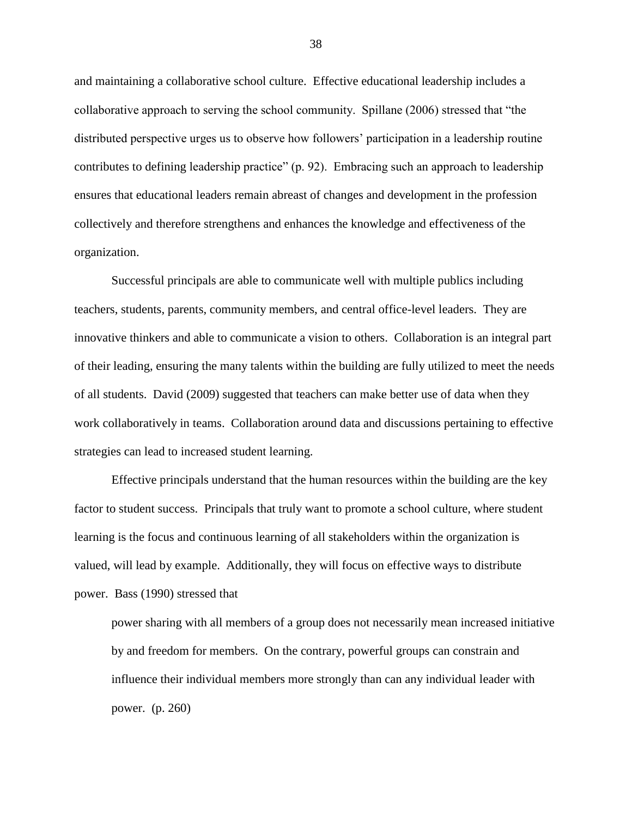and maintaining a collaborative school culture. Effective educational leadership includes a collaborative approach to serving the school community. Spillane (2006) stressed that "the distributed perspective urges us to observe how followers' participation in a leadership routine contributes to defining leadership practice" (p. 92). Embracing such an approach to leadership ensures that educational leaders remain abreast of changes and development in the profession collectively and therefore strengthens and enhances the knowledge and effectiveness of the organization.

Successful principals are able to communicate well with multiple publics including teachers, students, parents, community members, and central office-level leaders. They are innovative thinkers and able to communicate a vision to others. Collaboration is an integral part of their leading, ensuring the many talents within the building are fully utilized to meet the needs of all students. David (2009) suggested that teachers can make better use of data when they work collaboratively in teams. Collaboration around data and discussions pertaining to effective strategies can lead to increased student learning.

Effective principals understand that the human resources within the building are the key factor to student success. Principals that truly want to promote a school culture, where student learning is the focus and continuous learning of all stakeholders within the organization is valued, will lead by example. Additionally, they will focus on effective ways to distribute power. Bass (1990) stressed that

power sharing with all members of a group does not necessarily mean increased initiative by and freedom for members. On the contrary, powerful groups can constrain and influence their individual members more strongly than can any individual leader with power. (p. 260)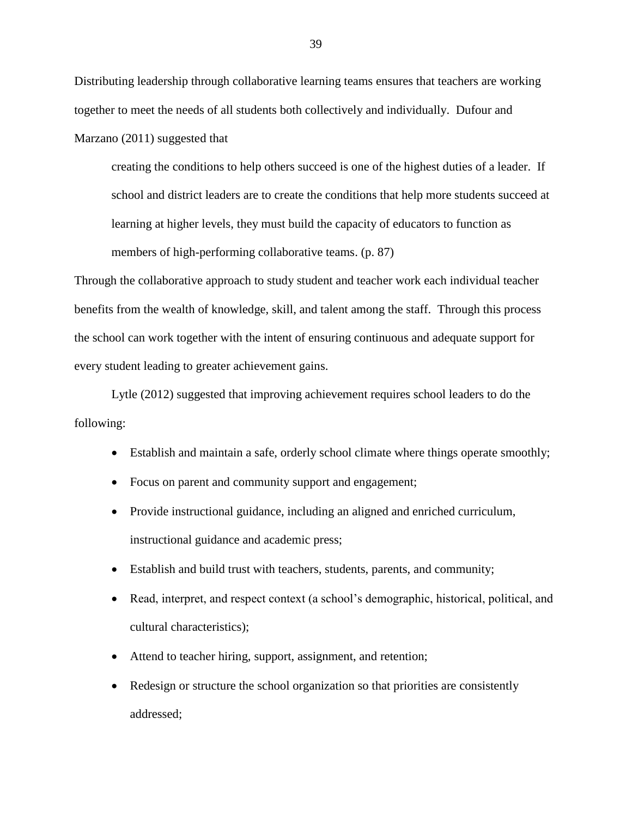Distributing leadership through collaborative learning teams ensures that teachers are working together to meet the needs of all students both collectively and individually. Dufour and Marzano (2011) suggested that

creating the conditions to help others succeed is one of the highest duties of a leader. If school and district leaders are to create the conditions that help more students succeed at learning at higher levels, they must build the capacity of educators to function as members of high-performing collaborative teams. (p. 87)

Through the collaborative approach to study student and teacher work each individual teacher benefits from the wealth of knowledge, skill, and talent among the staff. Through this process the school can work together with the intent of ensuring continuous and adequate support for every student leading to greater achievement gains.

Lytle (2012) suggested that improving achievement requires school leaders to do the following:

- Establish and maintain a safe, orderly school climate where things operate smoothly;
- Focus on parent and community support and engagement;
- Provide instructional guidance, including an aligned and enriched curriculum, instructional guidance and academic press;
- Establish and build trust with teachers, students, parents, and community;
- Read, interpret, and respect context (a school's demographic, historical, political, and cultural characteristics);
- Attend to teacher hiring, support, assignment, and retention;
- Redesign or structure the school organization so that priorities are consistently addressed;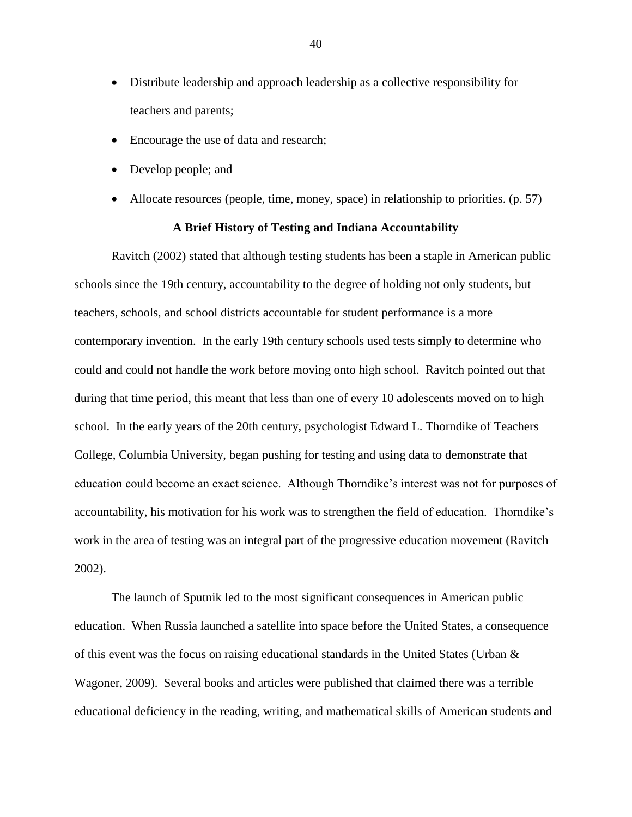- Distribute leadership and approach leadership as a collective responsibility for teachers and parents;
- Encourage the use of data and research;
- Develop people; and
- Allocate resources (people, time, money, space) in relationship to priorities. (p. 57)

# **A Brief History of Testing and Indiana Accountability**

Ravitch (2002) stated that although testing students has been a staple in American public schools since the 19th century, accountability to the degree of holding not only students, but teachers, schools, and school districts accountable for student performance is a more contemporary invention. In the early 19th century schools used tests simply to determine who could and could not handle the work before moving onto high school. Ravitch pointed out that during that time period, this meant that less than one of every 10 adolescents moved on to high school. In the early years of the 20th century, psychologist Edward L. Thorndike of Teachers College, Columbia University, began pushing for testing and using data to demonstrate that education could become an exact science. Although Thorndike's interest was not for purposes of accountability, his motivation for his work was to strengthen the field of education. Thorndike's work in the area of testing was an integral part of the progressive education movement (Ravitch 2002).

The launch of Sputnik led to the most significant consequences in American public education. When Russia launched a satellite into space before the United States, a consequence of this event was the focus on raising educational standards in the United States (Urban & Wagoner, 2009). Several books and articles were published that claimed there was a terrible educational deficiency in the reading, writing, and mathematical skills of American students and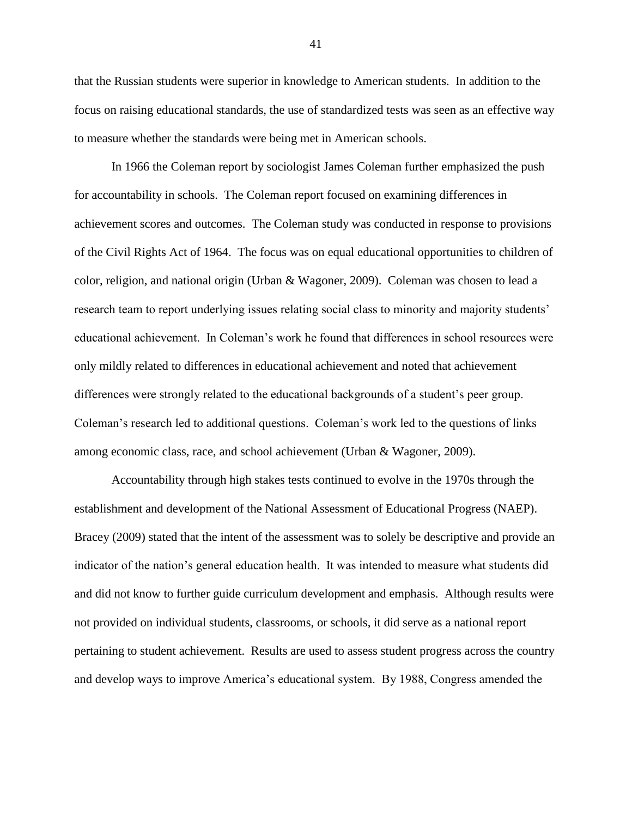that the Russian students were superior in knowledge to American students. In addition to the focus on raising educational standards, the use of standardized tests was seen as an effective way to measure whether the standards were being met in American schools.

In 1966 the Coleman report by sociologist James Coleman further emphasized the push for accountability in schools. The Coleman report focused on examining differences in achievement scores and outcomes. The Coleman study was conducted in response to provisions of the Civil Rights Act of 1964. The focus was on equal educational opportunities to children of color, religion, and national origin (Urban & Wagoner, 2009). Coleman was chosen to lead a research team to report underlying issues relating social class to minority and majority students' educational achievement. In Coleman's work he found that differences in school resources were only mildly related to differences in educational achievement and noted that achievement differences were strongly related to the educational backgrounds of a student's peer group. Coleman's research led to additional questions. Coleman's work led to the questions of links among economic class, race, and school achievement (Urban & Wagoner, 2009).

Accountability through high stakes tests continued to evolve in the 1970s through the establishment and development of the National Assessment of Educational Progress (NAEP). Bracey (2009) stated that the intent of the assessment was to solely be descriptive and provide an indicator of the nation's general education health. It was intended to measure what students did and did not know to further guide curriculum development and emphasis. Although results were not provided on individual students, classrooms, or schools, it did serve as a national report pertaining to student achievement. Results are used to assess student progress across the country and develop ways to improve America's educational system. By 1988, Congress amended the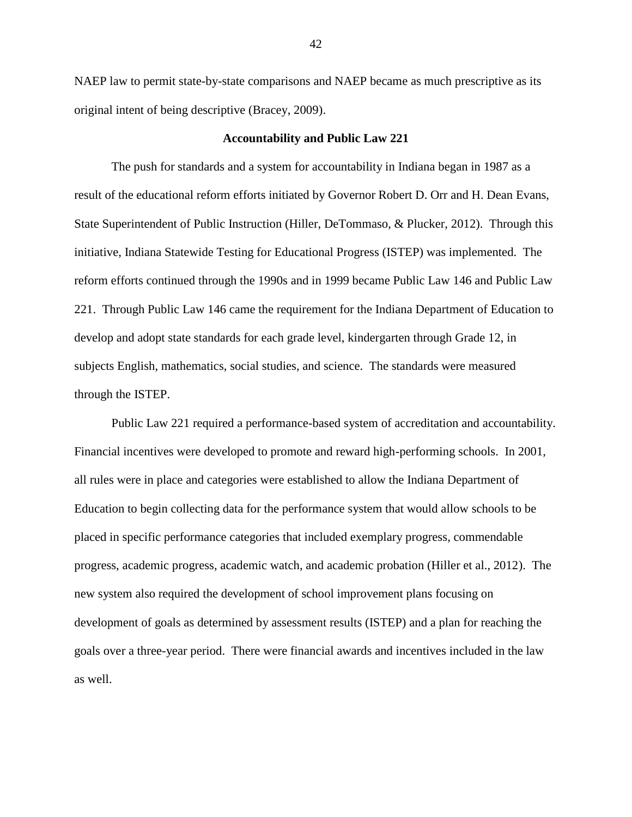NAEP law to permit state-by-state comparisons and NAEP became as much prescriptive as its original intent of being descriptive (Bracey, 2009).

### **Accountability and Public Law 221**

The push for standards and a system for accountability in Indiana began in 1987 as a result of the educational reform efforts initiated by Governor Robert D. Orr and H. Dean Evans, State Superintendent of Public Instruction (Hiller, DeTommaso, & Plucker, 2012). Through this initiative, Indiana Statewide Testing for Educational Progress (ISTEP) was implemented. The reform efforts continued through the 1990s and in 1999 became Public Law 146 and Public Law 221. Through Public Law 146 came the requirement for the Indiana Department of Education to develop and adopt state standards for each grade level, kindergarten through Grade 12, in subjects English, mathematics, social studies, and science. The standards were measured through the ISTEP.

Public Law 221 required a performance-based system of accreditation and accountability. Financial incentives were developed to promote and reward high-performing schools. In 2001, all rules were in place and categories were established to allow the Indiana Department of Education to begin collecting data for the performance system that would allow schools to be placed in specific performance categories that included exemplary progress, commendable progress, academic progress, academic watch, and academic probation (Hiller et al., 2012). The new system also required the development of school improvement plans focusing on development of goals as determined by assessment results (ISTEP) and a plan for reaching the goals over a three-year period. There were financial awards and incentives included in the law as well.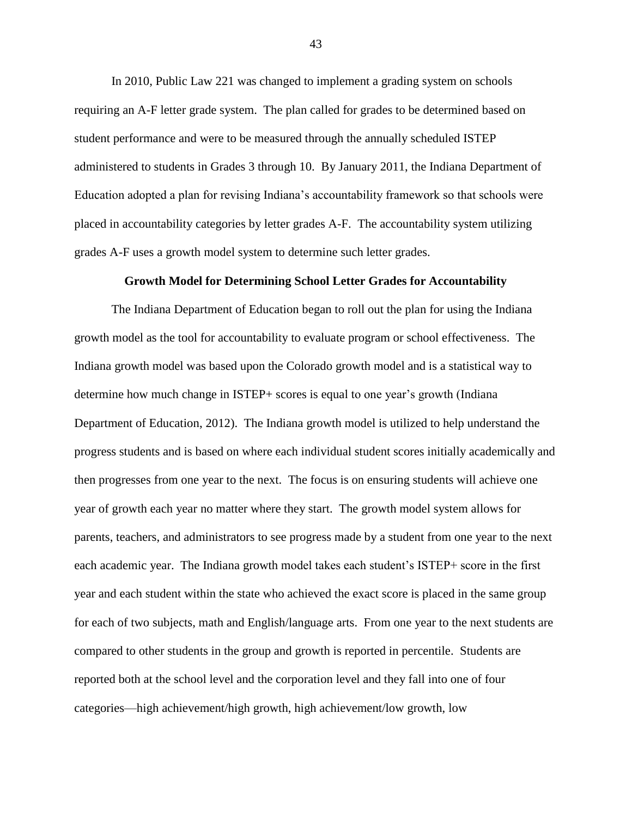In 2010, Public Law 221 was changed to implement a grading system on schools requiring an A-F letter grade system. The plan called for grades to be determined based on student performance and were to be measured through the annually scheduled ISTEP administered to students in Grades 3 through 10. By January 2011, the Indiana Department of Education adopted a plan for revising Indiana's accountability framework so that schools were placed in accountability categories by letter grades A-F. The accountability system utilizing grades A-F uses a growth model system to determine such letter grades.

#### **Growth Model for Determining School Letter Grades for Accountability**

The Indiana Department of Education began to roll out the plan for using the Indiana growth model as the tool for accountability to evaluate program or school effectiveness. The Indiana growth model was based upon the Colorado growth model and is a statistical way to determine how much change in ISTEP+ scores is equal to one year's growth (Indiana Department of Education, 2012). The Indiana growth model is utilized to help understand the progress students and is based on where each individual student scores initially academically and then progresses from one year to the next. The focus is on ensuring students will achieve one year of growth each year no matter where they start. The growth model system allows for parents, teachers, and administrators to see progress made by a student from one year to the next each academic year. The Indiana growth model takes each student's ISTEP+ score in the first year and each student within the state who achieved the exact score is placed in the same group for each of two subjects, math and English/language arts. From one year to the next students are compared to other students in the group and growth is reported in percentile. Students are reported both at the school level and the corporation level and they fall into one of four categories—high achievement/high growth, high achievement/low growth, low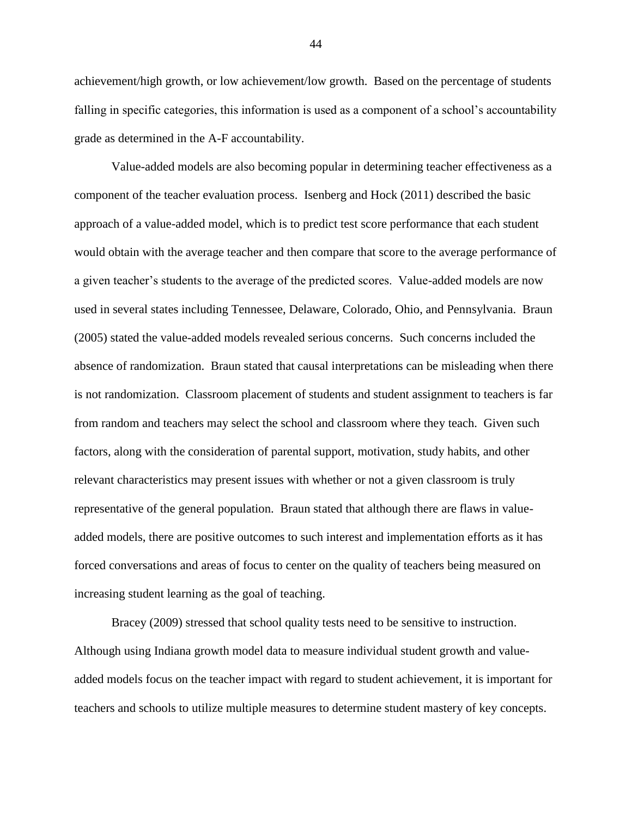achievement/high growth, or low achievement/low growth. Based on the percentage of students falling in specific categories, this information is used as a component of a school's accountability grade as determined in the A-F accountability.

Value-added models are also becoming popular in determining teacher effectiveness as a component of the teacher evaluation process. Isenberg and Hock (2011) described the basic approach of a value-added model, which is to predict test score performance that each student would obtain with the average teacher and then compare that score to the average performance of a given teacher's students to the average of the predicted scores. Value-added models are now used in several states including Tennessee, Delaware, Colorado, Ohio, and Pennsylvania. Braun (2005) stated the value-added models revealed serious concerns. Such concerns included the absence of randomization. Braun stated that causal interpretations can be misleading when there is not randomization. Classroom placement of students and student assignment to teachers is far from random and teachers may select the school and classroom where they teach. Given such factors, along with the consideration of parental support, motivation, study habits, and other relevant characteristics may present issues with whether or not a given classroom is truly representative of the general population. Braun stated that although there are flaws in valueadded models, there are positive outcomes to such interest and implementation efforts as it has forced conversations and areas of focus to center on the quality of teachers being measured on increasing student learning as the goal of teaching.

Bracey (2009) stressed that school quality tests need to be sensitive to instruction. Although using Indiana growth model data to measure individual student growth and valueadded models focus on the teacher impact with regard to student achievement, it is important for teachers and schools to utilize multiple measures to determine student mastery of key concepts.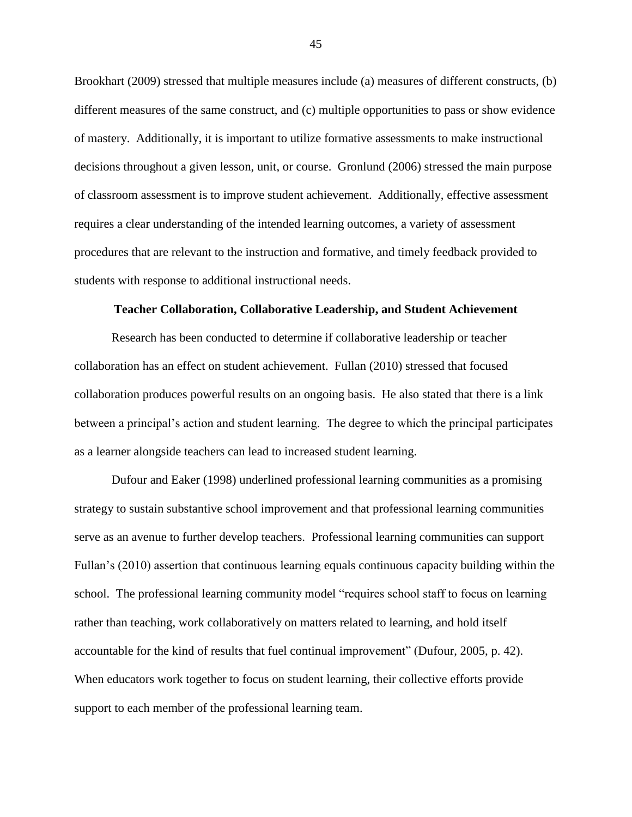Brookhart (2009) stressed that multiple measures include (a) measures of different constructs, (b) different measures of the same construct, and (c) multiple opportunities to pass or show evidence of mastery. Additionally, it is important to utilize formative assessments to make instructional decisions throughout a given lesson, unit, or course. Gronlund (2006) stressed the main purpose of classroom assessment is to improve student achievement. Additionally, effective assessment requires a clear understanding of the intended learning outcomes, a variety of assessment procedures that are relevant to the instruction and formative, and timely feedback provided to students with response to additional instructional needs.

#### **Teacher Collaboration, Collaborative Leadership, and Student Achievement**

Research has been conducted to determine if collaborative leadership or teacher collaboration has an effect on student achievement. Fullan (2010) stressed that focused collaboration produces powerful results on an ongoing basis. He also stated that there is a link between a principal's action and student learning. The degree to which the principal participates as a learner alongside teachers can lead to increased student learning.

Dufour and Eaker (1998) underlined professional learning communities as a promising strategy to sustain substantive school improvement and that professional learning communities serve as an avenue to further develop teachers. Professional learning communities can support Fullan's (2010) assertion that continuous learning equals continuous capacity building within the school. The professional learning community model "requires school staff to focus on learning rather than teaching, work collaboratively on matters related to learning, and hold itself accountable for the kind of results that fuel continual improvement" (Dufour, 2005, p. 42). When educators work together to focus on student learning, their collective efforts provide support to each member of the professional learning team.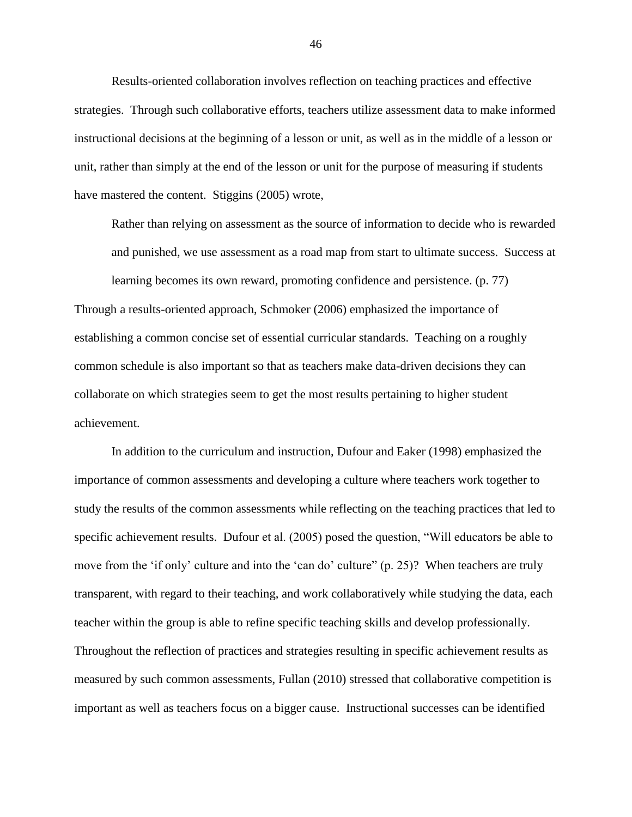Results-oriented collaboration involves reflection on teaching practices and effective strategies. Through such collaborative efforts, teachers utilize assessment data to make informed instructional decisions at the beginning of a lesson or unit, as well as in the middle of a lesson or unit, rather than simply at the end of the lesson or unit for the purpose of measuring if students have mastered the content. Stiggins (2005) wrote,

Rather than relying on assessment as the source of information to decide who is rewarded and punished, we use assessment as a road map from start to ultimate success. Success at learning becomes its own reward, promoting confidence and persistence. (p. 77) Through a results-oriented approach, Schmoker (2006) emphasized the importance of establishing a common concise set of essential curricular standards. Teaching on a roughly common schedule is also important so that as teachers make data-driven decisions they can collaborate on which strategies seem to get the most results pertaining to higher student achievement.

In addition to the curriculum and instruction, Dufour and Eaker (1998) emphasized the importance of common assessments and developing a culture where teachers work together to study the results of the common assessments while reflecting on the teaching practices that led to specific achievement results. Dufour et al. (2005) posed the question, "Will educators be able to move from the 'if only' culture and into the 'can do' culture'' (p. 25)? When teachers are truly transparent, with regard to their teaching, and work collaboratively while studying the data, each teacher within the group is able to refine specific teaching skills and develop professionally. Throughout the reflection of practices and strategies resulting in specific achievement results as measured by such common assessments, Fullan (2010) stressed that collaborative competition is important as well as teachers focus on a bigger cause. Instructional successes can be identified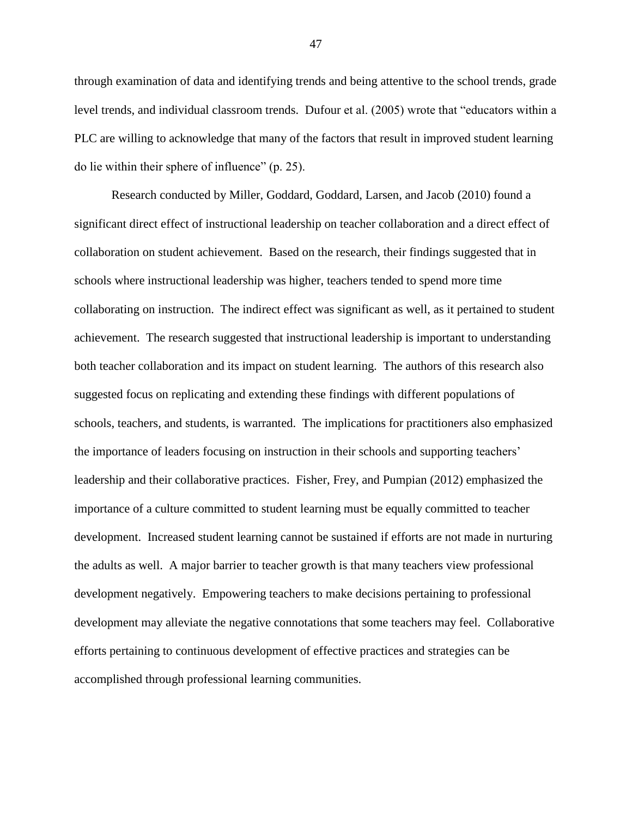through examination of data and identifying trends and being attentive to the school trends, grade level trends, and individual classroom trends. Dufour et al. (2005) wrote that "educators within a PLC are willing to acknowledge that many of the factors that result in improved student learning do lie within their sphere of influence" (p. 25).

Research conducted by Miller, Goddard, Goddard, Larsen, and Jacob (2010) found a significant direct effect of instructional leadership on teacher collaboration and a direct effect of collaboration on student achievement. Based on the research, their findings suggested that in schools where instructional leadership was higher, teachers tended to spend more time collaborating on instruction. The indirect effect was significant as well, as it pertained to student achievement. The research suggested that instructional leadership is important to understanding both teacher collaboration and its impact on student learning. The authors of this research also suggested focus on replicating and extending these findings with different populations of schools, teachers, and students, is warranted. The implications for practitioners also emphasized the importance of leaders focusing on instruction in their schools and supporting teachers' leadership and their collaborative practices. Fisher, Frey, and Pumpian (2012) emphasized the importance of a culture committed to student learning must be equally committed to teacher development. Increased student learning cannot be sustained if efforts are not made in nurturing the adults as well. A major barrier to teacher growth is that many teachers view professional development negatively. Empowering teachers to make decisions pertaining to professional development may alleviate the negative connotations that some teachers may feel. Collaborative efforts pertaining to continuous development of effective practices and strategies can be accomplished through professional learning communities.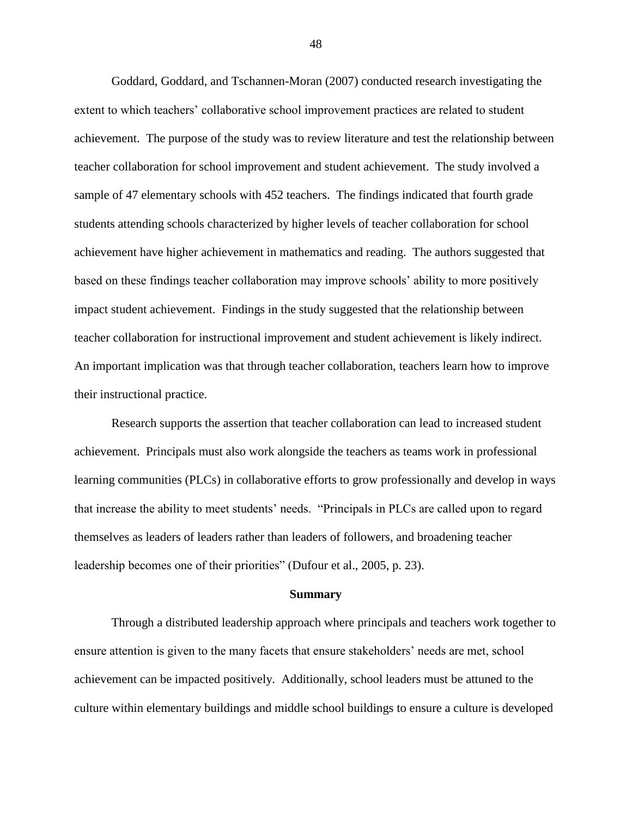Goddard, Goddard, and Tschannen-Moran (2007) conducted research investigating the extent to which teachers' collaborative school improvement practices are related to student achievement. The purpose of the study was to review literature and test the relationship between teacher collaboration for school improvement and student achievement. The study involved a sample of 47 elementary schools with 452 teachers. The findings indicated that fourth grade students attending schools characterized by higher levels of teacher collaboration for school achievement have higher achievement in mathematics and reading. The authors suggested that based on these findings teacher collaboration may improve schools' ability to more positively impact student achievement. Findings in the study suggested that the relationship between teacher collaboration for instructional improvement and student achievement is likely indirect. An important implication was that through teacher collaboration, teachers learn how to improve their instructional practice.

Research supports the assertion that teacher collaboration can lead to increased student achievement. Principals must also work alongside the teachers as teams work in professional learning communities (PLCs) in collaborative efforts to grow professionally and develop in ways that increase the ability to meet students' needs. "Principals in PLCs are called upon to regard themselves as leaders of leaders rather than leaders of followers, and broadening teacher leadership becomes one of their priorities" (Dufour et al., 2005, p. 23).

#### **Summary**

Through a distributed leadership approach where principals and teachers work together to ensure attention is given to the many facets that ensure stakeholders' needs are met, school achievement can be impacted positively. Additionally, school leaders must be attuned to the culture within elementary buildings and middle school buildings to ensure a culture is developed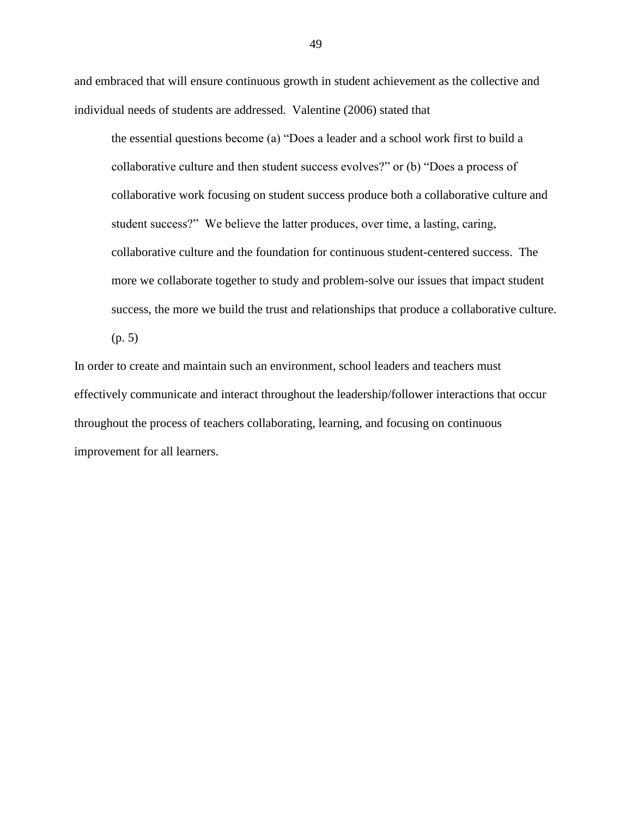and embraced that will ensure continuous growth in student achievement as the collective and individual needs of students are addressed. Valentine (2006) stated that

the essential questions become (a) "Does a leader and a school work first to build a collaborative culture and then student success evolves?" or (b) "Does a process of collaborative work focusing on student success produce both a collaborative culture and student success?" We believe the latter produces, over time, a lasting, caring, collaborative culture and the foundation for continuous student-centered success. The more we collaborate together to study and problem-solve our issues that impact student success, the more we build the trust and relationships that produce a collaborative culture.

(p. 5)

In order to create and maintain such an environment, school leaders and teachers must effectively communicate and interact throughout the leadership/follower interactions that occur throughout the process of teachers collaborating, learning, and focusing on continuous improvement for all learners.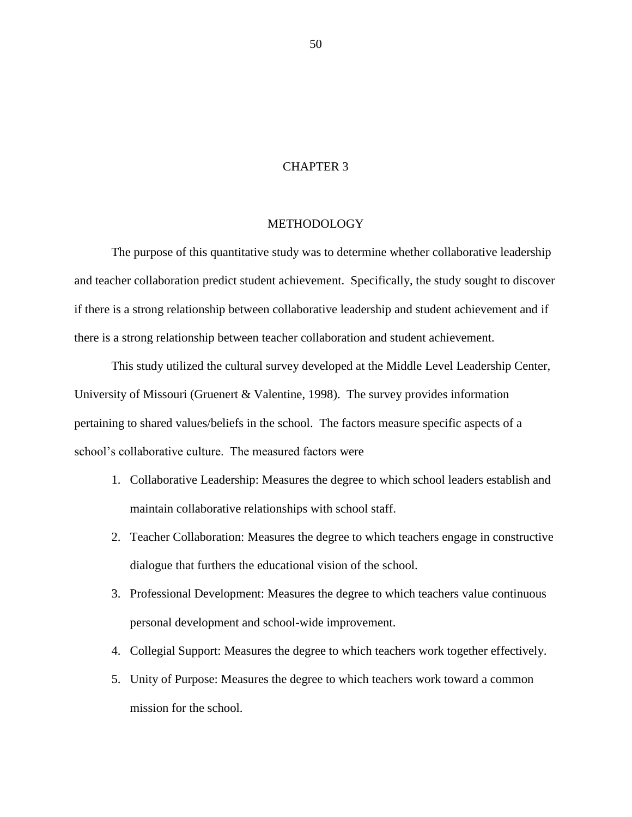# CHAPTER 3

# METHODOLOGY

The purpose of this quantitative study was to determine whether collaborative leadership and teacher collaboration predict student achievement. Specifically, the study sought to discover if there is a strong relationship between collaborative leadership and student achievement and if there is a strong relationship between teacher collaboration and student achievement.

This study utilized the cultural survey developed at the Middle Level Leadership Center, University of Missouri (Gruenert & Valentine, 1998). The survey provides information pertaining to shared values/beliefs in the school. The factors measure specific aspects of a school's collaborative culture. The measured factors were

- 1. Collaborative Leadership: Measures the degree to which school leaders establish and maintain collaborative relationships with school staff.
- 2. Teacher Collaboration: Measures the degree to which teachers engage in constructive dialogue that furthers the educational vision of the school.
- 3. Professional Development: Measures the degree to which teachers value continuous personal development and school-wide improvement.
- 4. Collegial Support: Measures the degree to which teachers work together effectively.
- 5. Unity of Purpose: Measures the degree to which teachers work toward a common mission for the school.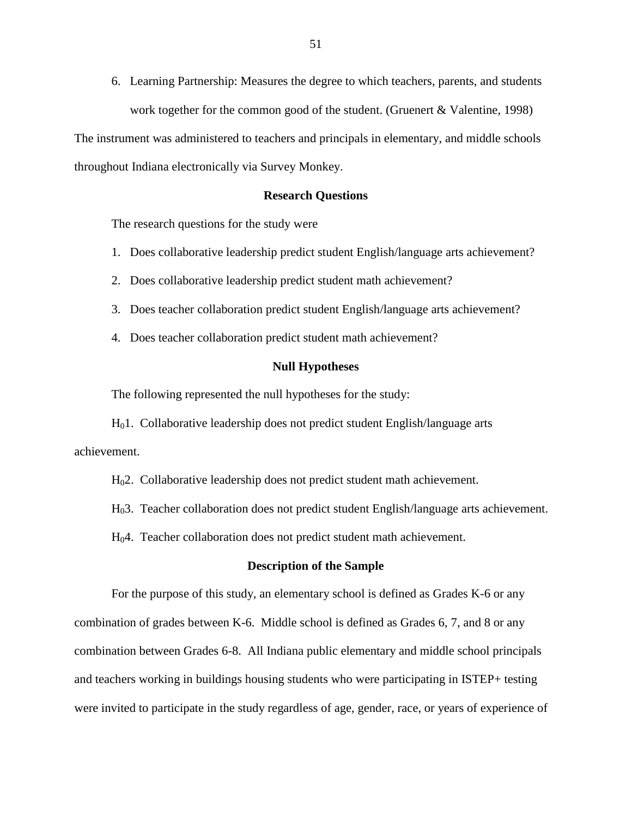6. Learning Partnership: Measures the degree to which teachers, parents, and students work together for the common good of the student. (Gruenert & Valentine, 1998)

The instrument was administered to teachers and principals in elementary, and middle schools throughout Indiana electronically via Survey Monkey.

# **Research Questions**

The research questions for the study were

- 1. Does collaborative leadership predict student English/language arts achievement?
- 2. Does collaborative leadership predict student math achievement?
- 3. Does teacher collaboration predict student English/language arts achievement?
- 4. Does teacher collaboration predict student math achievement?

# **Null Hypotheses**

The following represented the null hypotheses for the study:

H01. Collaborative leadership does not predict student English/language arts achievement.

H02. Collaborative leadership does not predict student math achievement.

H03. Teacher collaboration does not predict student English/language arts achievement.

H04. Teacher collaboration does not predict student math achievement.

# **Description of the Sample**

For the purpose of this study, an elementary school is defined as Grades K-6 or any combination of grades between K-6. Middle school is defined as Grades 6, 7, and 8 or any combination between Grades 6-8. All Indiana public elementary and middle school principals and teachers working in buildings housing students who were participating in ISTEP+ testing were invited to participate in the study regardless of age, gender, race, or years of experience of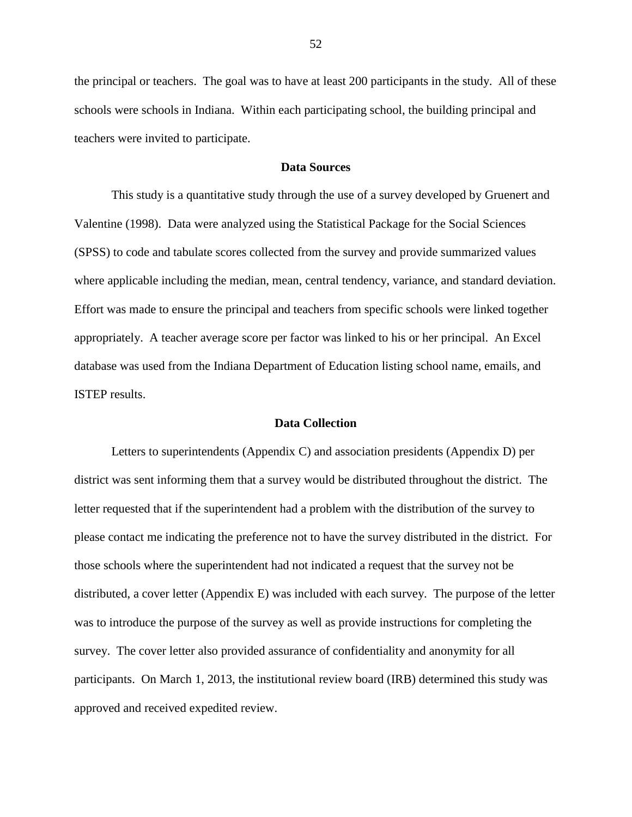the principal or teachers. The goal was to have at least 200 participants in the study. All of these schools were schools in Indiana. Within each participating school, the building principal and teachers were invited to participate.

# **Data Sources**

This study is a quantitative study through the use of a survey developed by Gruenert and Valentine (1998). Data were analyzed using the Statistical Package for the Social Sciences (SPSS) to code and tabulate scores collected from the survey and provide summarized values where applicable including the median, mean, central tendency, variance, and standard deviation. Effort was made to ensure the principal and teachers from specific schools were linked together appropriately. A teacher average score per factor was linked to his or her principal. An Excel database was used from the Indiana Department of Education listing school name, emails, and ISTEP results.

# **Data Collection**

Letters to superintendents (Appendix C) and association presidents (Appendix D) per district was sent informing them that a survey would be distributed throughout the district. The letter requested that if the superintendent had a problem with the distribution of the survey to please contact me indicating the preference not to have the survey distributed in the district. For those schools where the superintendent had not indicated a request that the survey not be distributed, a cover letter (Appendix E) was included with each survey. The purpose of the letter was to introduce the purpose of the survey as well as provide instructions for completing the survey. The cover letter also provided assurance of confidentiality and anonymity for all participants. On March 1, 2013, the institutional review board (IRB) determined this study was approved and received expedited review.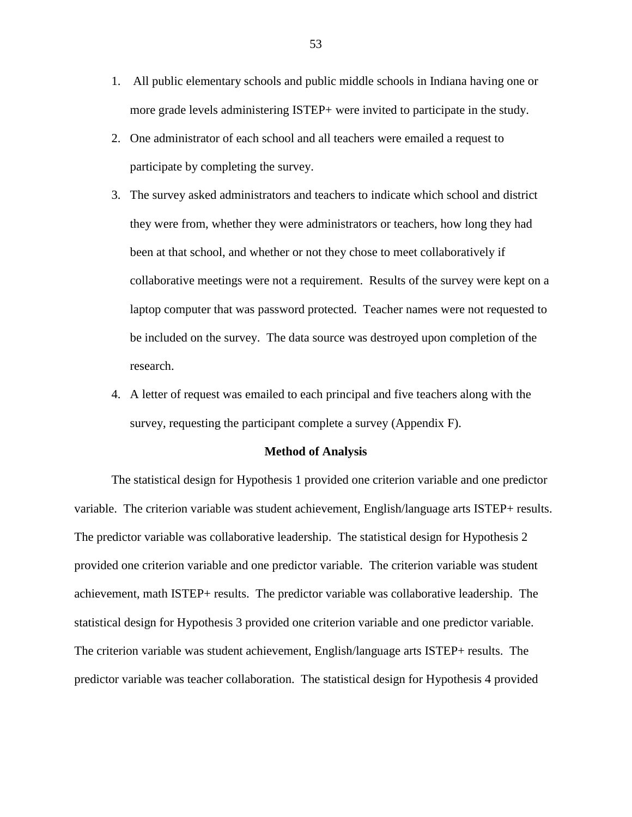- 1. All public elementary schools and public middle schools in Indiana having one or more grade levels administering ISTEP+ were invited to participate in the study.
- 2. One administrator of each school and all teachers were emailed a request to participate by completing the survey.
- 3. The survey asked administrators and teachers to indicate which school and district they were from, whether they were administrators or teachers, how long they had been at that school, and whether or not they chose to meet collaboratively if collaborative meetings were not a requirement. Results of the survey were kept on a laptop computer that was password protected. Teacher names were not requested to be included on the survey. The data source was destroyed upon completion of the research.
- 4. A letter of request was emailed to each principal and five teachers along with the survey, requesting the participant complete a survey (Appendix F).

#### **Method of Analysis**

The statistical design for Hypothesis 1 provided one criterion variable and one predictor variable. The criterion variable was student achievement, English/language arts ISTEP+ results. The predictor variable was collaborative leadership. The statistical design for Hypothesis 2 provided one criterion variable and one predictor variable. The criterion variable was student achievement, math ISTEP+ results. The predictor variable was collaborative leadership. The statistical design for Hypothesis 3 provided one criterion variable and one predictor variable. The criterion variable was student achievement, English/language arts ISTEP+ results. The predictor variable was teacher collaboration. The statistical design for Hypothesis 4 provided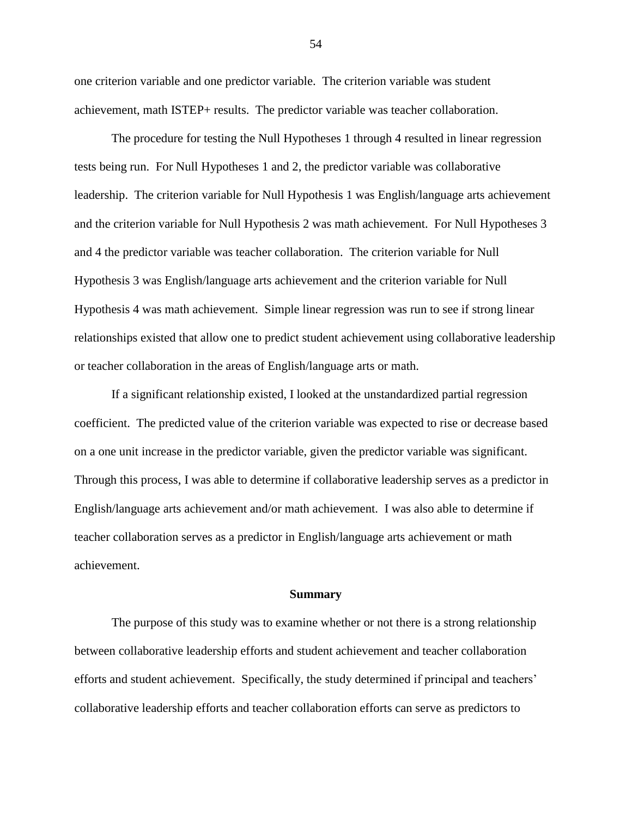one criterion variable and one predictor variable. The criterion variable was student achievement, math ISTEP+ results. The predictor variable was teacher collaboration.

The procedure for testing the Null Hypotheses 1 through 4 resulted in linear regression tests being run. For Null Hypotheses 1 and 2, the predictor variable was collaborative leadership. The criterion variable for Null Hypothesis 1 was English/language arts achievement and the criterion variable for Null Hypothesis 2 was math achievement. For Null Hypotheses 3 and 4 the predictor variable was teacher collaboration. The criterion variable for Null Hypothesis 3 was English/language arts achievement and the criterion variable for Null Hypothesis 4 was math achievement. Simple linear regression was run to see if strong linear relationships existed that allow one to predict student achievement using collaborative leadership or teacher collaboration in the areas of English/language arts or math.

If a significant relationship existed, I looked at the unstandardized partial regression coefficient. The predicted value of the criterion variable was expected to rise or decrease based on a one unit increase in the predictor variable, given the predictor variable was significant. Through this process, I was able to determine if collaborative leadership serves as a predictor in English/language arts achievement and/or math achievement. I was also able to determine if teacher collaboration serves as a predictor in English/language arts achievement or math achievement.

#### **Summary**

The purpose of this study was to examine whether or not there is a strong relationship between collaborative leadership efforts and student achievement and teacher collaboration efforts and student achievement. Specifically, the study determined if principal and teachers' collaborative leadership efforts and teacher collaboration efforts can serve as predictors to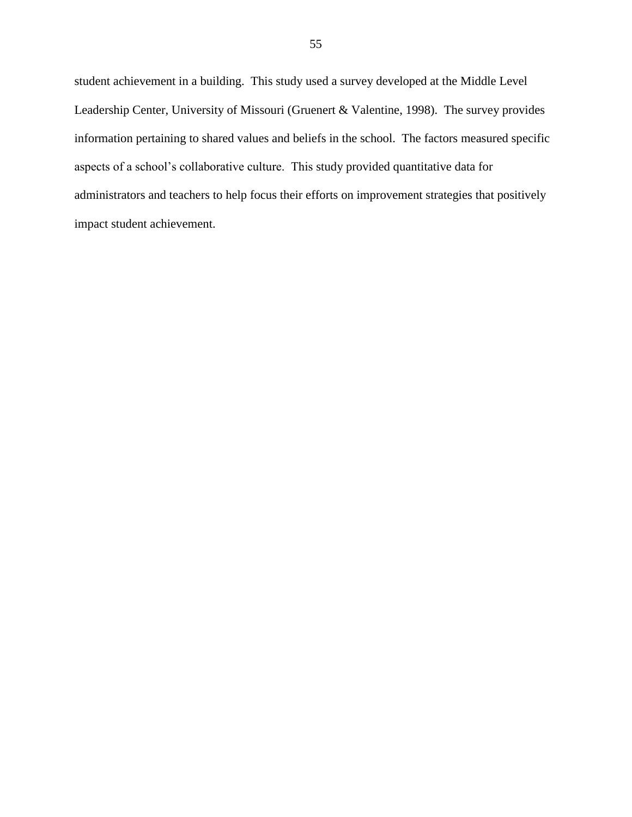student achievement in a building. This study used a survey developed at the Middle Level Leadership Center, University of Missouri (Gruenert & Valentine, 1998). The survey provides information pertaining to shared values and beliefs in the school. The factors measured specific aspects of a school's collaborative culture. This study provided quantitative data for administrators and teachers to help focus their efforts on improvement strategies that positively impact student achievement.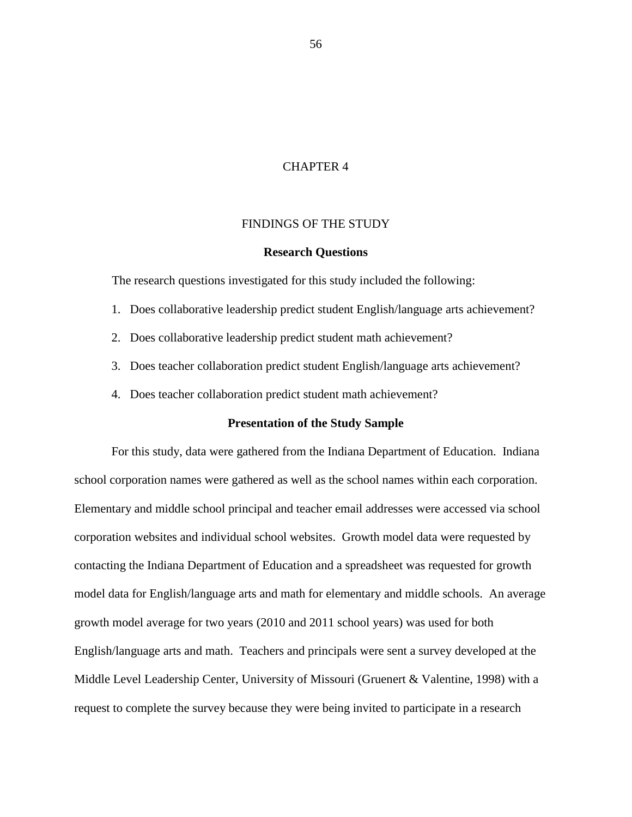# CHAPTER 4

# FINDINGS OF THE STUDY

#### **Research Questions**

The research questions investigated for this study included the following:

- 1. Does collaborative leadership predict student English/language arts achievement?
- 2. Does collaborative leadership predict student math achievement?
- 3. Does teacher collaboration predict student English/language arts achievement?
- 4. Does teacher collaboration predict student math achievement?

### **Presentation of the Study Sample**

For this study, data were gathered from the Indiana Department of Education. Indiana school corporation names were gathered as well as the school names within each corporation. Elementary and middle school principal and teacher email addresses were accessed via school corporation websites and individual school websites. Growth model data were requested by contacting the Indiana Department of Education and a spreadsheet was requested for growth model data for English/language arts and math for elementary and middle schools. An average growth model average for two years (2010 and 2011 school years) was used for both English/language arts and math. Teachers and principals were sent a survey developed at the Middle Level Leadership Center, University of Missouri (Gruenert & Valentine, 1998) with a request to complete the survey because they were being invited to participate in a research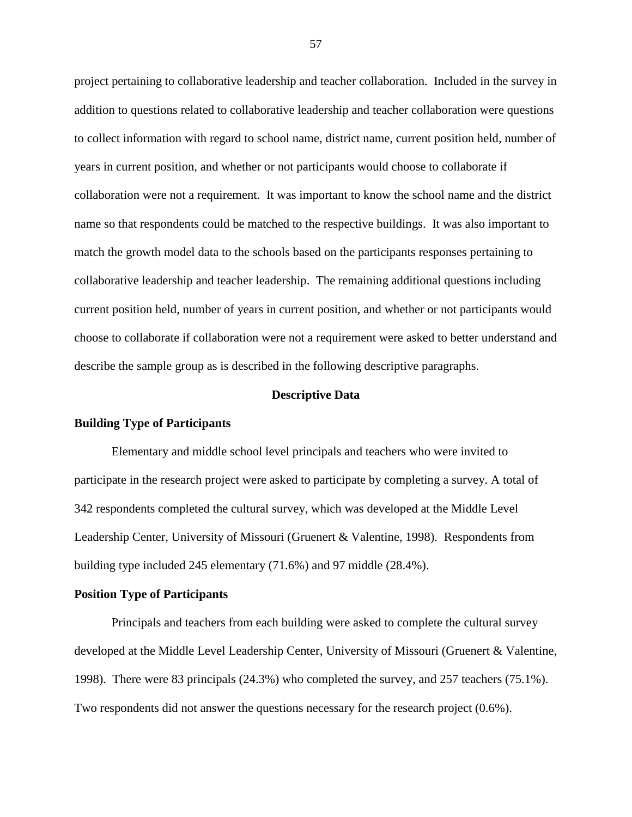project pertaining to collaborative leadership and teacher collaboration. Included in the survey in addition to questions related to collaborative leadership and teacher collaboration were questions to collect information with regard to school name, district name, current position held, number of years in current position, and whether or not participants would choose to collaborate if collaboration were not a requirement. It was important to know the school name and the district name so that respondents could be matched to the respective buildings. It was also important to match the growth model data to the schools based on the participants responses pertaining to collaborative leadership and teacher leadership. The remaining additional questions including current position held, number of years in current position, and whether or not participants would choose to collaborate if collaboration were not a requirement were asked to better understand and describe the sample group as is described in the following descriptive paragraphs.

### **Descriptive Data**

### **Building Type of Participants**

Elementary and middle school level principals and teachers who were invited to participate in the research project were asked to participate by completing a survey. A total of 342 respondents completed the cultural survey, which was developed at the Middle Level Leadership Center, University of Missouri (Gruenert & Valentine, 1998). Respondents from building type included 245 elementary (71.6%) and 97 middle (28.4%).

#### **Position Type of Participants**

Principals and teachers from each building were asked to complete the cultural survey developed at the Middle Level Leadership Center, University of Missouri (Gruenert & Valentine, 1998). There were 83 principals (24.3%) who completed the survey, and 257 teachers (75.1%). Two respondents did not answer the questions necessary for the research project (0.6%).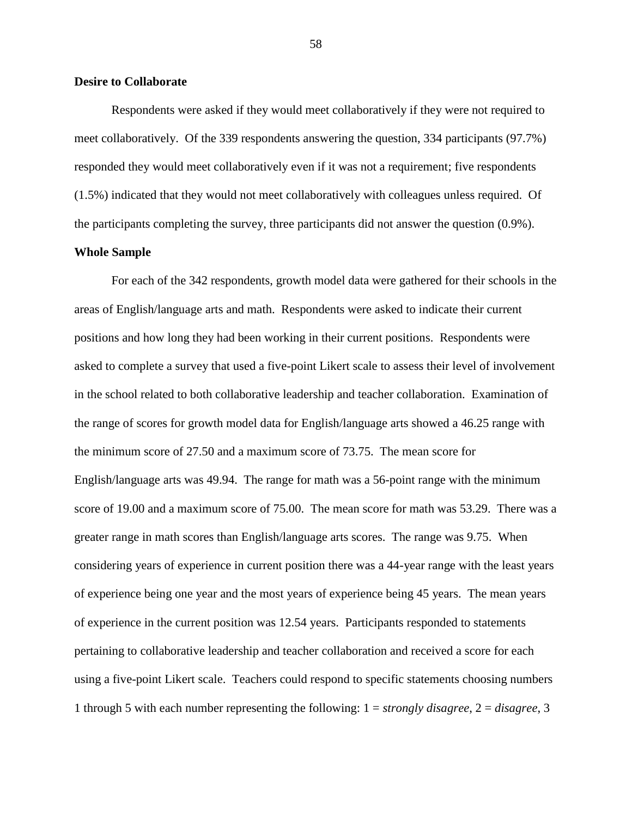# **Desire to Collaborate**

Respondents were asked if they would meet collaboratively if they were not required to meet collaboratively. Of the 339 respondents answering the question, 334 participants (97.7%) responded they would meet collaboratively even if it was not a requirement; five respondents (1.5%) indicated that they would not meet collaboratively with colleagues unless required. Of the participants completing the survey, three participants did not answer the question (0.9%).

# **Whole Sample**

For each of the 342 respondents, growth model data were gathered for their schools in the areas of English/language arts and math. Respondents were asked to indicate their current positions and how long they had been working in their current positions. Respondents were asked to complete a survey that used a five-point Likert scale to assess their level of involvement in the school related to both collaborative leadership and teacher collaboration. Examination of the range of scores for growth model data for English/language arts showed a 46.25 range with the minimum score of 27.50 and a maximum score of 73.75. The mean score for English/language arts was 49.94. The range for math was a 56-point range with the minimum score of 19.00 and a maximum score of 75.00. The mean score for math was 53.29. There was a greater range in math scores than English/language arts scores. The range was 9.75. When considering years of experience in current position there was a 44-year range with the least years of experience being one year and the most years of experience being 45 years. The mean years of experience in the current position was 12.54 years. Participants responded to statements pertaining to collaborative leadership and teacher collaboration and received a score for each using a five-point Likert scale. Teachers could respond to specific statements choosing numbers 1 through 5 with each number representing the following: 1 = *strongly disagree*, 2 = *disagree*, 3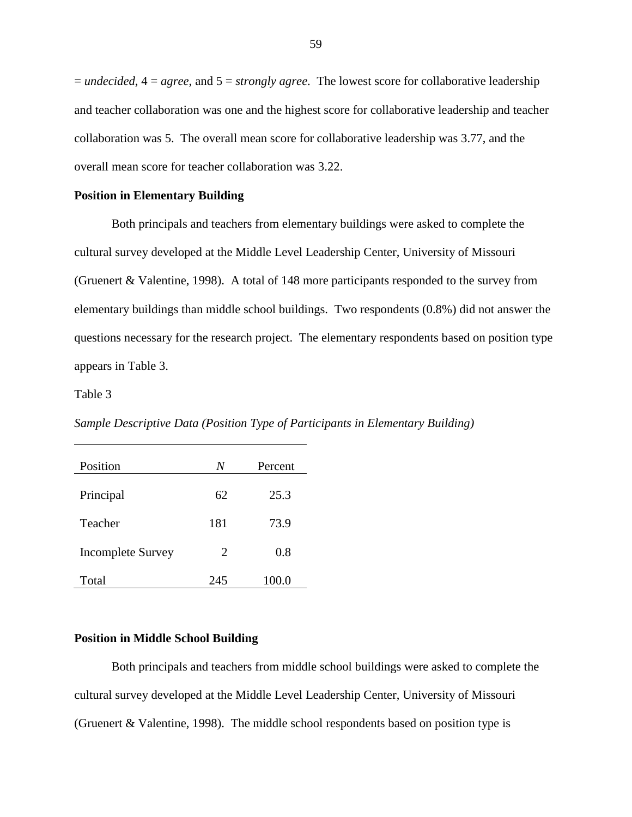$=$  *undecided*,  $4 = agree$ , and  $5 = strongly$  *agree*. The lowest score for collaborative leadership and teacher collaboration was one and the highest score for collaborative leadership and teacher collaboration was 5. The overall mean score for collaborative leadership was 3.77, and the overall mean score for teacher collaboration was 3.22.

# **Position in Elementary Building**

Both principals and teachers from elementary buildings were asked to complete the cultural survey developed at the Middle Level Leadership Center, University of Missouri (Gruenert & Valentine, 1998). A total of 148 more participants responded to the survey from elementary buildings than middle school buildings. Two respondents (0.8%) did not answer the questions necessary for the research project. The elementary respondents based on position type appears in Table 3.

## Table 3

*Sample Descriptive Data (Position Type of Participants in Elementary Building)*

| Position                 | N   | Percent |
|--------------------------|-----|---------|
| Principal                | 62  | 25.3    |
| Teacher                  | 181 | 73.9    |
| <b>Incomplete Survey</b> | 2   | 0.8     |
| Total                    | 245 | 100.0   |

# **Position in Middle School Building**

Both principals and teachers from middle school buildings were asked to complete the cultural survey developed at the Middle Level Leadership Center, University of Missouri (Gruenert & Valentine, 1998). The middle school respondents based on position type is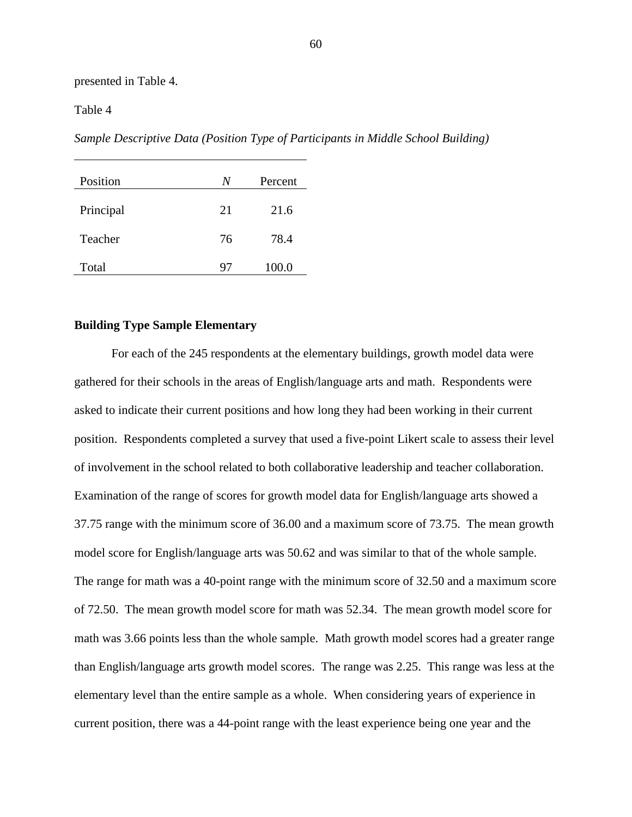presented in Table 4.

# Table 4

*Sample Descriptive Data (Position Type of Participants in Middle School Building)*

| Position  | N  | Percent |
|-----------|----|---------|
| Principal | 21 | 21.6    |
| Teacher   | 76 | 78.4    |
| Total     | 97 | 100.0   |

# **Building Type Sample Elementary**

For each of the 245 respondents at the elementary buildings, growth model data were gathered for their schools in the areas of English/language arts and math. Respondents were asked to indicate their current positions and how long they had been working in their current position. Respondents completed a survey that used a five-point Likert scale to assess their level of involvement in the school related to both collaborative leadership and teacher collaboration. Examination of the range of scores for growth model data for English/language arts showed a 37.75 range with the minimum score of 36.00 and a maximum score of 73.75. The mean growth model score for English/language arts was 50.62 and was similar to that of the whole sample. The range for math was a 40-point range with the minimum score of 32.50 and a maximum score of 72.50. The mean growth model score for math was 52.34. The mean growth model score for math was 3.66 points less than the whole sample. Math growth model scores had a greater range than English/language arts growth model scores. The range was 2.25. This range was less at the elementary level than the entire sample as a whole. When considering years of experience in current position, there was a 44-point range with the least experience being one year and the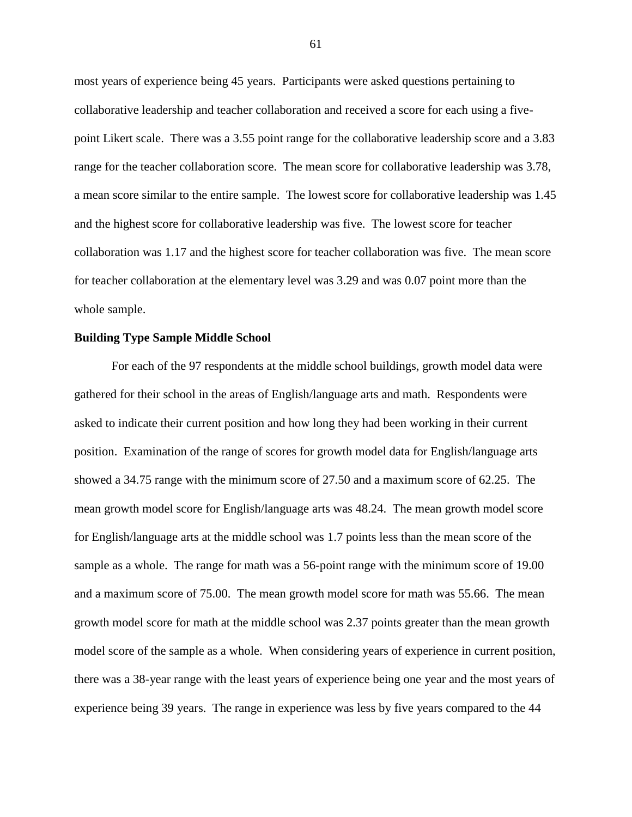most years of experience being 45 years. Participants were asked questions pertaining to collaborative leadership and teacher collaboration and received a score for each using a fivepoint Likert scale. There was a 3.55 point range for the collaborative leadership score and a 3.83 range for the teacher collaboration score. The mean score for collaborative leadership was 3.78, a mean score similar to the entire sample. The lowest score for collaborative leadership was 1.45 and the highest score for collaborative leadership was five. The lowest score for teacher collaboration was 1.17 and the highest score for teacher collaboration was five. The mean score for teacher collaboration at the elementary level was 3.29 and was 0.07 point more than the whole sample.

## **Building Type Sample Middle School**

For each of the 97 respondents at the middle school buildings, growth model data were gathered for their school in the areas of English/language arts and math. Respondents were asked to indicate their current position and how long they had been working in their current position. Examination of the range of scores for growth model data for English/language arts showed a 34.75 range with the minimum score of 27.50 and a maximum score of 62.25. The mean growth model score for English/language arts was 48.24. The mean growth model score for English/language arts at the middle school was 1.7 points less than the mean score of the sample as a whole. The range for math was a 56-point range with the minimum score of 19.00 and a maximum score of 75.00. The mean growth model score for math was 55.66. The mean growth model score for math at the middle school was 2.37 points greater than the mean growth model score of the sample as a whole. When considering years of experience in current position, there was a 38-year range with the least years of experience being one year and the most years of experience being 39 years. The range in experience was less by five years compared to the 44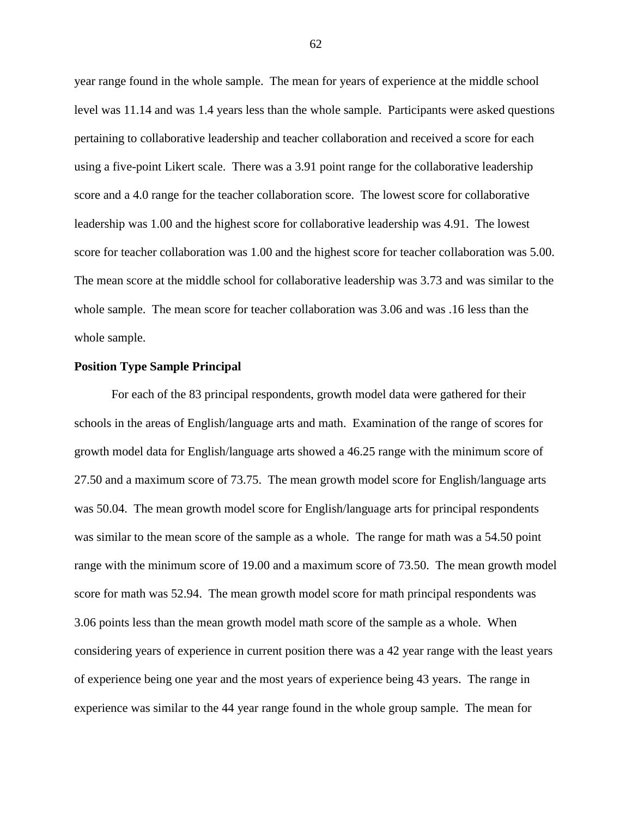year range found in the whole sample. The mean for years of experience at the middle school level was 11.14 and was 1.4 years less than the whole sample. Participants were asked questions pertaining to collaborative leadership and teacher collaboration and received a score for each using a five-point Likert scale. There was a 3.91 point range for the collaborative leadership score and a 4.0 range for the teacher collaboration score. The lowest score for collaborative leadership was 1.00 and the highest score for collaborative leadership was 4.91. The lowest score for teacher collaboration was 1.00 and the highest score for teacher collaboration was 5.00. The mean score at the middle school for collaborative leadership was 3.73 and was similar to the whole sample. The mean score for teacher collaboration was 3.06 and was .16 less than the whole sample.

### **Position Type Sample Principal**

For each of the 83 principal respondents, growth model data were gathered for their schools in the areas of English/language arts and math. Examination of the range of scores for growth model data for English/language arts showed a 46.25 range with the minimum score of 27.50 and a maximum score of 73.75. The mean growth model score for English/language arts was 50.04. The mean growth model score for English/language arts for principal respondents was similar to the mean score of the sample as a whole. The range for math was a 54.50 point range with the minimum score of 19.00 and a maximum score of 73.50. The mean growth model score for math was 52.94. The mean growth model score for math principal respondents was 3.06 points less than the mean growth model math score of the sample as a whole. When considering years of experience in current position there was a 42 year range with the least years of experience being one year and the most years of experience being 43 years. The range in experience was similar to the 44 year range found in the whole group sample. The mean for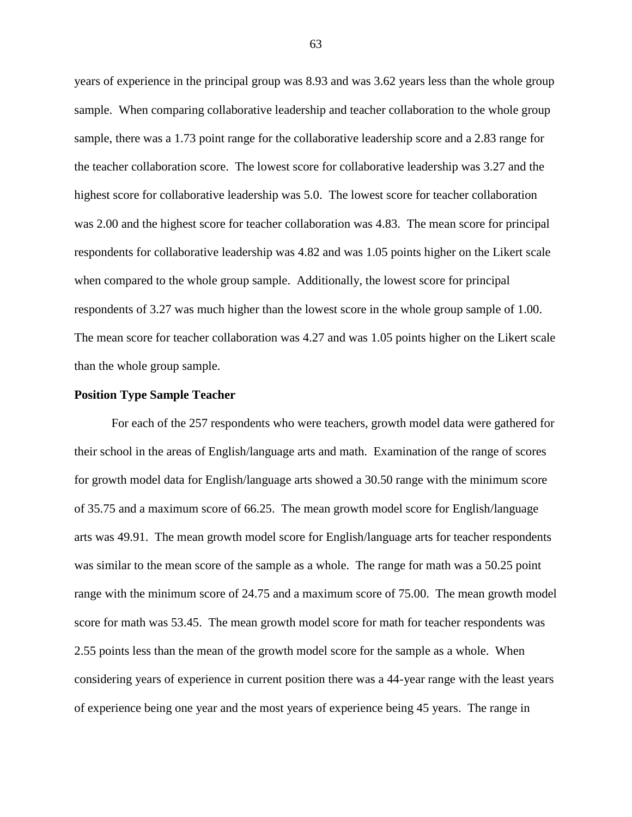years of experience in the principal group was 8.93 and was 3.62 years less than the whole group sample. When comparing collaborative leadership and teacher collaboration to the whole group sample, there was a 1.73 point range for the collaborative leadership score and a 2.83 range for the teacher collaboration score. The lowest score for collaborative leadership was 3.27 and the highest score for collaborative leadership was 5.0. The lowest score for teacher collaboration was 2.00 and the highest score for teacher collaboration was 4.83. The mean score for principal respondents for collaborative leadership was 4.82 and was 1.05 points higher on the Likert scale when compared to the whole group sample. Additionally, the lowest score for principal respondents of 3.27 was much higher than the lowest score in the whole group sample of 1.00. The mean score for teacher collaboration was 4.27 and was 1.05 points higher on the Likert scale than the whole group sample.

### **Position Type Sample Teacher**

For each of the 257 respondents who were teachers, growth model data were gathered for their school in the areas of English/language arts and math. Examination of the range of scores for growth model data for English/language arts showed a 30.50 range with the minimum score of 35.75 and a maximum score of 66.25. The mean growth model score for English/language arts was 49.91. The mean growth model score for English/language arts for teacher respondents was similar to the mean score of the sample as a whole. The range for math was a 50.25 point range with the minimum score of 24.75 and a maximum score of 75.00. The mean growth model score for math was 53.45. The mean growth model score for math for teacher respondents was 2.55 points less than the mean of the growth model score for the sample as a whole. When considering years of experience in current position there was a 44-year range with the least years of experience being one year and the most years of experience being 45 years. The range in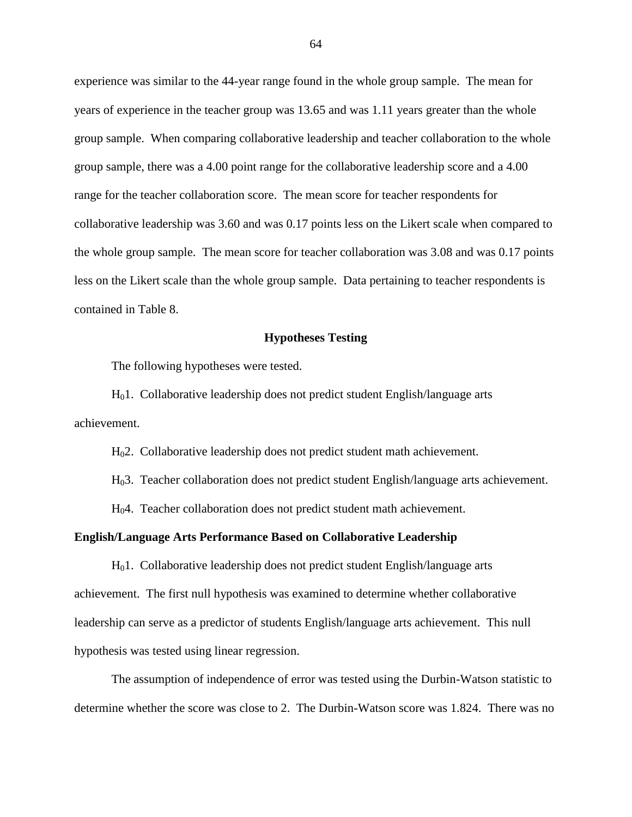experience was similar to the 44-year range found in the whole group sample. The mean for years of experience in the teacher group was 13.65 and was 1.11 years greater than the whole group sample. When comparing collaborative leadership and teacher collaboration to the whole group sample, there was a 4.00 point range for the collaborative leadership score and a 4.00 range for the teacher collaboration score. The mean score for teacher respondents for collaborative leadership was 3.60 and was 0.17 points less on the Likert scale when compared to the whole group sample. The mean score for teacher collaboration was 3.08 and was 0.17 points less on the Likert scale than the whole group sample. Data pertaining to teacher respondents is contained in Table 8.

### **Hypotheses Testing**

The following hypotheses were tested.

H01. Collaborative leadership does not predict student English/language arts achievement.

H02. Collaborative leadership does not predict student math achievement.

H03. Teacher collaboration does not predict student English/language arts achievement.

H04. Teacher collaboration does not predict student math achievement.

# **English/Language Arts Performance Based on Collaborative Leadership**

H01. Collaborative leadership does not predict student English/language arts achievement. The first null hypothesis was examined to determine whether collaborative leadership can serve as a predictor of students English/language arts achievement. This null hypothesis was tested using linear regression.

The assumption of independence of error was tested using the Durbin-Watson statistic to determine whether the score was close to 2. The Durbin-Watson score was 1.824. There was no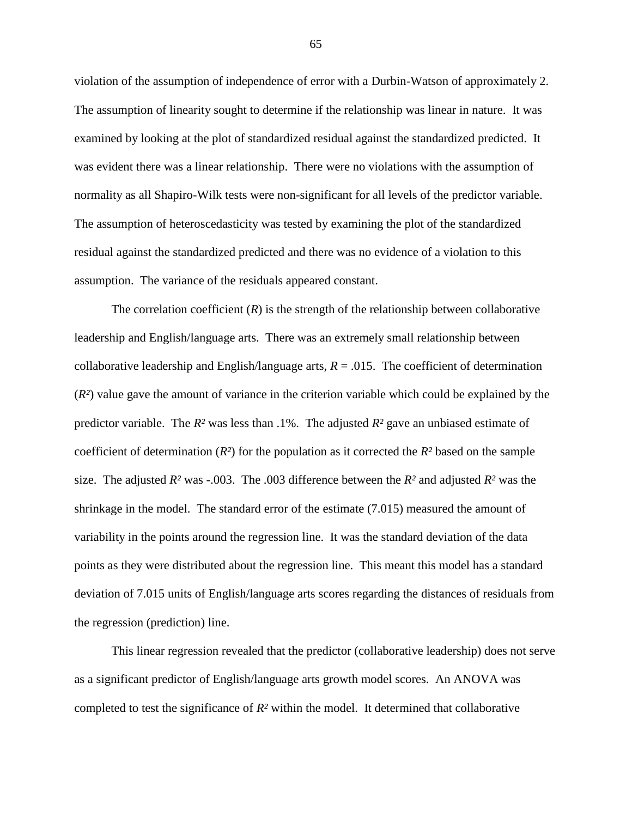violation of the assumption of independence of error with a Durbin-Watson of approximately 2. The assumption of linearity sought to determine if the relationship was linear in nature. It was examined by looking at the plot of standardized residual against the standardized predicted. It was evident there was a linear relationship. There were no violations with the assumption of normality as all Shapiro-Wilk tests were non-significant for all levels of the predictor variable. The assumption of heteroscedasticity was tested by examining the plot of the standardized residual against the standardized predicted and there was no evidence of a violation to this assumption. The variance of the residuals appeared constant.

The correlation coefficient  $(R)$  is the strength of the relationship between collaborative leadership and English/language arts. There was an extremely small relationship between collaborative leadership and English/language arts,  $R = .015$ . The coefficient of determination (*R²*) value gave the amount of variance in the criterion variable which could be explained by the predictor variable. The *R²* was less than .1%. The adjusted *R²* gave an unbiased estimate of coefficient of determination  $(R^2)$  for the population as it corrected the  $R^2$  based on the sample size. The adjusted  $R^2$  was -.003. The .003 difference between the  $R^2$  and adjusted  $R^2$  was the shrinkage in the model. The standard error of the estimate (7.015) measured the amount of variability in the points around the regression line. It was the standard deviation of the data points as they were distributed about the regression line. This meant this model has a standard deviation of 7.015 units of English/language arts scores regarding the distances of residuals from the regression (prediction) line.

This linear regression revealed that the predictor (collaborative leadership) does not serve as a significant predictor of English/language arts growth model scores. An ANOVA was completed to test the significance of *R²* within the model. It determined that collaborative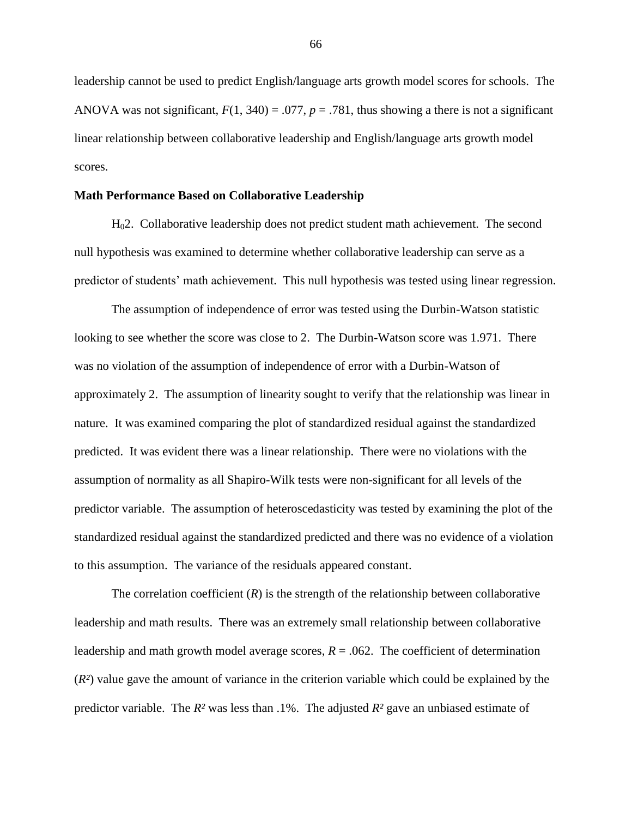leadership cannot be used to predict English/language arts growth model scores for schools. The ANOVA was not significant,  $F(1, 340) = .077$ ,  $p = .781$ , thus showing a there is not a significant linear relationship between collaborative leadership and English/language arts growth model scores.

# **Math Performance Based on Collaborative Leadership**

H02. Collaborative leadership does not predict student math achievement. The second null hypothesis was examined to determine whether collaborative leadership can serve as a predictor of students' math achievement. This null hypothesis was tested using linear regression.

The assumption of independence of error was tested using the Durbin-Watson statistic looking to see whether the score was close to 2. The Durbin-Watson score was 1.971. There was no violation of the assumption of independence of error with a Durbin-Watson of approximately 2. The assumption of linearity sought to verify that the relationship was linear in nature. It was examined comparing the plot of standardized residual against the standardized predicted. It was evident there was a linear relationship. There were no violations with the assumption of normality as all Shapiro-Wilk tests were non-significant for all levels of the predictor variable. The assumption of heteroscedasticity was tested by examining the plot of the standardized residual against the standardized predicted and there was no evidence of a violation to this assumption. The variance of the residuals appeared constant.

The correlation coefficient  $(R)$  is the strength of the relationship between collaborative leadership and math results. There was an extremely small relationship between collaborative leadership and math growth model average scores,  $R = .062$ . The coefficient of determination (*R²*) value gave the amount of variance in the criterion variable which could be explained by the predictor variable. The *R²* was less than .1%. The adjusted *R²* gave an unbiased estimate of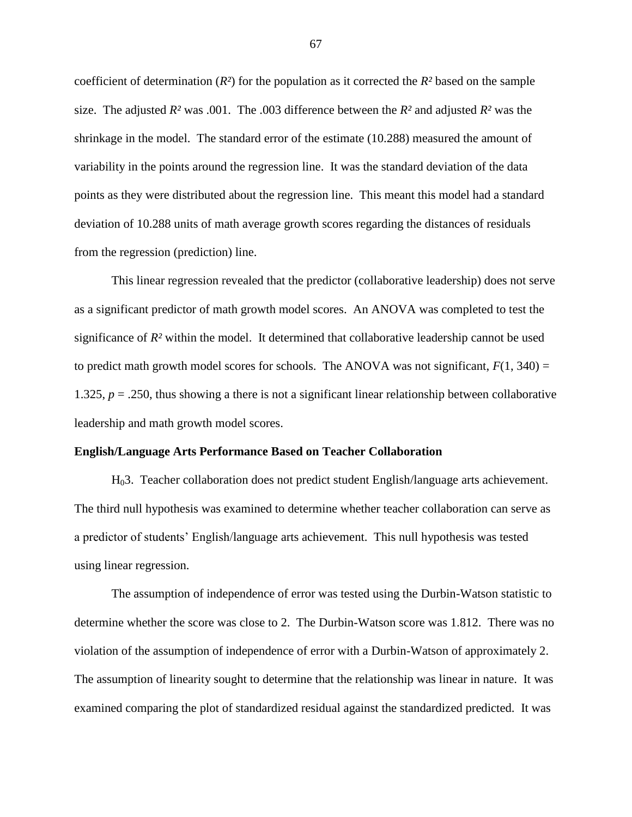coefficient of determination  $(R^2)$  for the population as it corrected the  $R^2$  based on the sample size. The adjusted *R²* was .001. The .003 difference between the *R²* and adjusted *R²* was the shrinkage in the model. The standard error of the estimate (10.288) measured the amount of variability in the points around the regression line. It was the standard deviation of the data points as they were distributed about the regression line. This meant this model had a standard deviation of 10.288 units of math average growth scores regarding the distances of residuals from the regression (prediction) line.

This linear regression revealed that the predictor (collaborative leadership) does not serve as a significant predictor of math growth model scores. An ANOVA was completed to test the significance of *R²* within the model. It determined that collaborative leadership cannot be used to predict math growth model scores for schools. The ANOVA was not significant,  $F(1, 340) =$ 1.325,  $p = 0.250$ , thus showing a there is not a significant linear relationship between collaborative leadership and math growth model scores.

# **English/Language Arts Performance Based on Teacher Collaboration**

H03. Teacher collaboration does not predict student English/language arts achievement. The third null hypothesis was examined to determine whether teacher collaboration can serve as a predictor of students' English/language arts achievement. This null hypothesis was tested using linear regression.

The assumption of independence of error was tested using the Durbin-Watson statistic to determine whether the score was close to 2. The Durbin-Watson score was 1.812. There was no violation of the assumption of independence of error with a Durbin-Watson of approximately 2. The assumption of linearity sought to determine that the relationship was linear in nature. It was examined comparing the plot of standardized residual against the standardized predicted. It was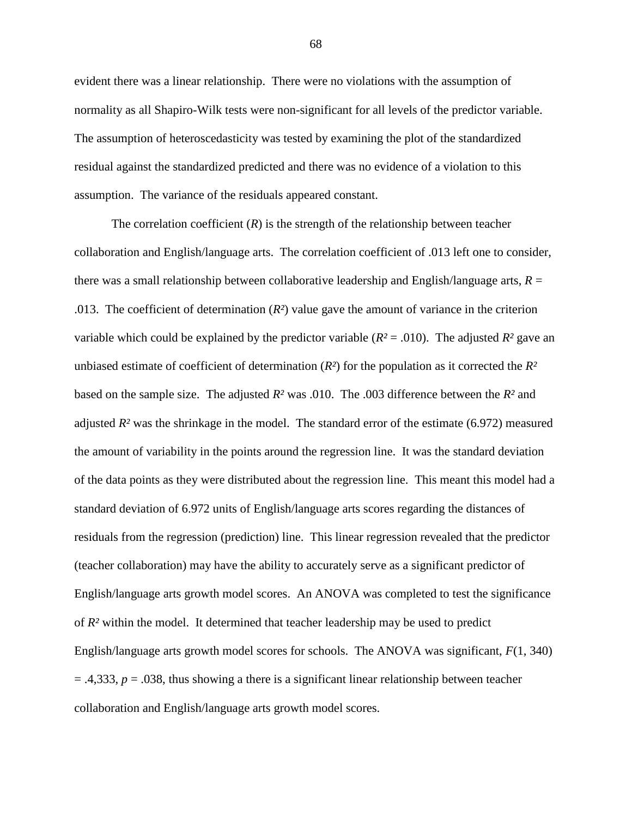evident there was a linear relationship. There were no violations with the assumption of normality as all Shapiro-Wilk tests were non-significant for all levels of the predictor variable. The assumption of heteroscedasticity was tested by examining the plot of the standardized residual against the standardized predicted and there was no evidence of a violation to this assumption. The variance of the residuals appeared constant.

The correlation coefficient  $(R)$  is the strength of the relationship between teacher collaboration and English/language arts. The correlation coefficient of .013 left one to consider, there was a small relationship between collaborative leadership and English/language arts, *R* = .013. The coefficient of determination (*R²*) value gave the amount of variance in the criterion variable which could be explained by the predictor variable  $(R^2 = .010)$ . The adjusted  $R^2$  gave an unbiased estimate of coefficient of determination  $(R<sup>2</sup>)$  for the population as it corrected the  $R<sup>2</sup>$ based on the sample size. The adjusted *R²* was .010. The .003 difference between the *R²* and adjusted  $R<sup>2</sup>$  was the shrinkage in the model. The standard error of the estimate (6.972) measured the amount of variability in the points around the regression line. It was the standard deviation of the data points as they were distributed about the regression line. This meant this model had a standard deviation of 6.972 units of English/language arts scores regarding the distances of residuals from the regression (prediction) line. This linear regression revealed that the predictor (teacher collaboration) may have the ability to accurately serve as a significant predictor of English/language arts growth model scores. An ANOVA was completed to test the significance of *R²* within the model. It determined that teacher leadership may be used to predict English/language arts growth model scores for schools. The ANOVA was significant, *F*(1, 340)  $= .4,333, p = .038$ , thus showing a there is a significant linear relationship between teacher collaboration and English/language arts growth model scores.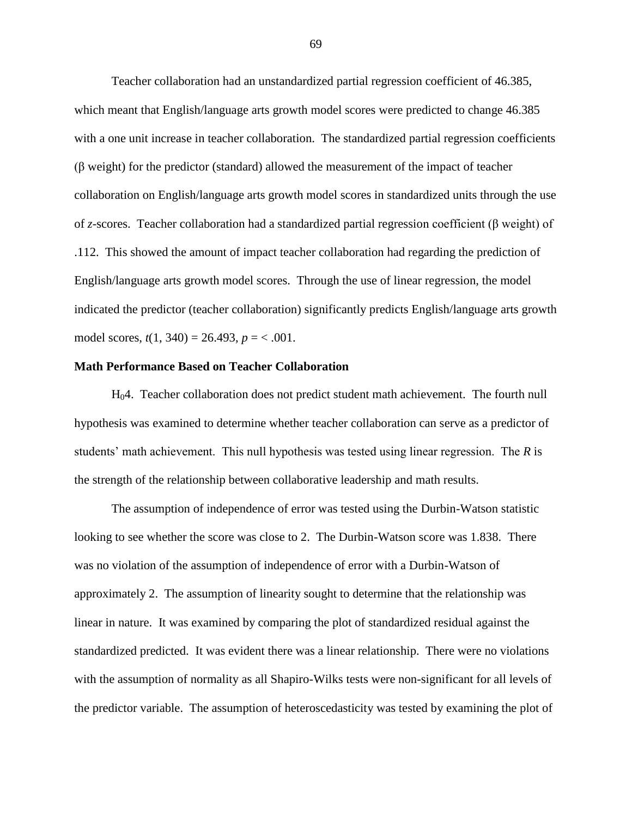Teacher collaboration had an unstandardized partial regression coefficient of 46.385, which meant that English/language arts growth model scores were predicted to change 46.385 with a one unit increase in teacher collaboration. The standardized partial regression coefficients (β weight) for the predictor (standard) allowed the measurement of the impact of teacher collaboration on English/language arts growth model scores in standardized units through the use of *z*-scores. Teacher collaboration had a standardized partial regression coefficient (β weight) of .112. This showed the amount of impact teacher collaboration had regarding the prediction of English/language arts growth model scores. Through the use of linear regression, the model indicated the predictor (teacher collaboration) significantly predicts English/language arts growth model scores,  $t(1, 340) = 26.493$ ,  $p = < .001$ .

### **Math Performance Based on Teacher Collaboration**

H04. Teacher collaboration does not predict student math achievement. The fourth null hypothesis was examined to determine whether teacher collaboration can serve as a predictor of students' math achievement. This null hypothesis was tested using linear regression. The *R* is the strength of the relationship between collaborative leadership and math results.

The assumption of independence of error was tested using the Durbin-Watson statistic looking to see whether the score was close to 2. The Durbin-Watson score was 1.838. There was no violation of the assumption of independence of error with a Durbin-Watson of approximately 2. The assumption of linearity sought to determine that the relationship was linear in nature. It was examined by comparing the plot of standardized residual against the standardized predicted. It was evident there was a linear relationship. There were no violations with the assumption of normality as all Shapiro-Wilks tests were non-significant for all levels of the predictor variable. The assumption of heteroscedasticity was tested by examining the plot of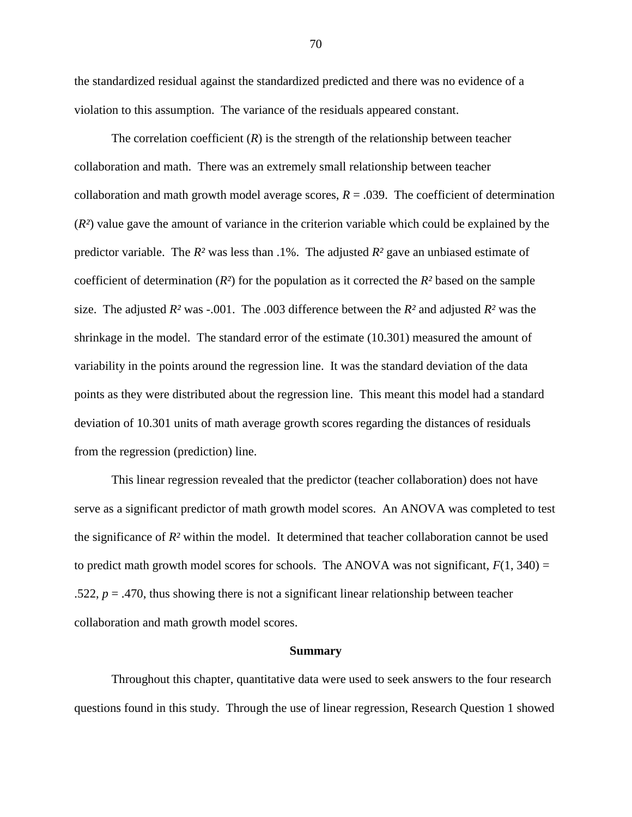the standardized residual against the standardized predicted and there was no evidence of a violation to this assumption. The variance of the residuals appeared constant.

The correlation coefficient  $(R)$  is the strength of the relationship between teacher collaboration and math. There was an extremely small relationship between teacher collaboration and math growth model average scores,  $R = .039$ . The coefficient of determination (*R²*) value gave the amount of variance in the criterion variable which could be explained by the predictor variable. The *R²* was less than .1%. The adjusted *R²* gave an unbiased estimate of coefficient of determination  $(R^2)$  for the population as it corrected the  $R^2$  based on the sample size. The adjusted  $R^2$  was -.001. The .003 difference between the  $R^2$  and adjusted  $R^2$  was the shrinkage in the model. The standard error of the estimate (10.301) measured the amount of variability in the points around the regression line. It was the standard deviation of the data points as they were distributed about the regression line. This meant this model had a standard deviation of 10.301 units of math average growth scores regarding the distances of residuals from the regression (prediction) line.

This linear regression revealed that the predictor (teacher collaboration) does not have serve as a significant predictor of math growth model scores. An ANOVA was completed to test the significance of  $R<sup>2</sup>$  within the model. It determined that teacher collaboration cannot be used to predict math growth model scores for schools. The ANOVA was not significant,  $F(1, 340) =$ .522,  $p = .470$ , thus showing there is not a significant linear relationship between teacher collaboration and math growth model scores.

#### **Summary**

Throughout this chapter, quantitative data were used to seek answers to the four research questions found in this study. Through the use of linear regression, Research Question 1 showed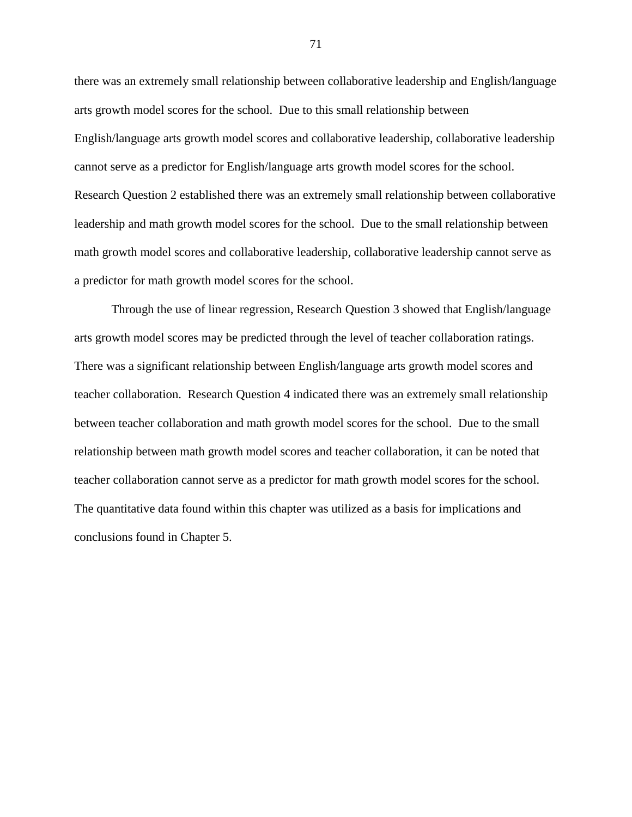there was an extremely small relationship between collaborative leadership and English/language arts growth model scores for the school. Due to this small relationship between English/language arts growth model scores and collaborative leadership, collaborative leadership cannot serve as a predictor for English/language arts growth model scores for the school. Research Question 2 established there was an extremely small relationship between collaborative leadership and math growth model scores for the school. Due to the small relationship between math growth model scores and collaborative leadership, collaborative leadership cannot serve as a predictor for math growth model scores for the school.

Through the use of linear regression, Research Question 3 showed that English/language arts growth model scores may be predicted through the level of teacher collaboration ratings. There was a significant relationship between English/language arts growth model scores and teacher collaboration. Research Question 4 indicated there was an extremely small relationship between teacher collaboration and math growth model scores for the school. Due to the small relationship between math growth model scores and teacher collaboration, it can be noted that teacher collaboration cannot serve as a predictor for math growth model scores for the school. The quantitative data found within this chapter was utilized as a basis for implications and conclusions found in Chapter 5.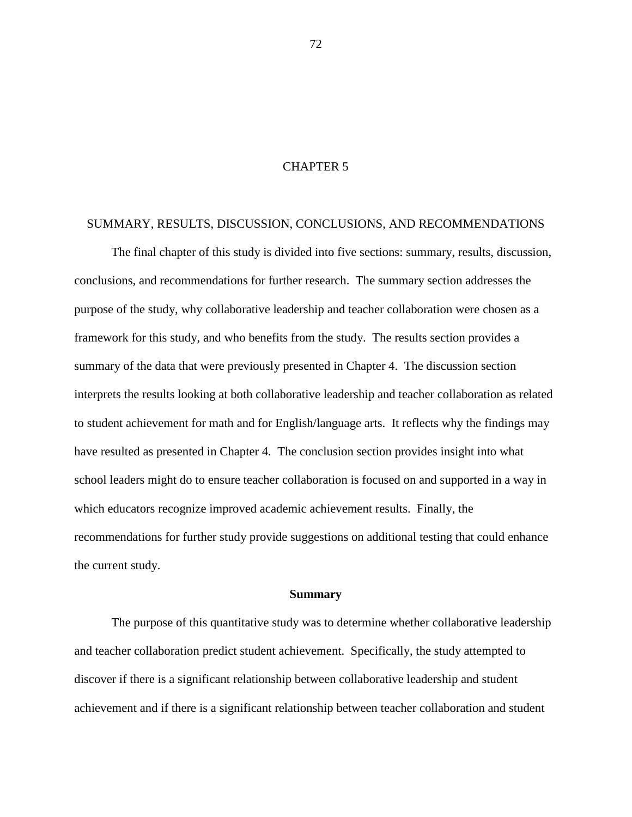# CHAPTER 5

# SUMMARY, RESULTS, DISCUSSION, CONCLUSIONS, AND RECOMMENDATIONS

The final chapter of this study is divided into five sections: summary, results, discussion, conclusions, and recommendations for further research. The summary section addresses the purpose of the study, why collaborative leadership and teacher collaboration were chosen as a framework for this study, and who benefits from the study. The results section provides a summary of the data that were previously presented in Chapter 4. The discussion section interprets the results looking at both collaborative leadership and teacher collaboration as related to student achievement for math and for English/language arts. It reflects why the findings may have resulted as presented in Chapter 4. The conclusion section provides insight into what school leaders might do to ensure teacher collaboration is focused on and supported in a way in which educators recognize improved academic achievement results. Finally, the recommendations for further study provide suggestions on additional testing that could enhance the current study.

#### **Summary**

The purpose of this quantitative study was to determine whether collaborative leadership and teacher collaboration predict student achievement. Specifically, the study attempted to discover if there is a significant relationship between collaborative leadership and student achievement and if there is a significant relationship between teacher collaboration and student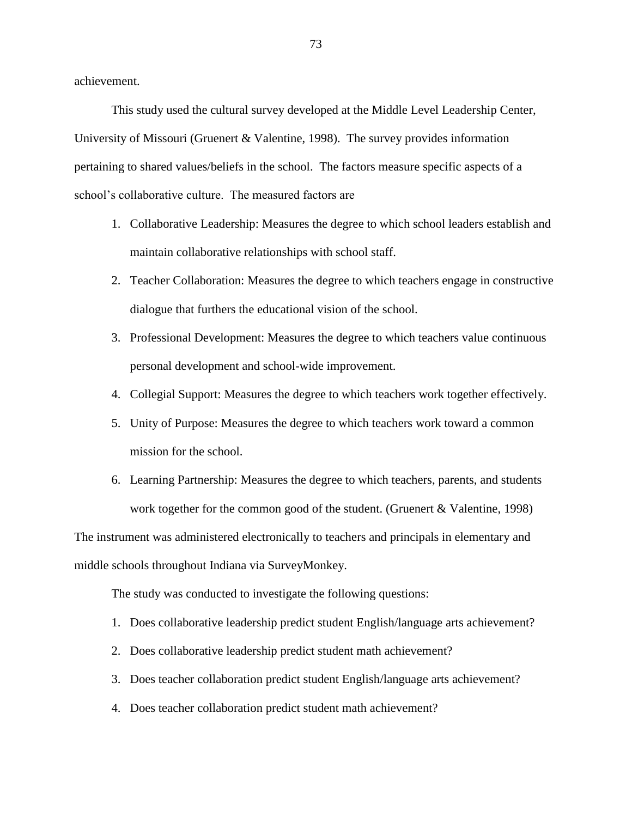achievement.

This study used the cultural survey developed at the Middle Level Leadership Center, University of Missouri (Gruenert & Valentine, 1998). The survey provides information pertaining to shared values/beliefs in the school. The factors measure specific aspects of a school's collaborative culture. The measured factors are

- 1. Collaborative Leadership: Measures the degree to which school leaders establish and maintain collaborative relationships with school staff.
- 2. Teacher Collaboration: Measures the degree to which teachers engage in constructive dialogue that furthers the educational vision of the school.
- 3. Professional Development: Measures the degree to which teachers value continuous personal development and school-wide improvement.
- 4. Collegial Support: Measures the degree to which teachers work together effectively.
- 5. Unity of Purpose: Measures the degree to which teachers work toward a common mission for the school.
- 6. Learning Partnership: Measures the degree to which teachers, parents, and students work together for the common good of the student. (Gruenert & Valentine, 1998)

The instrument was administered electronically to teachers and principals in elementary and middle schools throughout Indiana via SurveyMonkey.

The study was conducted to investigate the following questions:

- 1. Does collaborative leadership predict student English/language arts achievement?
- 2. Does collaborative leadership predict student math achievement?
- 3. Does teacher collaboration predict student English/language arts achievement?
- 4. Does teacher collaboration predict student math achievement?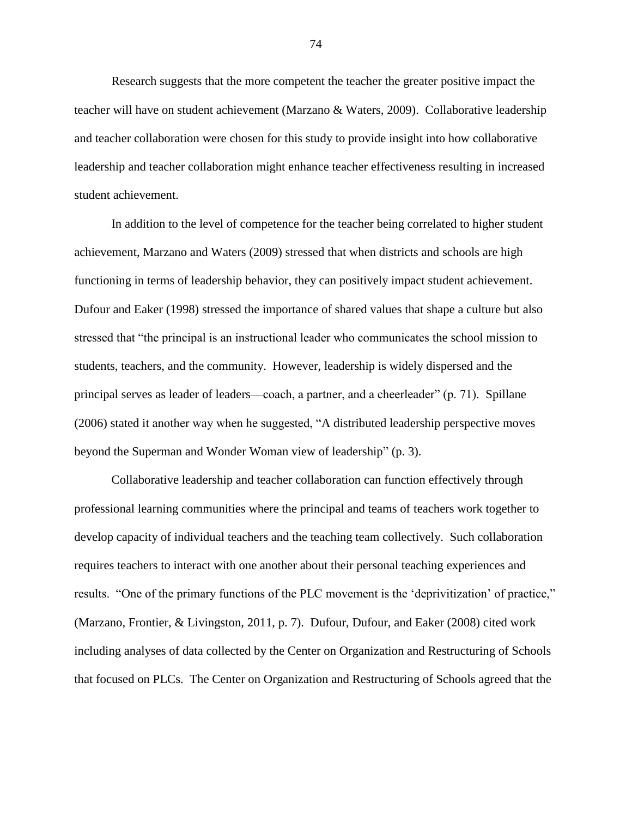Research suggests that the more competent the teacher the greater positive impact the teacher will have on student achievement (Marzano & Waters, 2009). Collaborative leadership and teacher collaboration were chosen for this study to provide insight into how collaborative leadership and teacher collaboration might enhance teacher effectiveness resulting in increased student achievement.

In addition to the level of competence for the teacher being correlated to higher student achievement, Marzano and Waters (2009) stressed that when districts and schools are high functioning in terms of leadership behavior, they can positively impact student achievement. Dufour and Eaker (1998) stressed the importance of shared values that shape a culture but also stressed that "the principal is an instructional leader who communicates the school mission to students, teachers, and the community. However, leadership is widely dispersed and the principal serves as leader of leaders—coach, a partner, and a cheerleader" (p. 71). Spillane (2006) stated it another way when he suggested, "A distributed leadership perspective moves beyond the Superman and Wonder Woman view of leadership" (p. 3).

Collaborative leadership and teacher collaboration can function effectively through professional learning communities where the principal and teams of teachers work together to develop capacity of individual teachers and the teaching team collectively. Such collaboration requires teachers to interact with one another about their personal teaching experiences and results. "One of the primary functions of the PLC movement is the 'deprivitization' of practice," (Marzano, Frontier, & Livingston, 2011, p. 7). Dufour, Dufour, and Eaker (2008) cited work including analyses of data collected by the Center on Organization and Restructuring of Schools that focused on PLCs. The Center on Organization and Restructuring of Schools agreed that the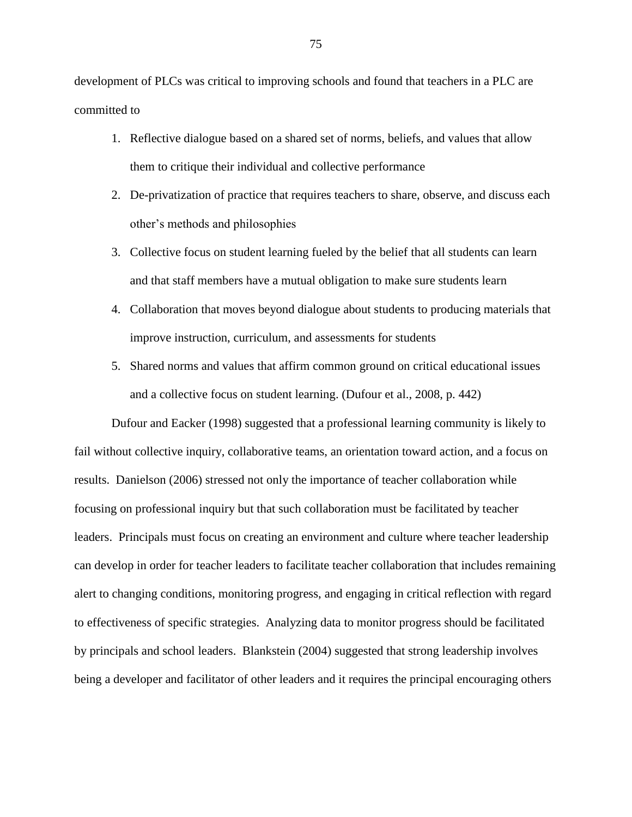development of PLCs was critical to improving schools and found that teachers in a PLC are committed to

- 1. Reflective dialogue based on a shared set of norms, beliefs, and values that allow them to critique their individual and collective performance
- 2. De-privatization of practice that requires teachers to share, observe, and discuss each other's methods and philosophies
- 3. Collective focus on student learning fueled by the belief that all students can learn and that staff members have a mutual obligation to make sure students learn
- 4. Collaboration that moves beyond dialogue about students to producing materials that improve instruction, curriculum, and assessments for students
- 5. Shared norms and values that affirm common ground on critical educational issues and a collective focus on student learning. (Dufour et al., 2008, p. 442)

Dufour and Eacker (1998) suggested that a professional learning community is likely to fail without collective inquiry, collaborative teams, an orientation toward action, and a focus on results. Danielson (2006) stressed not only the importance of teacher collaboration while focusing on professional inquiry but that such collaboration must be facilitated by teacher leaders. Principals must focus on creating an environment and culture where teacher leadership can develop in order for teacher leaders to facilitate teacher collaboration that includes remaining alert to changing conditions, monitoring progress, and engaging in critical reflection with regard to effectiveness of specific strategies. Analyzing data to monitor progress should be facilitated by principals and school leaders. Blankstein (2004) suggested that strong leadership involves being a developer and facilitator of other leaders and it requires the principal encouraging others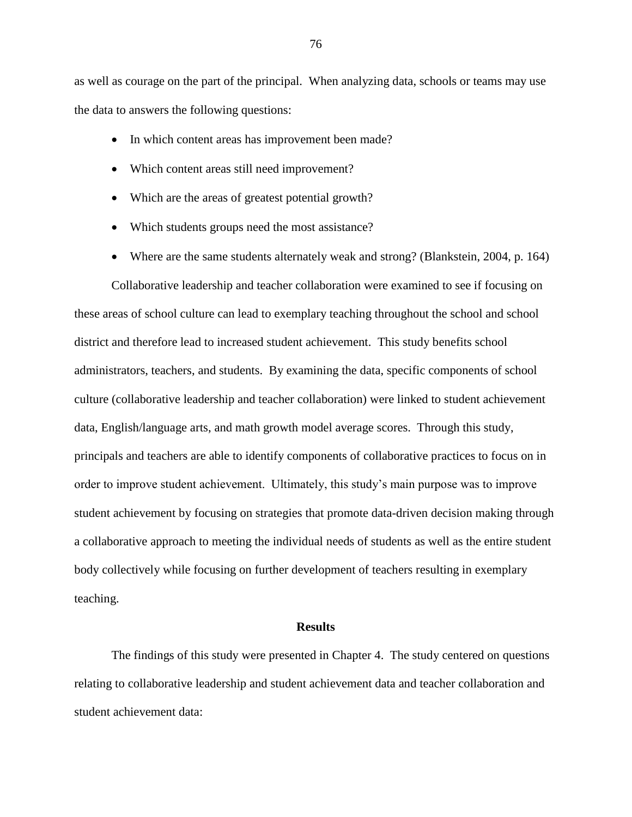as well as courage on the part of the principal. When analyzing data, schools or teams may use the data to answers the following questions:

- In which content areas has improvement been made?
- Which content areas still need improvement?
- Which are the areas of greatest potential growth?
- Which students groups need the most assistance?
- Where are the same students alternately weak and strong? (Blankstein, 2004, p. 164)

Collaborative leadership and teacher collaboration were examined to see if focusing on these areas of school culture can lead to exemplary teaching throughout the school and school district and therefore lead to increased student achievement. This study benefits school administrators, teachers, and students. By examining the data, specific components of school culture (collaborative leadership and teacher collaboration) were linked to student achievement data, English/language arts, and math growth model average scores. Through this study, principals and teachers are able to identify components of collaborative practices to focus on in order to improve student achievement. Ultimately, this study's main purpose was to improve student achievement by focusing on strategies that promote data-driven decision making through a collaborative approach to meeting the individual needs of students as well as the entire student body collectively while focusing on further development of teachers resulting in exemplary teaching.

# **Results**

The findings of this study were presented in Chapter 4. The study centered on questions relating to collaborative leadership and student achievement data and teacher collaboration and student achievement data: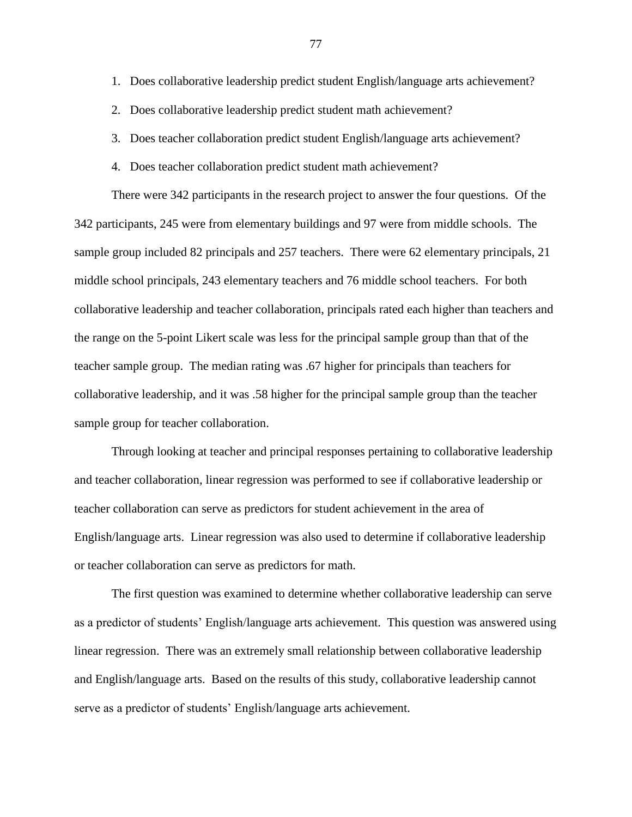- 1. Does collaborative leadership predict student English/language arts achievement?
- 2. Does collaborative leadership predict student math achievement?
- 3. Does teacher collaboration predict student English/language arts achievement?
- 4. Does teacher collaboration predict student math achievement?

There were 342 participants in the research project to answer the four questions. Of the 342 participants, 245 were from elementary buildings and 97 were from middle schools. The sample group included 82 principals and 257 teachers. There were 62 elementary principals, 21 middle school principals, 243 elementary teachers and 76 middle school teachers. For both collaborative leadership and teacher collaboration, principals rated each higher than teachers and the range on the 5-point Likert scale was less for the principal sample group than that of the teacher sample group. The median rating was .67 higher for principals than teachers for collaborative leadership, and it was .58 higher for the principal sample group than the teacher sample group for teacher collaboration.

Through looking at teacher and principal responses pertaining to collaborative leadership and teacher collaboration, linear regression was performed to see if collaborative leadership or teacher collaboration can serve as predictors for student achievement in the area of English/language arts. Linear regression was also used to determine if collaborative leadership or teacher collaboration can serve as predictors for math.

The first question was examined to determine whether collaborative leadership can serve as a predictor of students' English/language arts achievement. This question was answered using linear regression. There was an extremely small relationship between collaborative leadership and English/language arts. Based on the results of this study, collaborative leadership cannot serve as a predictor of students' English/language arts achievement.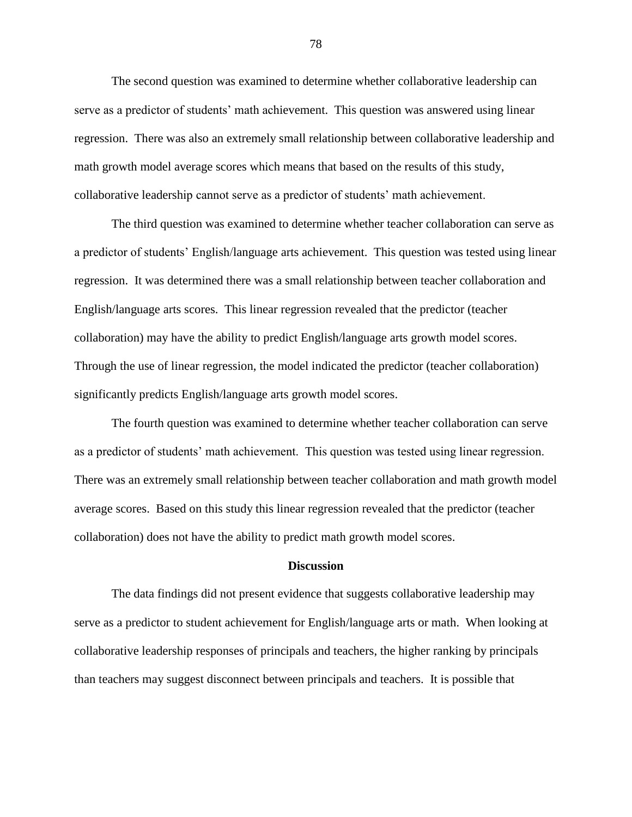The second question was examined to determine whether collaborative leadership can serve as a predictor of students' math achievement. This question was answered using linear regression. There was also an extremely small relationship between collaborative leadership and math growth model average scores which means that based on the results of this study, collaborative leadership cannot serve as a predictor of students' math achievement.

The third question was examined to determine whether teacher collaboration can serve as a predictor of students' English/language arts achievement. This question was tested using linear regression. It was determined there was a small relationship between teacher collaboration and English/language arts scores. This linear regression revealed that the predictor (teacher collaboration) may have the ability to predict English/language arts growth model scores. Through the use of linear regression, the model indicated the predictor (teacher collaboration) significantly predicts English/language arts growth model scores.

The fourth question was examined to determine whether teacher collaboration can serve as a predictor of students' math achievement. This question was tested using linear regression. There was an extremely small relationship between teacher collaboration and math growth model average scores. Based on this study this linear regression revealed that the predictor (teacher collaboration) does not have the ability to predict math growth model scores.

# **Discussion**

The data findings did not present evidence that suggests collaborative leadership may serve as a predictor to student achievement for English/language arts or math. When looking at collaborative leadership responses of principals and teachers, the higher ranking by principals than teachers may suggest disconnect between principals and teachers. It is possible that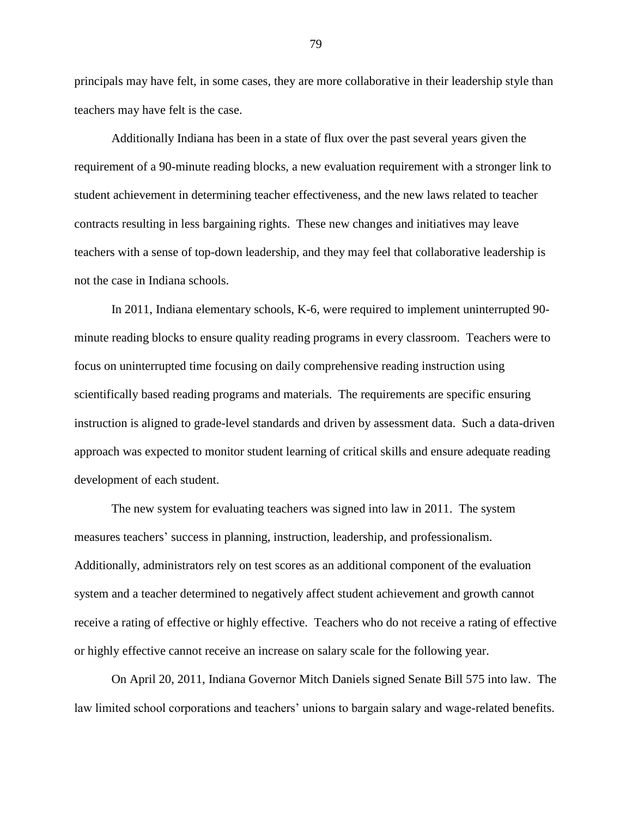principals may have felt, in some cases, they are more collaborative in their leadership style than teachers may have felt is the case.

Additionally Indiana has been in a state of flux over the past several years given the requirement of a 90-minute reading blocks, a new evaluation requirement with a stronger link to student achievement in determining teacher effectiveness, and the new laws related to teacher contracts resulting in less bargaining rights. These new changes and initiatives may leave teachers with a sense of top-down leadership, and they may feel that collaborative leadership is not the case in Indiana schools.

In 2011, Indiana elementary schools, K-6, were required to implement uninterrupted 90 minute reading blocks to ensure quality reading programs in every classroom. Teachers were to focus on uninterrupted time focusing on daily comprehensive reading instruction using scientifically based reading programs and materials. The requirements are specific ensuring instruction is aligned to grade-level standards and driven by assessment data. Such a data-driven approach was expected to monitor student learning of critical skills and ensure adequate reading development of each student.

The new system for evaluating teachers was signed into law in 2011. The system measures teachers' success in planning, instruction, leadership, and professionalism. Additionally, administrators rely on test scores as an additional component of the evaluation system and a teacher determined to negatively affect student achievement and growth cannot receive a rating of effective or highly effective. Teachers who do not receive a rating of effective or highly effective cannot receive an increase on salary scale for the following year.

On April 20, 2011, Indiana Governor Mitch Daniels signed Senate Bill 575 into law. The law limited school corporations and teachers' unions to bargain salary and wage-related benefits.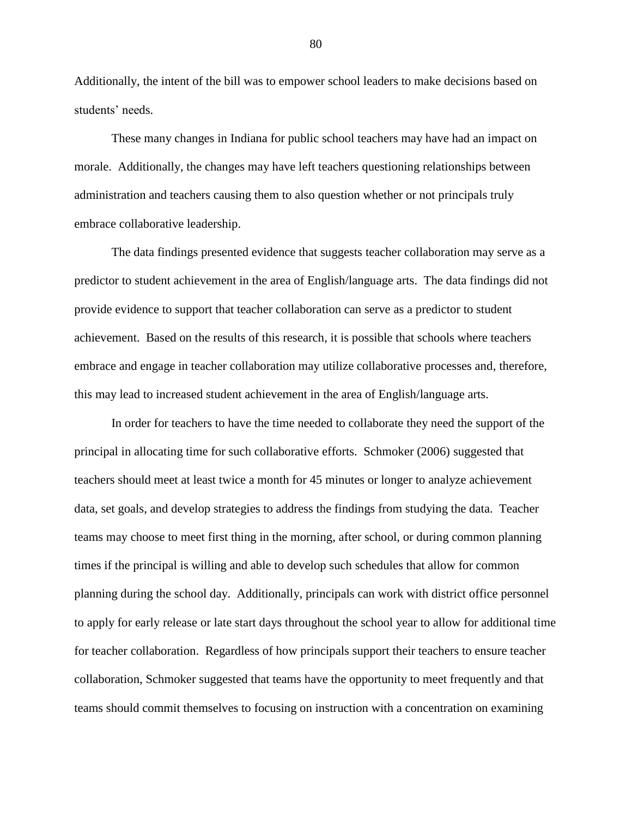Additionally, the intent of the bill was to empower school leaders to make decisions based on students' needs.

These many changes in Indiana for public school teachers may have had an impact on morale. Additionally, the changes may have left teachers questioning relationships between administration and teachers causing them to also question whether or not principals truly embrace collaborative leadership.

The data findings presented evidence that suggests teacher collaboration may serve as a predictor to student achievement in the area of English/language arts. The data findings did not provide evidence to support that teacher collaboration can serve as a predictor to student achievement. Based on the results of this research, it is possible that schools where teachers embrace and engage in teacher collaboration may utilize collaborative processes and, therefore, this may lead to increased student achievement in the area of English/language arts.

In order for teachers to have the time needed to collaborate they need the support of the principal in allocating time for such collaborative efforts. Schmoker (2006) suggested that teachers should meet at least twice a month for 45 minutes or longer to analyze achievement data, set goals, and develop strategies to address the findings from studying the data. Teacher teams may choose to meet first thing in the morning, after school, or during common planning times if the principal is willing and able to develop such schedules that allow for common planning during the school day. Additionally, principals can work with district office personnel to apply for early release or late start days throughout the school year to allow for additional time for teacher collaboration. Regardless of how principals support their teachers to ensure teacher collaboration, Schmoker suggested that teams have the opportunity to meet frequently and that teams should commit themselves to focusing on instruction with a concentration on examining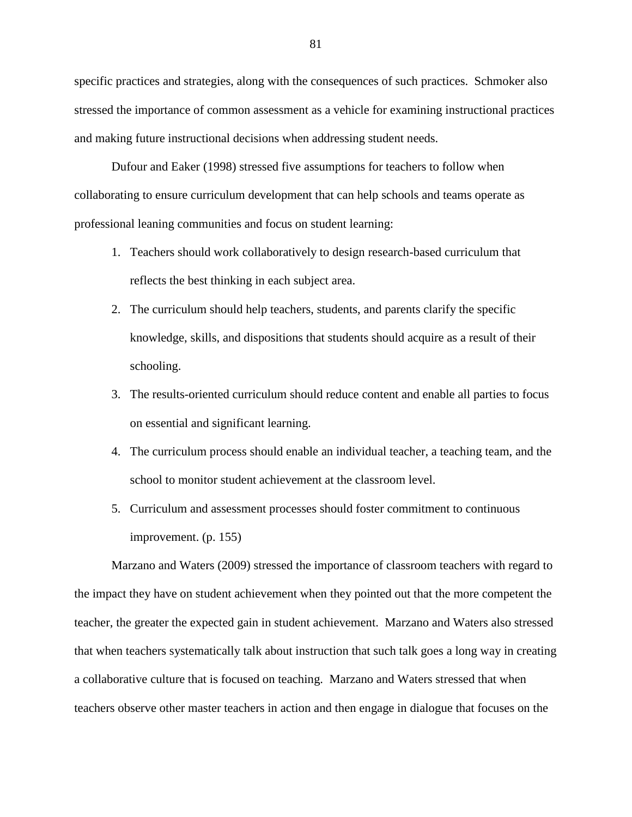specific practices and strategies, along with the consequences of such practices. Schmoker also stressed the importance of common assessment as a vehicle for examining instructional practices and making future instructional decisions when addressing student needs.

Dufour and Eaker (1998) stressed five assumptions for teachers to follow when collaborating to ensure curriculum development that can help schools and teams operate as professional leaning communities and focus on student learning:

- 1. Teachers should work collaboratively to design research-based curriculum that reflects the best thinking in each subject area.
- 2. The curriculum should help teachers, students, and parents clarify the specific knowledge, skills, and dispositions that students should acquire as a result of their schooling.
- 3. The results-oriented curriculum should reduce content and enable all parties to focus on essential and significant learning.
- 4. The curriculum process should enable an individual teacher, a teaching team, and the school to monitor student achievement at the classroom level.
- 5. Curriculum and assessment processes should foster commitment to continuous improvement. (p. 155)

Marzano and Waters (2009) stressed the importance of classroom teachers with regard to the impact they have on student achievement when they pointed out that the more competent the teacher, the greater the expected gain in student achievement. Marzano and Waters also stressed that when teachers systematically talk about instruction that such talk goes a long way in creating a collaborative culture that is focused on teaching. Marzano and Waters stressed that when teachers observe other master teachers in action and then engage in dialogue that focuses on the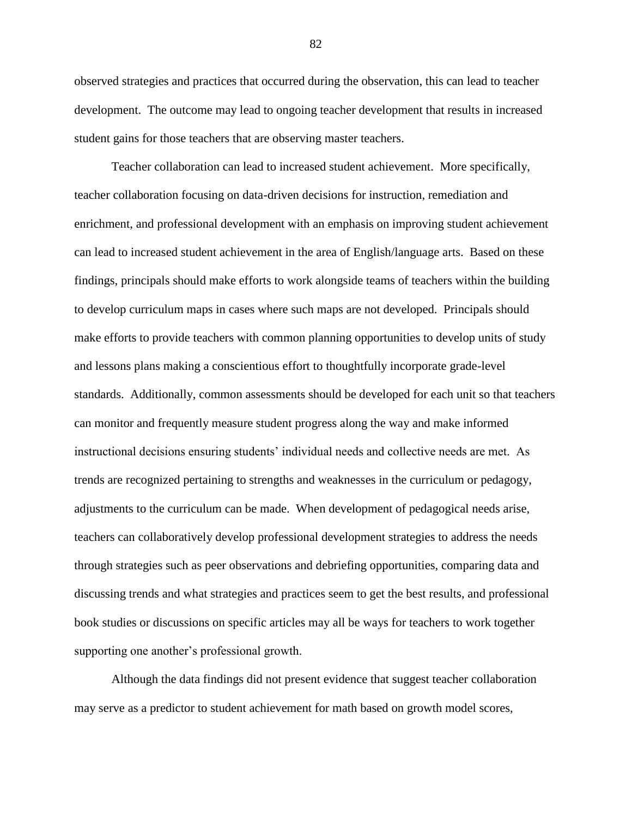observed strategies and practices that occurred during the observation, this can lead to teacher development. The outcome may lead to ongoing teacher development that results in increased student gains for those teachers that are observing master teachers.

Teacher collaboration can lead to increased student achievement. More specifically, teacher collaboration focusing on data-driven decisions for instruction, remediation and enrichment, and professional development with an emphasis on improving student achievement can lead to increased student achievement in the area of English/language arts. Based on these findings, principals should make efforts to work alongside teams of teachers within the building to develop curriculum maps in cases where such maps are not developed. Principals should make efforts to provide teachers with common planning opportunities to develop units of study and lessons plans making a conscientious effort to thoughtfully incorporate grade-level standards. Additionally, common assessments should be developed for each unit so that teachers can monitor and frequently measure student progress along the way and make informed instructional decisions ensuring students' individual needs and collective needs are met. As trends are recognized pertaining to strengths and weaknesses in the curriculum or pedagogy, adjustments to the curriculum can be made. When development of pedagogical needs arise, teachers can collaboratively develop professional development strategies to address the needs through strategies such as peer observations and debriefing opportunities, comparing data and discussing trends and what strategies and practices seem to get the best results, and professional book studies or discussions on specific articles may all be ways for teachers to work together supporting one another's professional growth.

Although the data findings did not present evidence that suggest teacher collaboration may serve as a predictor to student achievement for math based on growth model scores,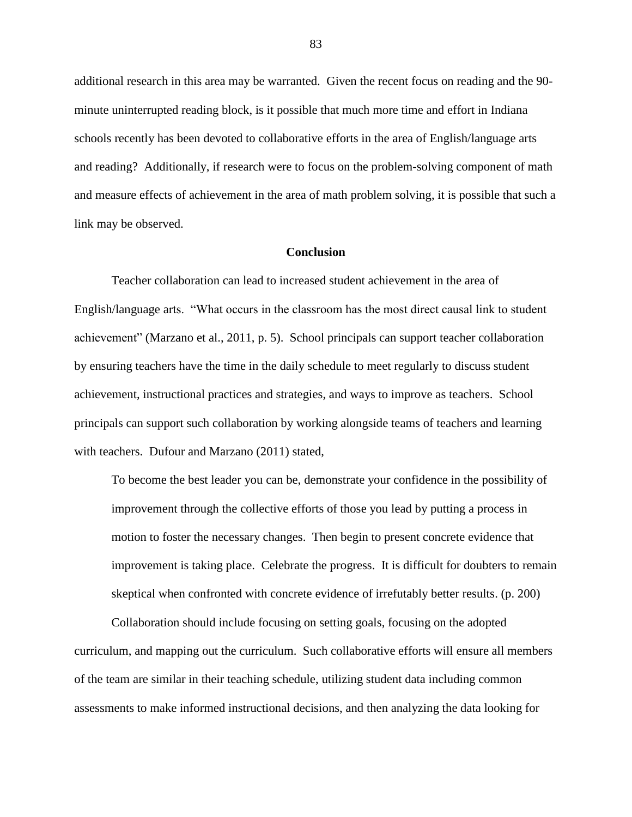additional research in this area may be warranted. Given the recent focus on reading and the 90 minute uninterrupted reading block, is it possible that much more time and effort in Indiana schools recently has been devoted to collaborative efforts in the area of English/language arts and reading? Additionally, if research were to focus on the problem-solving component of math and measure effects of achievement in the area of math problem solving, it is possible that such a link may be observed.

# **Conclusion**

Teacher collaboration can lead to increased student achievement in the area of English/language arts. "What occurs in the classroom has the most direct causal link to student achievement" (Marzano et al., 2011, p. 5). School principals can support teacher collaboration by ensuring teachers have the time in the daily schedule to meet regularly to discuss student achievement, instructional practices and strategies, and ways to improve as teachers. School principals can support such collaboration by working alongside teams of teachers and learning with teachers. Dufour and Marzano (2011) stated,

To become the best leader you can be, demonstrate your confidence in the possibility of improvement through the collective efforts of those you lead by putting a process in motion to foster the necessary changes. Then begin to present concrete evidence that improvement is taking place. Celebrate the progress. It is difficult for doubters to remain skeptical when confronted with concrete evidence of irrefutably better results. (p. 200)

Collaboration should include focusing on setting goals, focusing on the adopted curriculum, and mapping out the curriculum. Such collaborative efforts will ensure all members of the team are similar in their teaching schedule, utilizing student data including common assessments to make informed instructional decisions, and then analyzing the data looking for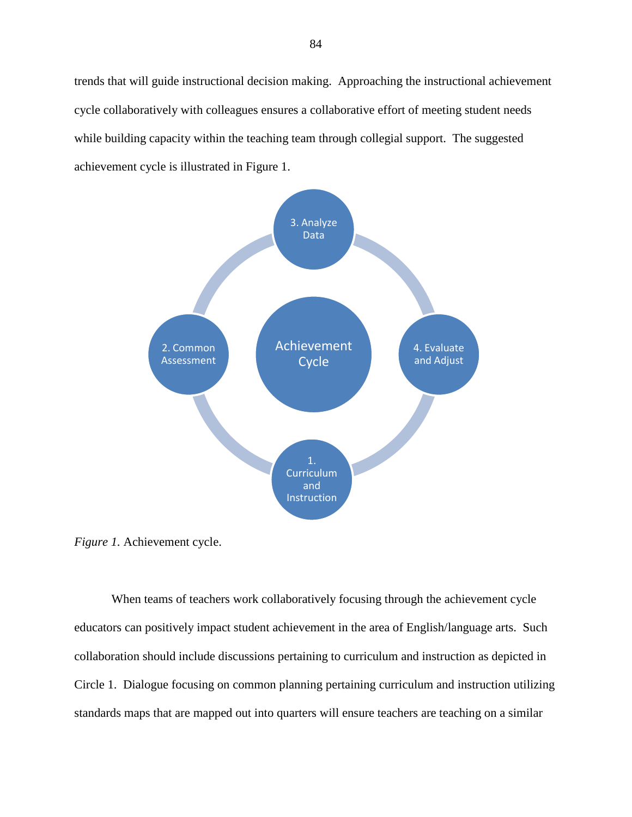trends that will guide instructional decision making. Approaching the instructional achievement cycle collaboratively with colleagues ensures a collaborative effort of meeting student needs while building capacity within the teaching team through collegial support. The suggested achievement cycle is illustrated in Figure 1.



*Figure 1.* Achievement cycle.

When teams of teachers work collaboratively focusing through the achievement cycle educators can positively impact student achievement in the area of English/language arts. Such collaboration should include discussions pertaining to curriculum and instruction as depicted in Circle 1. Dialogue focusing on common planning pertaining curriculum and instruction utilizing standards maps that are mapped out into quarters will ensure teachers are teaching on a similar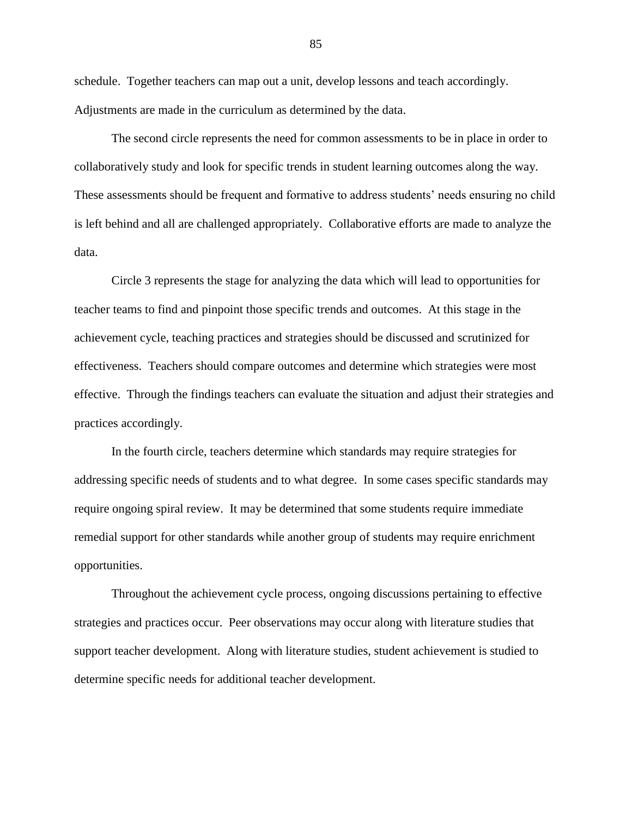schedule. Together teachers can map out a unit, develop lessons and teach accordingly. Adjustments are made in the curriculum as determined by the data.

The second circle represents the need for common assessments to be in place in order to collaboratively study and look for specific trends in student learning outcomes along the way. These assessments should be frequent and formative to address students' needs ensuring no child is left behind and all are challenged appropriately. Collaborative efforts are made to analyze the data.

Circle 3 represents the stage for analyzing the data which will lead to opportunities for teacher teams to find and pinpoint those specific trends and outcomes. At this stage in the achievement cycle, teaching practices and strategies should be discussed and scrutinized for effectiveness. Teachers should compare outcomes and determine which strategies were most effective. Through the findings teachers can evaluate the situation and adjust their strategies and practices accordingly.

In the fourth circle, teachers determine which standards may require strategies for addressing specific needs of students and to what degree. In some cases specific standards may require ongoing spiral review. It may be determined that some students require immediate remedial support for other standards while another group of students may require enrichment opportunities.

Throughout the achievement cycle process, ongoing discussions pertaining to effective strategies and practices occur. Peer observations may occur along with literature studies that support teacher development. Along with literature studies, student achievement is studied to determine specific needs for additional teacher development.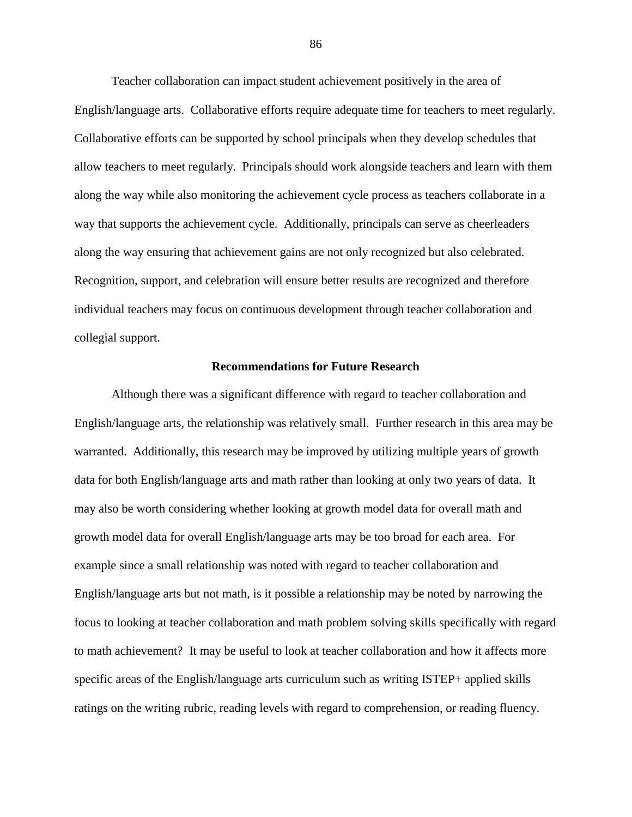Teacher collaboration can impact student achievement positively in the area of English/language arts. Collaborative efforts require adequate time for teachers to meet regularly. Collaborative efforts can be supported by school principals when they develop schedules that allow teachers to meet regularly. Principals should work alongside teachers and learn with them along the way while also monitoring the achievement cycle process as teachers collaborate in a way that supports the achievement cycle. Additionally, principals can serve as cheerleaders along the way ensuring that achievement gains are not only recognized but also celebrated. Recognition, support, and celebration will ensure better results are recognized and therefore individual teachers may focus on continuous development through teacher collaboration and collegial support.

### **Recommendations for Future Research**

Although there was a significant difference with regard to teacher collaboration and English/language arts, the relationship was relatively small. Further research in this area may be warranted. Additionally, this research may be improved by utilizing multiple years of growth data for both English/language arts and math rather than looking at only two years of data. It may also be worth considering whether looking at growth model data for overall math and growth model data for overall English/language arts may be too broad for each area. For example since a small relationship was noted with regard to teacher collaboration and English/language arts but not math, is it possible a relationship may be noted by narrowing the focus to looking at teacher collaboration and math problem solving skills specifically with regard to math achievement? It may be useful to look at teacher collaboration and how it affects more specific areas of the English/language arts curriculum such as writing ISTEP+ applied skills ratings on the writing rubric, reading levels with regard to comprehension, or reading fluency.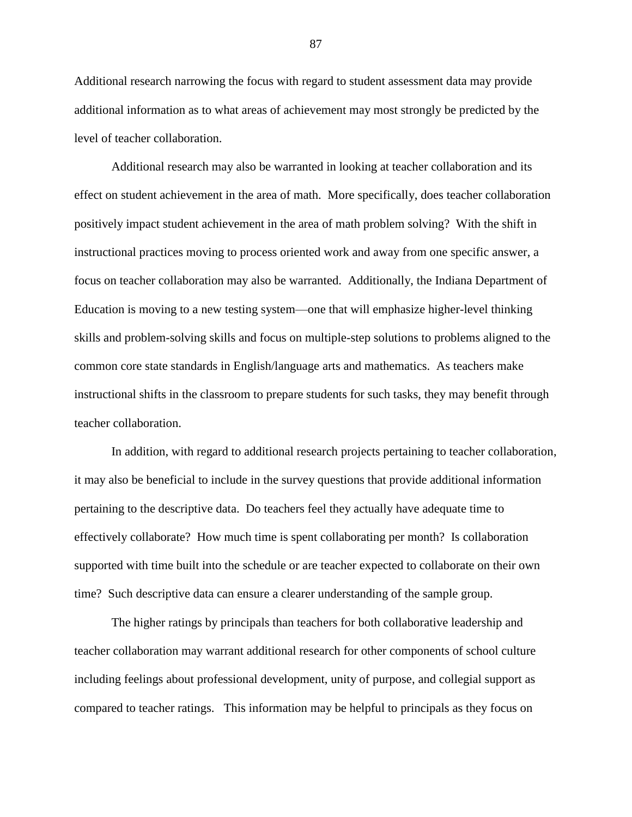Additional research narrowing the focus with regard to student assessment data may provide additional information as to what areas of achievement may most strongly be predicted by the level of teacher collaboration.

Additional research may also be warranted in looking at teacher collaboration and its effect on student achievement in the area of math. More specifically, does teacher collaboration positively impact student achievement in the area of math problem solving? With the shift in instructional practices moving to process oriented work and away from one specific answer, a focus on teacher collaboration may also be warranted. Additionally, the Indiana Department of Education is moving to a new testing system—one that will emphasize higher-level thinking skills and problem-solving skills and focus on multiple-step solutions to problems aligned to the common core state standards in English/language arts and mathematics. As teachers make instructional shifts in the classroom to prepare students for such tasks, they may benefit through teacher collaboration.

In addition, with regard to additional research projects pertaining to teacher collaboration, it may also be beneficial to include in the survey questions that provide additional information pertaining to the descriptive data. Do teachers feel they actually have adequate time to effectively collaborate? How much time is spent collaborating per month? Is collaboration supported with time built into the schedule or are teacher expected to collaborate on their own time? Such descriptive data can ensure a clearer understanding of the sample group.

The higher ratings by principals than teachers for both collaborative leadership and teacher collaboration may warrant additional research for other components of school culture including feelings about professional development, unity of purpose, and collegial support as compared to teacher ratings. This information may be helpful to principals as they focus on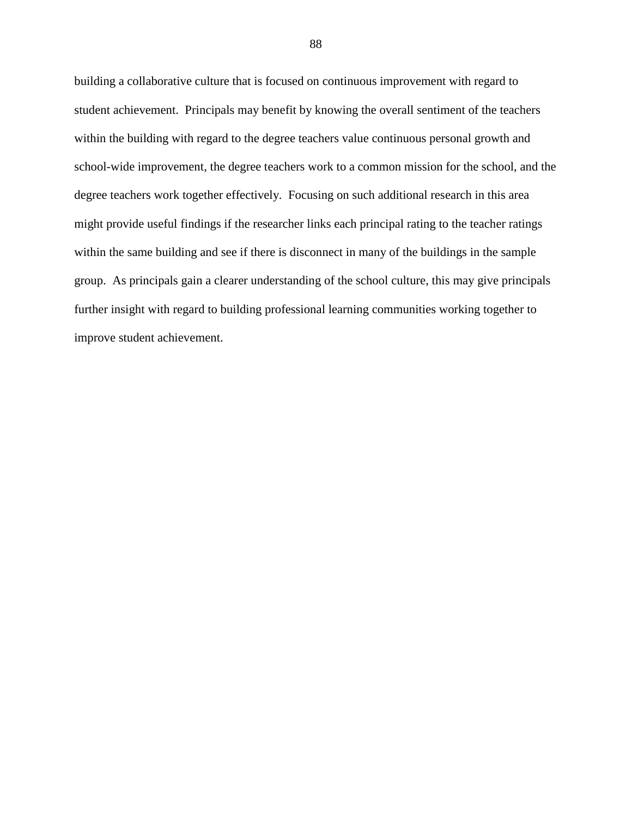building a collaborative culture that is focused on continuous improvement with regard to student achievement. Principals may benefit by knowing the overall sentiment of the teachers within the building with regard to the degree teachers value continuous personal growth and school-wide improvement, the degree teachers work to a common mission for the school, and the degree teachers work together effectively. Focusing on such additional research in this area might provide useful findings if the researcher links each principal rating to the teacher ratings within the same building and see if there is disconnect in many of the buildings in the sample group. As principals gain a clearer understanding of the school culture, this may give principals further insight with regard to building professional learning communities working together to improve student achievement.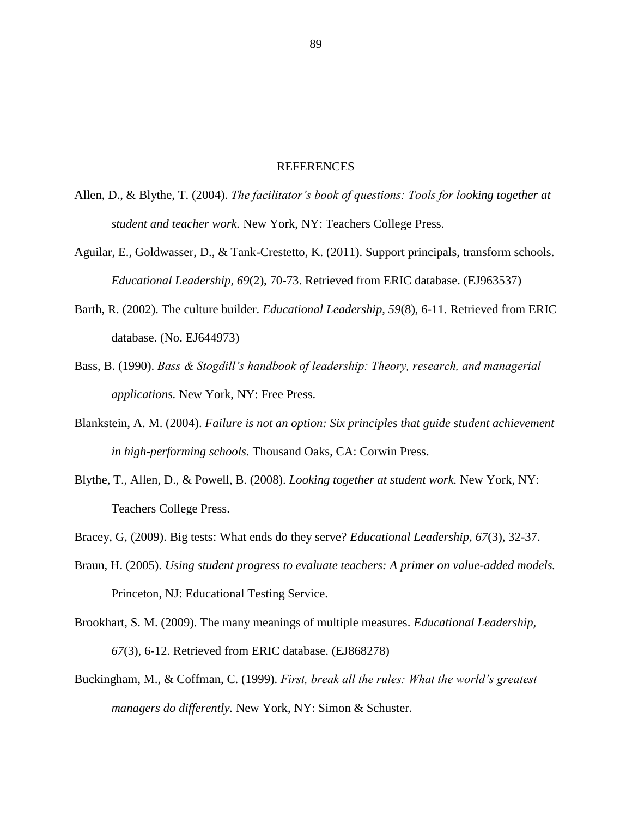### REFERENCES

- Allen, D., & Blythe, T. (2004). *The facilitator's book of questions: Tools for looking together at student and teacher work.* New York, NY: Teachers College Press.
- Aguilar, E., Goldwasser, D., & Tank-Crestetto, K. (2011). Support principals, transform schools. *Educational Leadership, 69*(2), 70-73. Retrieved from ERIC database. (EJ963537)
- Barth, R. (2002). The culture builder. *Educational Leadership, 59*(8), 6-11. Retrieved from ERIC database. (No. EJ644973)
- Bass, B. (1990). *Bass & Stogdill's handbook of leadership: Theory, research, and managerial applications.* New York, NY: Free Press.
- Blankstein, A. M. (2004). *Failure is not an option: Six principles that guide student achievement in high-performing schools.* Thousand Oaks, CA: Corwin Press.
- Blythe, T., Allen, D., & Powell, B. (2008). *Looking together at student work.* New York, NY: Teachers College Press.
- Bracey, G, (2009). Big tests: What ends do they serve? *Educational Leadership, 67*(3), 32-37.
- Braun, H. (2005). *Using student progress to evaluate teachers: A primer on value-added models.* Princeton, NJ: Educational Testing Service.
- Brookhart, S. M. (2009). The many meanings of multiple measures. *Educational Leadership, 67*(3), 6-12. Retrieved from ERIC database. (EJ868278)
- Buckingham, M., & Coffman, C. (1999). *First, break all the rules: What the world's greatest managers do differently.* New York, NY: Simon & Schuster.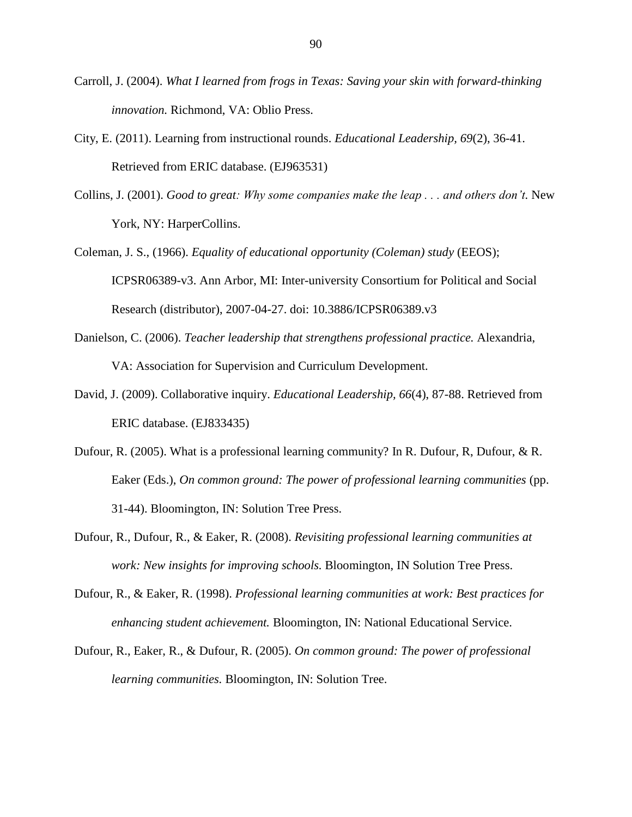- Carroll, J. (2004). *What I learned from frogs in Texas: Saving your skin with forward-thinking innovation.* Richmond, VA: Oblio Press.
- City, E. (2011). Learning from instructional rounds. *Educational Leadership, 69*(2), 36-41. Retrieved from ERIC database. (EJ963531)
- Collins, J. (2001). *Good to great: Why some companies make the leap . . . and others don't.* New York, NY: HarperCollins.
- Coleman, J. S., (1966). *Equality of educational opportunity (Coleman) study* (EEOS); ICPSR06389-v3. Ann Arbor, MI: Inter-university Consortium for Political and Social Research (distributor), 2007-04-27. doi: 10.3886/ICPSR06389.v3
- Danielson, C. (2006). *Teacher leadership that strengthens professional practice.* Alexandria, VA: Association for Supervision and Curriculum Development.
- David, J. (2009). Collaborative inquiry. *Educational Leadership, 66*(4), 87-88. Retrieved from ERIC database. (EJ833435)
- Dufour, R. (2005). What is a professional learning community? In R. Dufour, R, Dufour, & R. Eaker (Eds.), *On common ground: The power of professional learning communities* (pp. 31-44). Bloomington, IN: Solution Tree Press.
- Dufour, R., Dufour, R., & Eaker, R. (2008). *Revisiting professional learning communities at work: New insights for improving schools.* Bloomington, IN Solution Tree Press.
- Dufour, R., & Eaker, R. (1998). *Professional learning communities at work: Best practices for enhancing student achievement.* Bloomington, IN: National Educational Service.
- Dufour, R., Eaker, R., & Dufour, R. (2005). *On common ground: The power of professional learning communities.* Bloomington, IN: Solution Tree.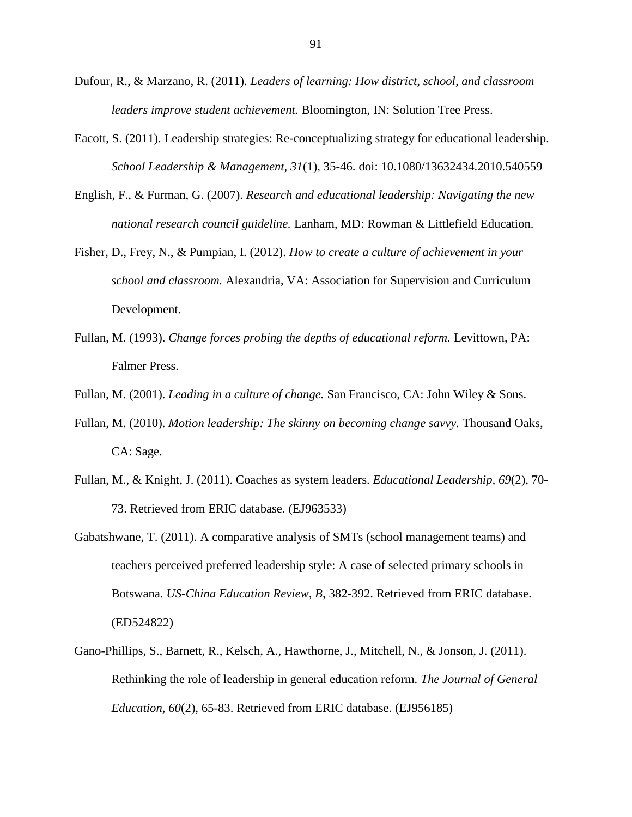- Dufour, R., & Marzano, R. (2011). *Leaders of learning: How district, school, and classroom leaders improve student achievement.* Bloomington, IN: Solution Tree Press.
- Eacott, S. (2011). Leadership strategies: Re-conceptualizing strategy for educational leadership. *School Leadership & Management, 31*(1), 35-46. doi: 10.1080/13632434.2010.540559
- English, F., & Furman, G. (2007). *Research and educational leadership: Navigating the new national research council guideline.* Lanham, MD: Rowman & Littlefield Education.
- Fisher, D., Frey, N., & Pumpian, I. (2012). *How to create a culture of achievement in your school and classroom.* Alexandria, VA: Association for Supervision and Curriculum Development.
- Fullan, M. (1993). *Change forces probing the depths of educational reform.* Levittown, PA: Falmer Press.
- Fullan, M. (2001). *Leading in a culture of change.* San Francisco, CA: John Wiley & Sons.
- Fullan, M. (2010). *Motion leadership: The skinny on becoming change savvy.* Thousand Oaks, CA: Sage.
- Fullan, M., & Knight, J. (2011). Coaches as system leaders. *Educational Leadership, 69*(2), 70- 73. Retrieved from ERIC database. (EJ963533)
- Gabatshwane, T. (2011). A comparative analysis of SMTs (school management teams) and teachers perceived preferred leadership style: A case of selected primary schools in Botswana. *US-China Education Review, B,* 382-392. Retrieved from ERIC database. (ED524822)
- Gano-Phillips, S., Barnett, R., Kelsch, A., Hawthorne, J., Mitchell, N., & Jonson, J. (2011). Rethinking the role of leadership in general education reform. *The Journal of General Education, 60*(2), 65-83. Retrieved from ERIC database. (EJ956185)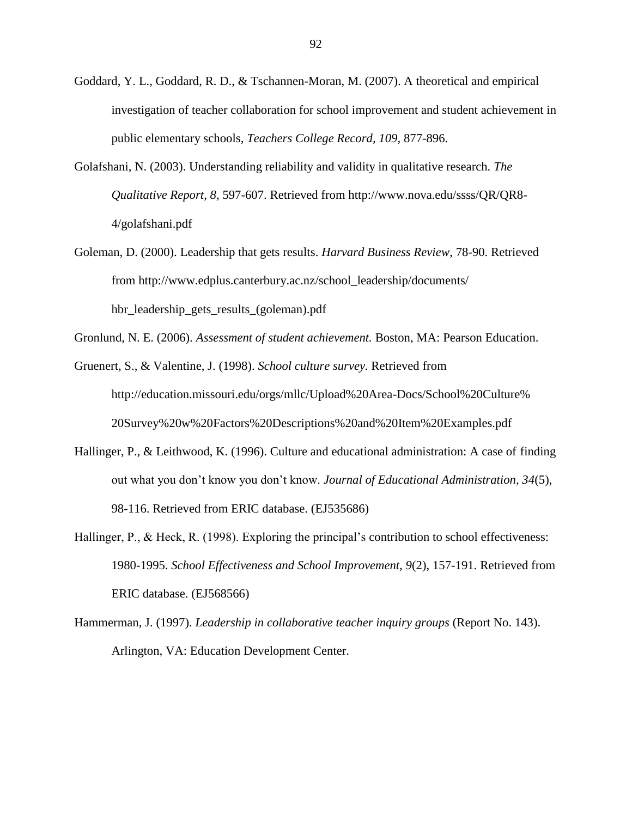- Goddard, Y. L., Goddard, R. D., & Tschannen-Moran, M. (2007). A theoretical and empirical investigation of teacher collaboration for school improvement and student achievement in public elementary schools, *Teachers College Record, 109,* 877-896.
- Golafshani, N. (2003). Understanding reliability and validity in qualitative research. *The Qualitative Report, 8,* 597-607. Retrieved from [http://www.nova.edu/ssss/QR/QR8-](http://www.nova.edu/ssss/QR/QR8-4/golafshani.pdf) [4/golafshani.pdf](http://www.nova.edu/ssss/QR/QR8-4/golafshani.pdf)
- Goleman, D. (2000). Leadership that gets results. *Harvard Business Review*, 78-90. Retrieved from http://www.edplus.canterbury.ac.nz/school\_leadership/documents/ hbr\_leadership\_gets\_results\_(goleman).pdf
- Gronlund, N. E. (2006). *Assessment of student achievement.* Boston, MA: Pearson Education.
- Gruenert, S., & Valentine, J. (1998). *School culture survey.* Retrieved from http://education.missouri.edu/orgs/mllc/Upload%20Area-Docs/School%20Culture% 20Survey%20w%20Factors%20Descriptions%20and%20Item%20Examples.pdf
- Hallinger, P., & Leithwood, K. (1996). Culture and educational administration: A case of finding out what you don't know you don't know. *Journal of Educational Administration, 34*(5), 98-116. Retrieved from ERIC database. (EJ535686)
- Hallinger, P., & Heck, R. (1998). Exploring the principal's contribution to school effectiveness: 1980-1995. *School Effectiveness and School Improvement, 9*(2), 157-191. Retrieved from ERIC database. (EJ568566)
- Hammerman, J. (1997). *Leadership in collaborative teacher inquiry groups* (Report No. 143). Arlington, VA: Education Development Center.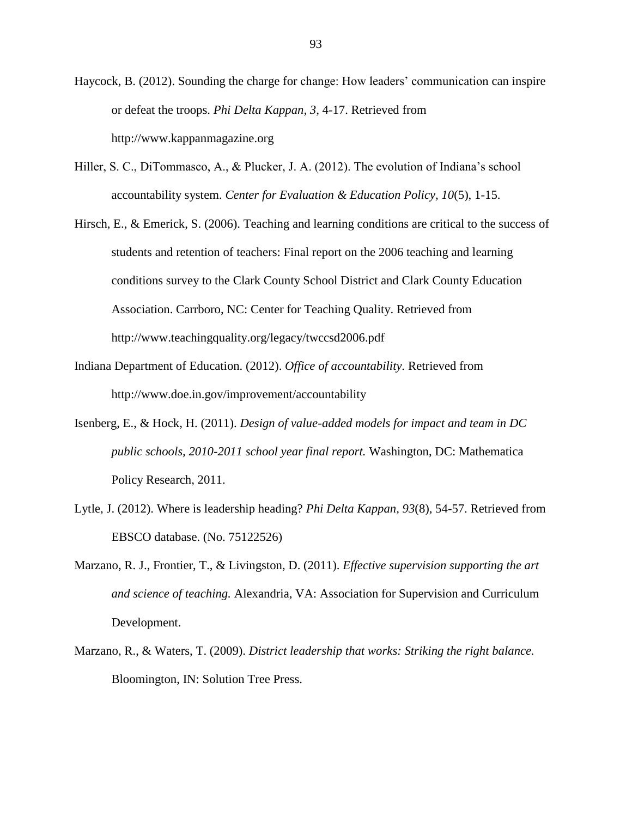Haycock, B. (2012). Sounding the charge for change: How leaders' communication can inspire or defeat the troops. *Phi Delta Kappan, 3,* 4-17. Retrieved from [http://www.kappanmagazine.org](http://www.kappanmagazine.org/)

- Hiller, S. C., DiTommasco, A., & Plucker, J. A. (2012). The evolution of Indiana's school accountability system. *Center for Evaluation & Education Policy, 10*(5), 1-15.
- Hirsch, E., & Emerick, S. (2006). Teaching and learning conditions are critical to the success of students and retention of teachers: Final report on the 2006 teaching and learning conditions survey to the Clark County School District and Clark County Education Association. Carrboro, NC: Center for Teaching Quality. Retrieved from http:/[/www.teachingquality.org/legacy/twccsd2006.pdf](http://www.teachingquality.org/legacy/twccsd2006.pdf)
- Indiana Department of Education. (2012). *Office of accountability.* Retrieved from <http://www.doe.in.gov/improvement/accountability>
- Isenberg, E., & Hock, H. (2011). *Design of value-added models for impact and team in DC public schools, 2010-2011 school year final report.* Washington, DC: Mathematica Policy Research, 2011.
- Lytle, J. (2012). Where is leadership heading? *Phi Delta Kappan, 93*(8), 54-57. Retrieved from EBSCO database. (No. 75122526)
- Marzano, R. J., Frontier, T., & Livingston, D. (2011). *Effective supervision supporting the art and science of teaching.* Alexandria, VA: Association for Supervision and Curriculum Development.
- Marzano, R., & Waters, T. (2009). *District leadership that works: Striking the right balance.* Bloomington, IN: Solution Tree Press.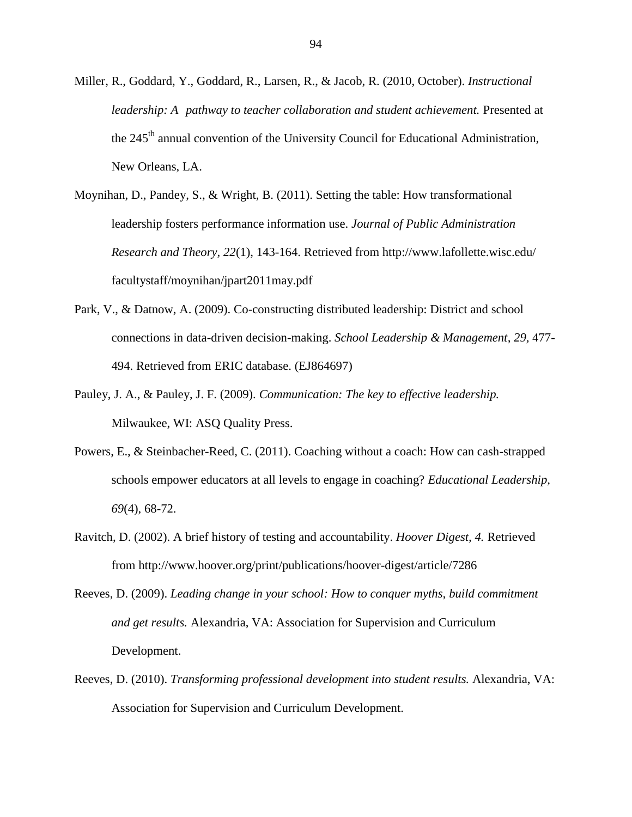- Miller, R., Goddard, Y., Goddard, R., Larsen, R., & Jacob, R. (2010, October). *Instructional leadership: A pathway to teacher collaboration and student achievement.* Presented at the  $245<sup>th</sup>$  annual convention of the University Council for Educational Administration, New Orleans, LA.
- Moynihan, D., Pandey, S., & Wright, B. (2011). Setting the table: How transformational leadership fosters performance information use. *Journal of Public Administration Research and Theory, 22*(1), 143-164. Retrieved from http://www.lafollette.wisc.edu/ facultystaff/moynihan/jpart2011may.pdf
- Park, V., & Datnow, A. (2009). Co-constructing distributed leadership: District and school connections in data-driven decision-making. *School Leadership & Management, 29,* 477- 494. Retrieved from ERIC database. (EJ864697)
- Pauley, J. A., & Pauley, J. F. (2009). *Communication: The key to effective leadership.* Milwaukee, WI: ASQ Quality Press.
- Powers, E., & Steinbacher-Reed, C. (2011). Coaching without a coach: How can cash-strapped schools empower educators at all levels to engage in coaching? *Educational Leadership, 69*(4), 68-72.
- Ravitch, D. (2002). A brief history of testing and accountability. *Hoover Digest, 4.* Retrieved from <http://www.hoover.org/print/publications/hoover-digest/article/7286>
- Reeves, D. (2009). *Leading change in your school: How to conquer myths, build commitment and get results.* Alexandria, VA: Association for Supervision and Curriculum Development.
- Reeves, D. (2010). *Transforming professional development into student results.* Alexandria, VA: Association for Supervision and Curriculum Development.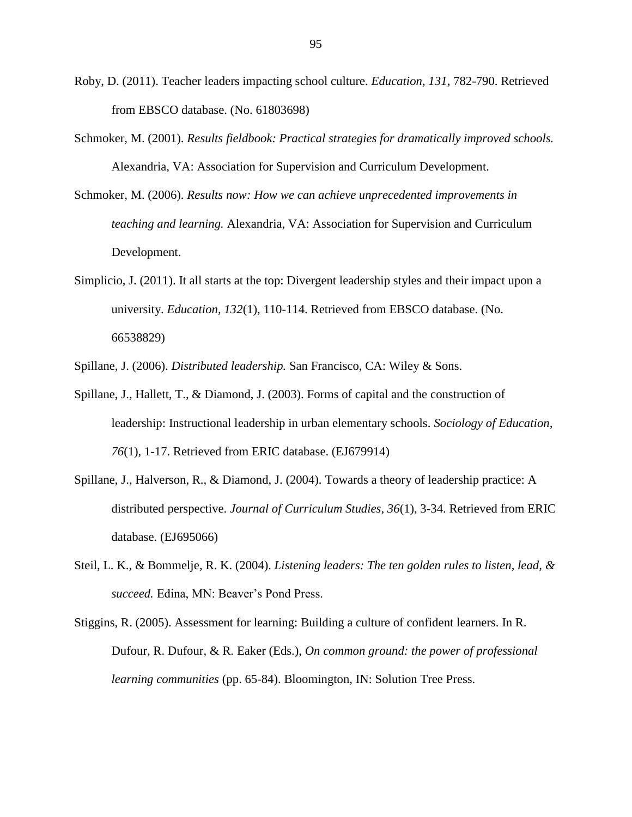- Roby, D. (2011). Teacher leaders impacting school culture. *Education, 131,* 782-790. Retrieved from EBSCO database. (No. 61803698)
- Schmoker, M. (2001). *Results fieldbook: Practical strategies for dramatically improved schools.*  Alexandria, VA: Association for Supervision and Curriculum Development.
- Schmoker, M. (2006). *Results now: How we can achieve unprecedented improvements in teaching and learning.* Alexandria, VA: Association for Supervision and Curriculum Development.
- Simplicio, J. (2011). It all starts at the top: Divergent leadership styles and their impact upon a university. *Education, 132*(1), 110-114. Retrieved from EBSCO database. (No. 66538829)

Spillane, J. (2006). *Distributed leadership.* San Francisco, CA: Wiley & Sons.

- Spillane, J., Hallett, T., & Diamond, J. (2003). Forms of capital and the construction of leadership: Instructional leadership in urban elementary schools. *Sociology of Education, 76*(1), 1-17. Retrieved from ERIC database. (EJ679914)
- Spillane, J., Halverson, R., & Diamond, J. (2004). Towards a theory of leadership practice: A distributed perspective. *Journal of Curriculum Studies, 36*(1), 3-34. Retrieved from ERIC database. (EJ695066)
- Steil, L. K., & Bommelje, R. K. (2004). *Listening leaders: The ten golden rules to listen, lead, & succeed.* Edina, MN: Beaver's Pond Press.
- Stiggins, R. (2005). Assessment for learning: Building a culture of confident learners. In R. Dufour, R. Dufour, & R. Eaker (Eds.), *On common ground: the power of professional learning communities* (pp. 65-84). Bloomington, IN: Solution Tree Press.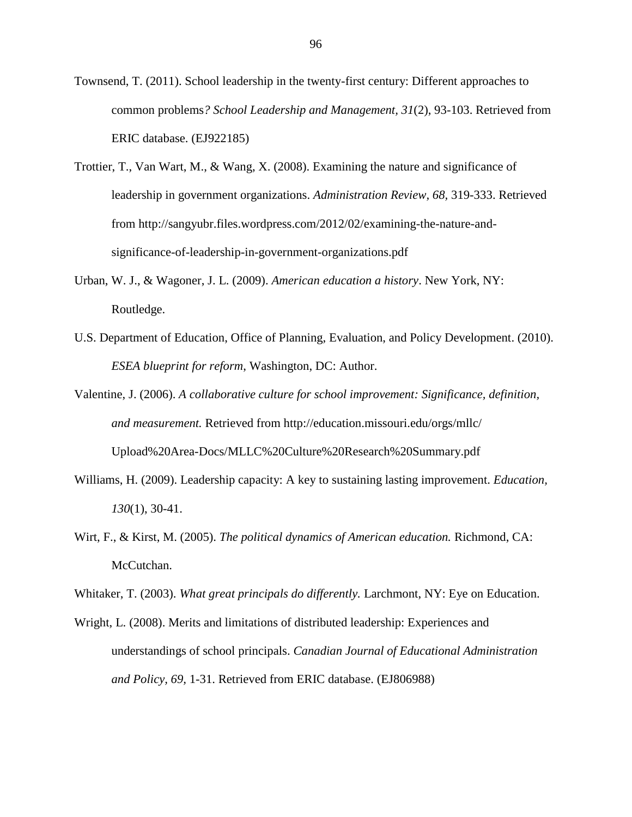Townsend, T. (2011). School leadership in the twenty-first century: Different approaches to common problems*? School Leadership and Management, 31*(2), 93-103. Retrieved from ERIC database. (EJ922185)

- Trottier, T., Van Wart, M., & Wang, X. (2008). Examining the nature and significance of leadership in government organizations. *Administration Review, 68,* 319-333. Retrieved from [http://sangyubr.files.wordpress.com/2012/02/examining-the-nature-and](http://sangyubr.files.wordpress.com/2012/02/examining-the-nature-and-significance-of-leadership-in-government-organizations.pdf)[significance-of-leadership-in-government-organizations.pdf](http://sangyubr.files.wordpress.com/2012/02/examining-the-nature-and-significance-of-leadership-in-government-organizations.pdf)
- Urban, W. J., & Wagoner, J. L. (2009). *American education a history*. New York, NY: Routledge.
- U.S. Department of Education, Office of Planning, Evaluation, and Policy Development. (2010). *ESEA blueprint for reform*, Washington, DC: Author.
- Valentine, J. (2006). *A collaborative culture for school improvement: Significance, definition, and measurement.* Retrieved from http://education.missouri.edu/orgs/mllc/ Upload%20Area-Docs/MLLC%20Culture%20Research%20Summary.pdf
- Williams, H. (2009). Leadership capacity: A key to sustaining lasting improvement. *Education, 130*(1), 30-41.
- Wirt, F., & Kirst, M. (2005). *The political dynamics of American education.* Richmond, CA: McCutchan.

Whitaker, T. (2003). *What great principals do differently.* Larchmont, NY: Eye on Education.

Wright, L. (2008). Merits and limitations of distributed leadership: Experiences and understandings of school principals. *Canadian Journal of Educational Administration and Policy, 69,* 1-31. Retrieved from ERIC database. (EJ806988)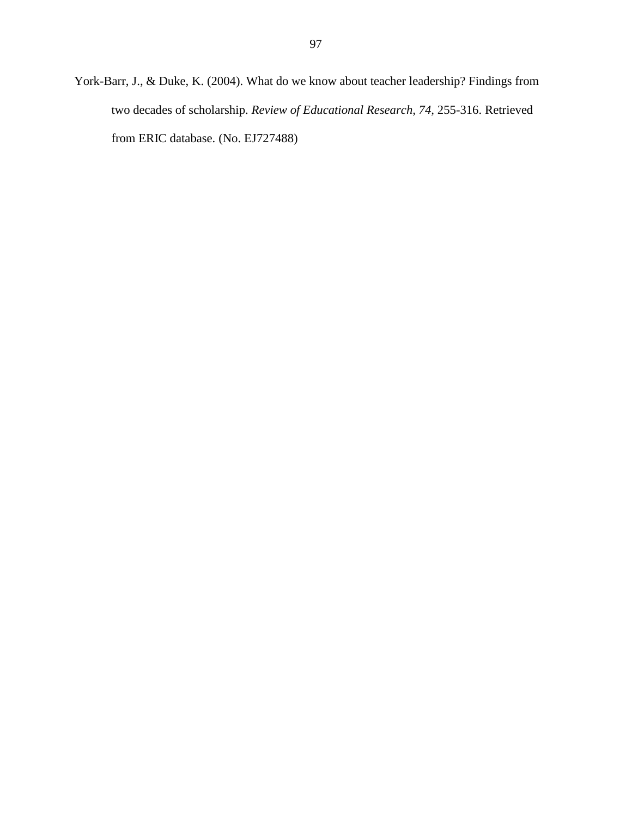York-Barr, J., & Duke, K. (2004). What do we know about teacher leadership? Findings from two decades of scholarship. *Review of Educational Research, 74,* 255-316. Retrieved from ERIC database. (No. EJ727488)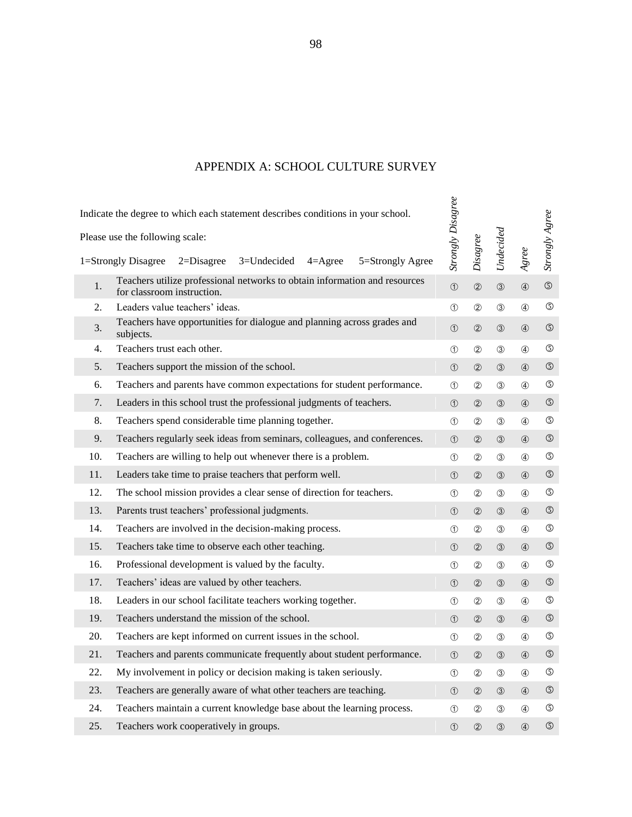# APPENDIX A: SCHOOL CULTURE SURVEY

|                                                                                                                                   | Indicate the degree to which each statement describes conditions in your school.                         |                          |                |               |               |                |
|-----------------------------------------------------------------------------------------------------------------------------------|----------------------------------------------------------------------------------------------------------|--------------------------|----------------|---------------|---------------|----------------|
| Please use the following scale:<br>1=Strongly Disagree<br>3=Undecided<br>$4 = \text{Agree}$<br>5=Strongly Agree<br>$2 = Disagree$ |                                                                                                          | <b>Strongly Disagree</b> | Disagree       | Undecided     | $A\,g$ ree    | Strongly Agree |
|                                                                                                                                   |                                                                                                          |                          |                |               |               |                |
| $1.$                                                                                                                              | Teachers utilize professional networks to obtain information and resources<br>for classroom instruction. | $\odot$                  | (2)            | $\circled{3}$ | $\circled{4}$ | $\circledS$    |
| 2.                                                                                                                                | Leaders value teachers' ideas.                                                                           | $\circled{1}$            | (2)            | $\circled{3}$ | $\circled{4}$ | $\circledS$    |
| 3.                                                                                                                                | Teachers have opportunities for dialogue and planning across grades and<br>subjects.                     | $^{\circledR}$           | $^{\circledR}$ | $\circled{3}$ | $\circled{4}$ | $\circledS$    |
| 4.                                                                                                                                | Teachers trust each other.                                                                               | $\circled{1}$            | (2)            | $\circled{3}$ | $\circled{4}$ | $\circledS$    |
| 5.                                                                                                                                | Teachers support the mission of the school.                                                              | $\circled{1}$            | $^{\circledR}$ | $\circled{3}$ | $\circled{4}$ | $\circledS$    |
| 6.                                                                                                                                | Teachers and parents have common expectations for student performance.                                   | $\circled{1}$            | (2)            | $\circled{3}$ | $\circled{4}$ | $\circledS$    |
| 7.                                                                                                                                | Leaders in this school trust the professional judgments of teachers.                                     | $\circled{1}$            | $^{\circledR}$ | $\circled{3}$ | $\circled{4}$ | $\circledS$    |
| 8.                                                                                                                                | Teachers spend considerable time planning together.                                                      | $\circled{1}$            | $^{\circledR}$ | 3             | $\circled{4}$ | ⑤              |
| 9.                                                                                                                                | Teachers regularly seek ideas from seminars, colleagues, and conferences.                                | $\circled{1}$            | $^{\circledR}$ | $\circled{3}$ | $\circled{4}$ | $\circledS$    |
| 10.                                                                                                                               | Teachers are willing to help out whenever there is a problem.                                            | $\circled{1}$            | $^{\circledR}$ | $\circled{3}$ | $\circled{4}$ | ⑤              |
| 11.                                                                                                                               | Leaders take time to praise teachers that perform well.                                                  | ➀                        | $^{\circledR}$ | $\circled{3}$ | $\circled{4}$ | $\circledS$    |
| 12.                                                                                                                               | The school mission provides a clear sense of direction for teachers.                                     | $\circled{1}$            | $^{\circledR}$ | 3             | ④             | ⑤              |
| 13.                                                                                                                               | Parents trust teachers' professional judgments.                                                          | $^{\circledR}$           | $^{\circledR}$ | $\circled{3}$ | $\circled{4}$ | $\circledS$    |
| 14.                                                                                                                               | Teachers are involved in the decision-making process.                                                    | $\circled{1}$            | $^{\circledR}$ | $\circled{3}$ | $\circled{4}$ | ⑤              |
| 15.                                                                                                                               | Teachers take time to observe each other teaching.                                                       | $\circled{1}$            | $^{\circledR}$ | $\circled{3}$ | $\circled{4}$ | $\circledS$    |
| 16.                                                                                                                               | Professional development is valued by the faculty.                                                       | $\circled{1}$            | $^{\circledR}$ | 3             | $\circled{4}$ | $\circledS$    |
| 17.                                                                                                                               | Teachers' ideas are valued by other teachers.                                                            | $^{\circledR}$           | ②              | $\circled{3}$ | $\circled{4}$ | $\circledS$    |
| 18.                                                                                                                               | Leaders in our school facilitate teachers working together.                                              | $\circled{1}$            | $^{\circledR}$ | $\circled{3}$ | $\circled{4}$ | $\circledS$    |
| 19.                                                                                                                               | Teachers understand the mission of the school.                                                           | $^{\circledR}$           | $^{\circledR}$ | $\circled{3}$ | $\circled{4}$ | $\circledS$    |
| 20.                                                                                                                               | Teachers are kept informed on current issues in the school.                                              | $^{\circ}$               | ②              | 3             | ④             | ⑤              |
| 21.                                                                                                                               | Teachers and parents communicate frequently about student performance.                                   | $\circled{1}$            | $^{\circledR}$ | $\circled{3}$ | $\circled{4}$ | $\circledS$    |
| 22.                                                                                                                               | My involvement in policy or decision making is taken seriously.                                          | $\circled{1}$            | (2)            | 3             | $\circled{4}$ | $\circledS$    |
| 23.                                                                                                                               | Teachers are generally aware of what other teachers are teaching.                                        | $\circled{1}$            | $^{\circledR}$ | $\circled{3}$ | $\circled{4}$ | $\circledS$    |
| 24.                                                                                                                               | Teachers maintain a current knowledge base about the learning process.                                   | $\circledD$              | (2)            | $\circled{3}$ | $\circled{4}$ | $\circledS$    |
| 25.                                                                                                                               | Teachers work cooperatively in groups.                                                                   | $\circledcirc$           | $^{\circledR}$ | $\circled{3}$ | $\circled{4}$ | $\circledS$    |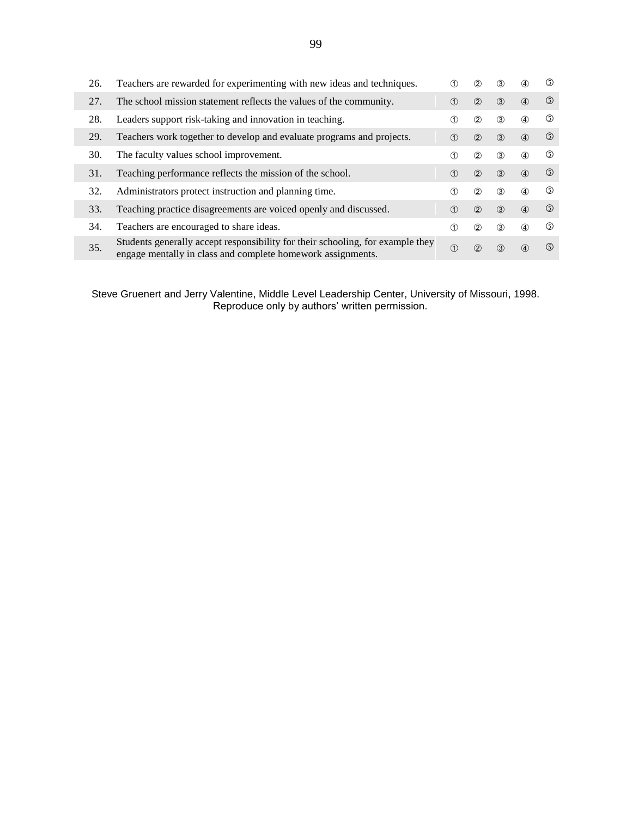| 26. | Teachers are rewarded for experimenting with new ideas and techniques.                                                                        | ①             | $\circled{2}$  | $\circled{3}$ | (4)           | ⑤           |
|-----|-----------------------------------------------------------------------------------------------------------------------------------------------|---------------|----------------|---------------|---------------|-------------|
| 27. | The school mission statement reflects the values of the community.                                                                            | $\circ$       | $^{\circledR}$ | $\circled{3}$ | $\circled{4}$ | $\circledS$ |
| 28. | Leaders support risk-taking and innovation in teaching.                                                                                       | $\circled{1}$ | $^{\circledR}$ | $\circled{3}$ | $\circled{4}$ | ர           |
| 29. | Teachers work together to develop and evaluate programs and projects.                                                                         | $\circ$       | (2)            | $\circled{3}$ | $\circled{4}$ | $\circledS$ |
| 30. | The faculty values school improvement.                                                                                                        | $\bigcirc$    | (2)            | $\circled{3}$ | $\circled{4}$ | ⑤           |
| 31. | Teaching performance reflects the mission of the school.                                                                                      | $\bigcirc$    | (2)            | $\circled{3}$ | $\circled{4}$ | $\circledS$ |
| 32. | Administrators protect instruction and planning time.                                                                                         | $\bigcirc$    | (2)            | $\circled{3}$ | $\circled{4}$ | ர           |
| 33. | Teaching practice disagreements are voiced openly and discussed.                                                                              | $\bigcirc$    | (2)            | $\circled{3}$ | $\circled{4}$ | $\circledS$ |
| 34. | Teachers are encouraged to share ideas.                                                                                                       | $\circled{1}$ | (2)            | $\circled{3}$ | $\circled{4}$ | $\circledS$ |
| 35. | Students generally accept responsibility for their schooling, for example they<br>engage mentally in class and complete homework assignments. | $\circ$       | (2)            | $\circled{3}$ | $\circled{4}$ | $\circledS$ |

Steve Gruenert and Jerry Valentine, Middle Level Leadership Center, University of Missouri, 1998. Reproduce only by authors' written permission.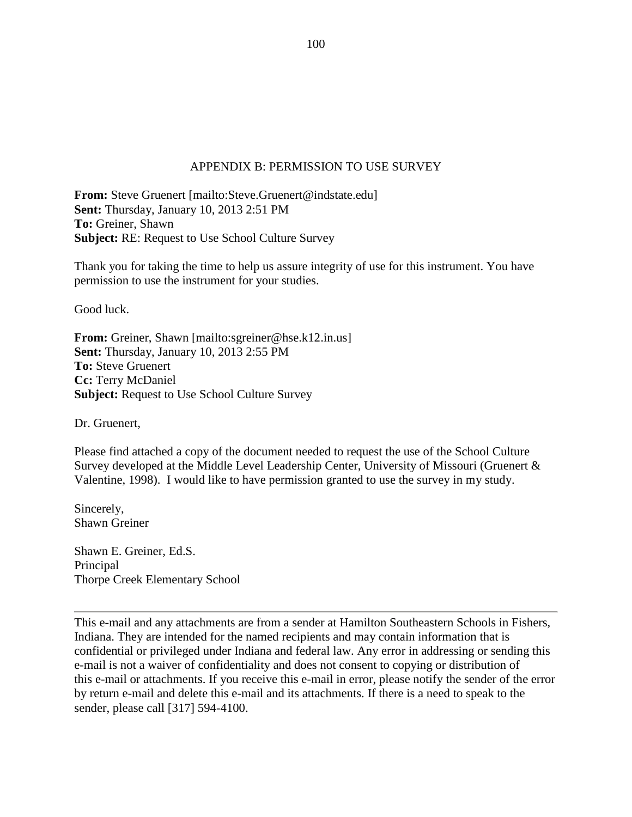# APPENDIX B: PERMISSION TO USE SURVEY

**From:** Steve Gruenert [mailto:Steve.Gruenert@indstate.edu] **Sent:** Thursday, January 10, 2013 2:51 PM **To:** Greiner, Shawn **Subject:** RE: Request to Use School Culture Survey

Thank you for taking the time to help us assure integrity of use for this instrument. You have permission to use the instrument for your studies.

Good luck.

**From:** Greiner, Shawn [mailto:sgreiner@hse.k12.in.us] **Sent:** Thursday, January 10, 2013 2:55 PM **To:** Steve Gruenert **Cc:** Terry McDaniel **Subject:** Request to Use School Culture Survey

Dr. Gruenert,

Please find attached a copy of the document needed to request the use of the School Culture Survey developed at the Middle Level Leadership Center, University of Missouri (Gruenert & Valentine, 1998). I would like to have permission granted to use the survey in my study.

Sincerely, Shawn Greiner

Shawn E. Greiner, Ed.S. Principal Thorpe Creek Elementary School

This e-mail and any attachments are from a sender at Hamilton Southeastern Schools in Fishers, Indiana. They are intended for the named recipients and may contain information that is confidential or privileged under Indiana and federal law. Any error in addressing or sending this e-mail is not a waiver of confidentiality and does not consent to copying or distribution of this e-mail or attachments. If you receive this e-mail in error, please notify the sender of the error by return e-mail and delete this e-mail and its attachments. If there is a need to speak to the sender, please call [317] 594-4100.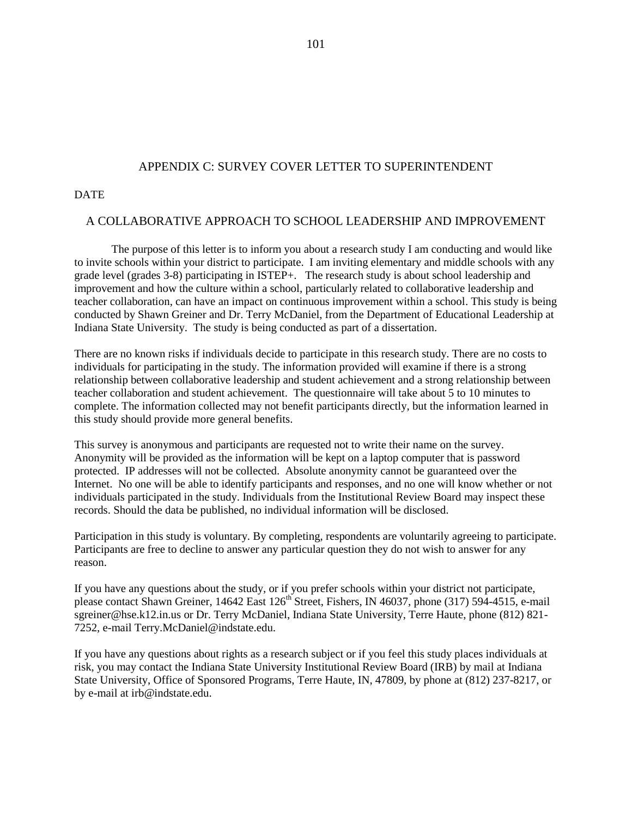#### APPENDIX C: SURVEY COVER LETTER TO SUPERINTENDENT

#### DATE

#### A COLLABORATIVE APPROACH TO SCHOOL LEADERSHIP AND IMPROVEMENT

The purpose of this letter is to inform you about a research study I am conducting and would like to invite schools within your district to participate. I am inviting elementary and middle schools with any grade level (grades 3-8) participating in ISTEP+. The research study is about school leadership and improvement and how the culture within a school, particularly related to collaborative leadership and teacher collaboration, can have an impact on continuous improvement within a school. This study is being conducted by Shawn Greiner and Dr. Terry McDaniel, from the Department of Educational Leadership at Indiana State University. The study is being conducted as part of a dissertation.

There are no known risks if individuals decide to participate in this research study. There are no costs to individuals for participating in the study. The information provided will examine if there is a strong relationship between collaborative leadership and student achievement and a strong relationship between teacher collaboration and student achievement. The questionnaire will take about 5 to 10 minutes to complete. The information collected may not benefit participants directly, but the information learned in this study should provide more general benefits.

This survey is anonymous and participants are requested not to write their name on the survey. Anonymity will be provided as the information will be kept on a laptop computer that is password protected. IP addresses will not be collected. Absolute anonymity cannot be guaranteed over the Internet. No one will be able to identify participants and responses, and no one will know whether or not individuals participated in the study. Individuals from the Institutional Review Board may inspect these records. Should the data be published, no individual information will be disclosed.

Participation in this study is voluntary. By completing, respondents are voluntarily agreeing to participate. Participants are free to decline to answer any particular question they do not wish to answer for any reason.

If you have any questions about the study, or if you prefer schools within your district not participate, please contact Shawn Greiner, 14642 East 126<sup>th</sup> Street, Fishers, IN 46037, phone (317) 594-4515, e-mail [sgreiner@hse.k12.in.us](mailto:sgreiner@hse.k12.in.us) or Dr. Terry McDaniel, Indiana State University, Terre Haute, phone (812) 821- 7252, e-mail Terry.McDaniel@indstate.edu.

If you have any questions about rights as a research subject or if you feel this study places individuals at risk, you may contact the Indiana State University Institutional Review Board (IRB) by mail at Indiana State University, Office of Sponsored Programs, Terre Haute, IN, 47809, by phone at (812) 237-8217, or by e-mail at [irb@indstate.edu.](mailto:dunderwood@isugw.indstate.edu)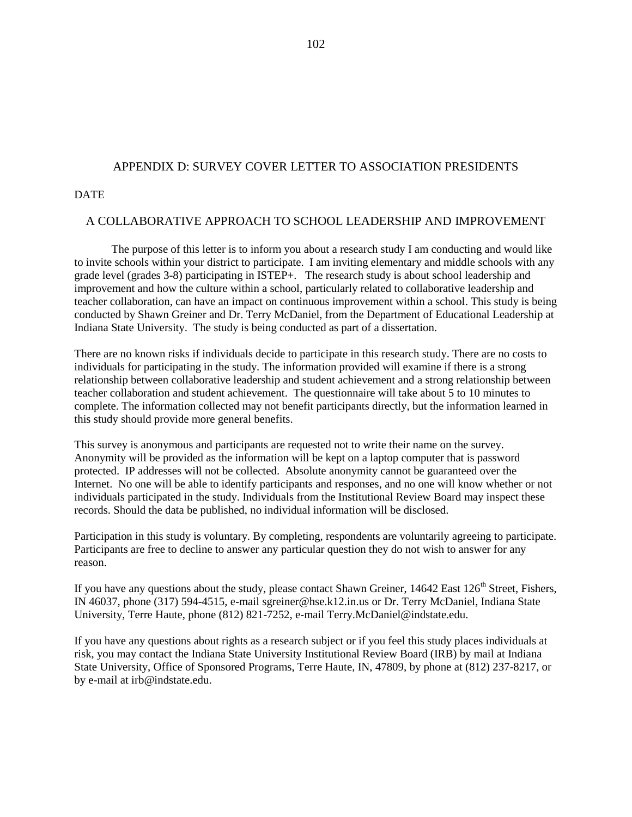# APPENDIX D: SURVEY COVER LETTER TO ASSOCIATION PRESIDENTS

#### DATE

#### A COLLABORATIVE APPROACH TO SCHOOL LEADERSHIP AND IMPROVEMENT

The purpose of this letter is to inform you about a research study I am conducting and would like to invite schools within your district to participate. I am inviting elementary and middle schools with any grade level (grades 3-8) participating in ISTEP+. The research study is about school leadership and improvement and how the culture within a school, particularly related to collaborative leadership and teacher collaboration, can have an impact on continuous improvement within a school. This study is being conducted by Shawn Greiner and Dr. Terry McDaniel, from the Department of Educational Leadership at Indiana State University. The study is being conducted as part of a dissertation.

There are no known risks if individuals decide to participate in this research study. There are no costs to individuals for participating in the study. The information provided will examine if there is a strong relationship between collaborative leadership and student achievement and a strong relationship between teacher collaboration and student achievement. The questionnaire will take about 5 to 10 minutes to complete. The information collected may not benefit participants directly, but the information learned in this study should provide more general benefits.

This survey is anonymous and participants are requested not to write their name on the survey. Anonymity will be provided as the information will be kept on a laptop computer that is password protected. IP addresses will not be collected. Absolute anonymity cannot be guaranteed over the Internet. No one will be able to identify participants and responses, and no one will know whether or not individuals participated in the study. Individuals from the Institutional Review Board may inspect these records. Should the data be published, no individual information will be disclosed.

Participation in this study is voluntary. By completing, respondents are voluntarily agreeing to participate. Participants are free to decline to answer any particular question they do not wish to answer for any reason.

If you have any questions about the study, please contact Shawn Greiner, 14642 East 126<sup>th</sup> Street, Fishers, IN 46037, phone (317) 594-4515, e-mail [sgreiner@hse.k12.in.us](mailto:sgreiner@hse.k12.in.us) or Dr. Terry McDaniel, Indiana State University, Terre Haute, phone (812) 821-7252, e-mail Terry.McDaniel@indstate.edu.

If you have any questions about rights as a research subject or if you feel this study places individuals at risk, you may contact the Indiana State University Institutional Review Board (IRB) by mail at Indiana State University, Office of Sponsored Programs, Terre Haute, IN, 47809, by phone at (812) 237-8217, or by e-mail at [irb@indstate.edu.](mailto:dunderwood@isugw.indstate.edu)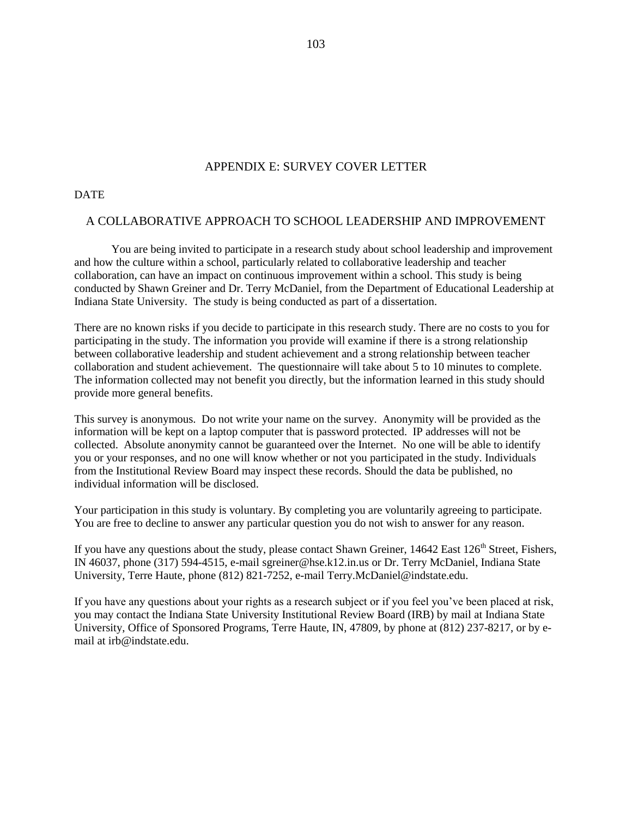# APPENDIX E: SURVEY COVER LETTER

#### DATE

#### A COLLABORATIVE APPROACH TO SCHOOL LEADERSHIP AND IMPROVEMENT

You are being invited to participate in a research study about school leadership and improvement and how the culture within a school, particularly related to collaborative leadership and teacher collaboration, can have an impact on continuous improvement within a school. This study is being conducted by Shawn Greiner and Dr. Terry McDaniel, from the Department of Educational Leadership at Indiana State University. The study is being conducted as part of a dissertation.

There are no known risks if you decide to participate in this research study. There are no costs to you for participating in the study. The information you provide will examine if there is a strong relationship between collaborative leadership and student achievement and a strong relationship between teacher collaboration and student achievement. The questionnaire will take about 5 to 10 minutes to complete. The information collected may not benefit you directly, but the information learned in this study should provide more general benefits.

This survey is anonymous. Do not write your name on the survey. Anonymity will be provided as the information will be kept on a laptop computer that is password protected. IP addresses will not be collected. Absolute anonymity cannot be guaranteed over the Internet. No one will be able to identify you or your responses, and no one will know whether or not you participated in the study. Individuals from the Institutional Review Board may inspect these records. Should the data be published, no individual information will be disclosed.

Your participation in this study is voluntary. By completing you are voluntarily agreeing to participate. You are free to decline to answer any particular question you do not wish to answer for any reason.

If you have any questions about the study, please contact Shawn Greiner,  $14642$  East  $126<sup>th</sup>$  Street, Fishers, IN 46037, phone (317) 594-4515, e-mail [sgreiner@hse.k12.in.us](mailto:sgreiner@hse.k12.in.us) or Dr. Terry McDaniel, Indiana State University, Terre Haute, phone (812) 821-7252, e-mail Terry.McDaniel@indstate.edu.

If you have any questions about your rights as a research subject or if you feel you've been placed at risk, you may contact the Indiana State University Institutional Review Board (IRB) by mail at Indiana State University, Office of Sponsored Programs, Terre Haute, IN, 47809, by phone at (812) 237-8217, or by email at [irb@indstate.edu.](mailto:dunderwood@isugw.indstate.edu)